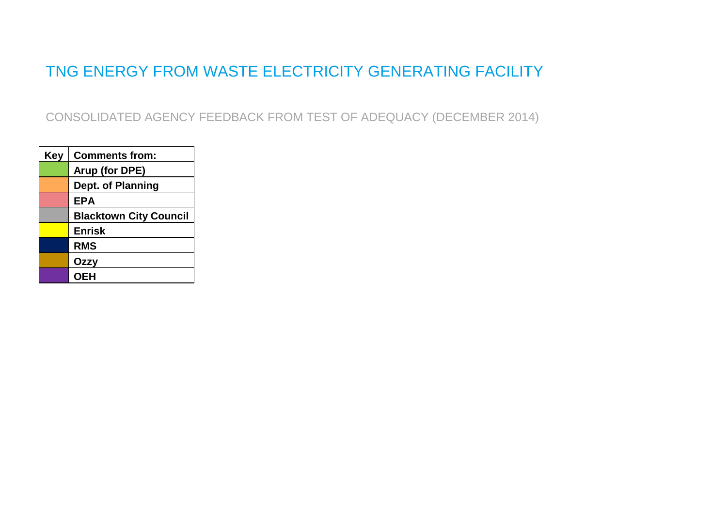## TNG ENERGY FROM WASTE ELECTRICITY GENERATING FACILITY

CONSOLIDATED AGENCY FEEDBACK FROM TEST OF ADEQUACY (DECEMBER 2014)

| Key | <b>Comments from:</b>         |
|-----|-------------------------------|
|     | Arup (for DPE)                |
|     | Dept. of Planning             |
|     | <b>EPA</b>                    |
|     | <b>Blacktown City Council</b> |
|     | <b>Enrisk</b>                 |
|     | <b>RMS</b>                    |
|     | Ozzy                          |
|     | <b>OEH</b>                    |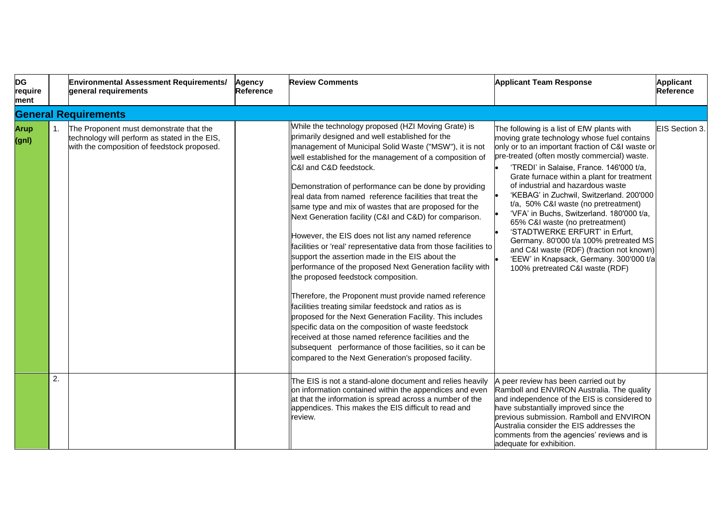| <b>DG</b><br>require<br>ment |                  | <b>Environmental Assessment Requirements/</b><br>general requirements                                                                   | <b>Agency</b><br>Reference | <b>Review Comments</b>                                                                                                                                                                                                                                                                                                                                                                                                                                                                                                                                                                                                                                                                                                                                                                                                                                                                                                                                                                                                                                                                                                                                                                            | <b>Applicant Team Response</b>                                                                                                                                                                                                                                                                                                                                                                                                                                                                                                                                                                                                                                                                         | <b>Applicant</b><br><b>Reference</b> |
|------------------------------|------------------|-----------------------------------------------------------------------------------------------------------------------------------------|----------------------------|---------------------------------------------------------------------------------------------------------------------------------------------------------------------------------------------------------------------------------------------------------------------------------------------------------------------------------------------------------------------------------------------------------------------------------------------------------------------------------------------------------------------------------------------------------------------------------------------------------------------------------------------------------------------------------------------------------------------------------------------------------------------------------------------------------------------------------------------------------------------------------------------------------------------------------------------------------------------------------------------------------------------------------------------------------------------------------------------------------------------------------------------------------------------------------------------------|--------------------------------------------------------------------------------------------------------------------------------------------------------------------------------------------------------------------------------------------------------------------------------------------------------------------------------------------------------------------------------------------------------------------------------------------------------------------------------------------------------------------------------------------------------------------------------------------------------------------------------------------------------------------------------------------------------|--------------------------------------|
|                              |                  | <b>General Requirements</b>                                                                                                             |                            |                                                                                                                                                                                                                                                                                                                                                                                                                                                                                                                                                                                                                                                                                                                                                                                                                                                                                                                                                                                                                                                                                                                                                                                                   |                                                                                                                                                                                                                                                                                                                                                                                                                                                                                                                                                                                                                                                                                                        |                                      |
| <b>Arup</b><br>(gnl)         | $\mathbf{1}$ .   | The Proponent must demonstrate that the<br>technology will perform as stated in the EIS,<br>with the composition of feedstock proposed. |                            | While the technology proposed (HZI Moving Grate) is<br>primarily designed and well established for the<br>management of Municipal Solid Waste ("MSW"), it is not<br>well established for the management of a composition of<br>C&I and C&D feedstock.<br>Demonstration of performance can be done by providing<br>real data from named reference facilities that treat the<br>same type and mix of wastes that are proposed for the<br>Next Generation facility (C&I and C&D) for comparison.<br>However, the EIS does not list any named reference<br>facilities or 'real' representative data from those facilities to<br>support the assertion made in the EIS about the<br>performance of the proposed Next Generation facility with<br>the proposed feedstock composition.<br>Therefore, the Proponent must provide named reference<br>facilities treating similar feedstock and ratios as is<br>proposed for the Next Generation Facility. This includes<br>specific data on the composition of waste feedstock<br>received at those named reference facilities and the<br>subsequent performance of those facilities, so it can be<br>compared to the Next Generation's proposed facility. | The following is a list of EfW plants with<br>moving grate technology whose fuel contains<br>only or to an important fraction of C&I waste or<br>pre-treated (often mostly commercial) waste.<br>'TREDI' in Salaise, France. 146'000 t/a,<br>Grate furnace within a plant for treatment<br>of industrial and hazardous waste<br>'KEBAG' in Zuchwil, Switzerland. 200'000<br>t/a, 50% C&I waste (no pretreatment)<br>'VFA' in Buchs, Switzerland. 180'000 t/a,<br>65% C&I waste (no pretreatment)<br>'STADTWERKE ERFURT' in Erfurt,<br>Germany. 80'000 t/a 100% pretreated MS<br>and C&I waste (RDF) (fraction not known)<br>'EEW' in Knapsack, Germany. 300'000 t/a<br>100% pretreated C&I waste (RDF) | EIS Section 3.                       |
|                              | $\overline{2}$ . |                                                                                                                                         |                            | The EIS is not a stand-alone document and relies heavily<br>on information contained within the appendices and even<br>at that the information is spread across a number of the<br>appendices. This makes the EIS difficult to read and<br>review.                                                                                                                                                                                                                                                                                                                                                                                                                                                                                                                                                                                                                                                                                                                                                                                                                                                                                                                                                | A peer review has been carried out by<br>Ramboll and ENVIRON Australia. The quality<br>and independence of the EIS is considered to<br>have substantially improved since the<br>previous submission. Ramboll and ENVIRON<br>Australia consider the EIS addresses the<br>comments from the agencies' reviews and is<br>adequate for exhibition.                                                                                                                                                                                                                                                                                                                                                         |                                      |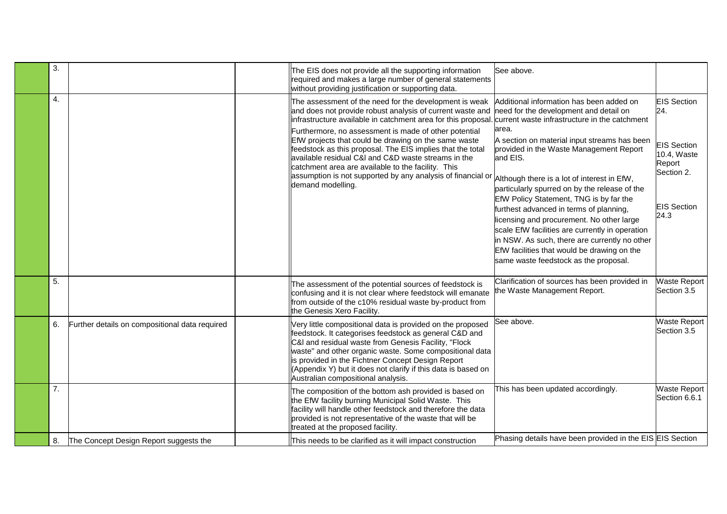| 3. |                                                | The EIS does not provide all the supporting information<br>required and makes a large number of general statements<br>without providing justification or supporting data.                                                                                                                                                                                                                                                                                                                                                                                           | See above.                                                                                                                                                                                                                                                                                                                                                                                                                                                                                                                                                                                                                                                                         |                                                                                                                      |
|----|------------------------------------------------|---------------------------------------------------------------------------------------------------------------------------------------------------------------------------------------------------------------------------------------------------------------------------------------------------------------------------------------------------------------------------------------------------------------------------------------------------------------------------------------------------------------------------------------------------------------------|------------------------------------------------------------------------------------------------------------------------------------------------------------------------------------------------------------------------------------------------------------------------------------------------------------------------------------------------------------------------------------------------------------------------------------------------------------------------------------------------------------------------------------------------------------------------------------------------------------------------------------------------------------------------------------|----------------------------------------------------------------------------------------------------------------------|
| 4. |                                                | The assessment of the need for the development is weak<br>and does not provide robust analysis of current waste and<br>infrastructure available in catchment area for this proposal<br>Furthermore, no assessment is made of other potential<br>EfW projects that could be drawing on the same waste<br>feedstock as this proposal. The EIS implies that the total<br>available residual C&I and C&D waste streams in the<br>catchment area are available to the facility. This<br>assumption is not supported by any analysis of financial or<br>demand modelling. | Additional information has been added on<br>need for the development and detail on<br>current waste infrastructure in the catchment<br>area.<br>A section on material input streams has been<br>provided in the Waste Management Report<br>and EIS.<br>Although there is a lot of interest in EfW,<br>particularly spurred on by the release of the<br>EfW Policy Statement, TNG is by far the<br>furthest advanced in terms of planning,<br>licensing and procurement. No other large<br>scale EfW facilities are currently in operation<br>in NSW. As such, there are currently no other<br>EfW facilities that would be drawing on the<br>same waste feedstock as the proposal. | <b>EIS</b> Section<br>24.<br><b>EIS Section</b><br>10.4, Waste<br>Report<br>Section 2.<br><b>EIS Section</b><br>24.3 |
| 5. |                                                | The assessment of the potential sources of feedstock is<br>confusing and it is not clear where feedstock will emanate<br>from outside of the c10% residual waste by-product from<br>the Genesis Xero Facility.                                                                                                                                                                                                                                                                                                                                                      | Clarification of sources has been provided in<br>the Waste Management Report.                                                                                                                                                                                                                                                                                                                                                                                                                                                                                                                                                                                                      | <b>Waste Report</b><br>Section 3.5                                                                                   |
| 6. | Further details on compositional data required | Very little compositional data is provided on the proposed<br>feedstock. It categorises feedstock as general C&D and<br>C&I and residual waste from Genesis Facility, "Flock<br>waste" and other organic waste. Some compositional data<br>is provided in the Fichtner Concept Design Report<br>(Appendix Y) but it does not clarify if this data is based on<br>Australian compositional analysis.                                                                                                                                                                 | See above.                                                                                                                                                                                                                                                                                                                                                                                                                                                                                                                                                                                                                                                                         | <b>Waste Report</b><br>Section 3.5                                                                                   |
| 7. |                                                | The composition of the bottom ash provided is based on<br>the EfW facility burning Municipal Solid Waste. This<br>facility will handle other feedstock and therefore the data<br>provided is not representative of the waste that will be<br>treated at the proposed facility.                                                                                                                                                                                                                                                                                      | This has been updated accordingly.                                                                                                                                                                                                                                                                                                                                                                                                                                                                                                                                                                                                                                                 | <b>Waste Report</b><br>Section 6.6.1                                                                                 |
| 8. | The Concept Design Report suggests the         | This needs to be clarified as it will impact construction                                                                                                                                                                                                                                                                                                                                                                                                                                                                                                           | Phasing details have been provided in the EIS EIS Section                                                                                                                                                                                                                                                                                                                                                                                                                                                                                                                                                                                                                          |                                                                                                                      |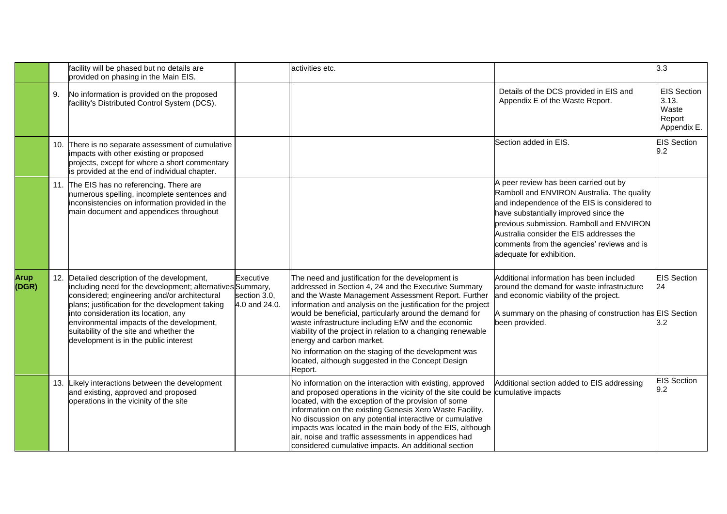|                      |     | facility will be phased but no details are<br>provided on phasing in the Main EIS.                                                                                                                                                                                                                                                                                                    |                                            | activities etc.                                                                                                                                                                                                                                                                                                                                                                                                                                                                                                                                                          |                                                                                                                                                                                                                                                                                                                                                | 3.3                                                           |
|----------------------|-----|---------------------------------------------------------------------------------------------------------------------------------------------------------------------------------------------------------------------------------------------------------------------------------------------------------------------------------------------------------------------------------------|--------------------------------------------|--------------------------------------------------------------------------------------------------------------------------------------------------------------------------------------------------------------------------------------------------------------------------------------------------------------------------------------------------------------------------------------------------------------------------------------------------------------------------------------------------------------------------------------------------------------------------|------------------------------------------------------------------------------------------------------------------------------------------------------------------------------------------------------------------------------------------------------------------------------------------------------------------------------------------------|---------------------------------------------------------------|
|                      | 9.  | No information is provided on the proposed<br>facility's Distributed Control System (DCS).                                                                                                                                                                                                                                                                                            |                                            |                                                                                                                                                                                                                                                                                                                                                                                                                                                                                                                                                                          | Details of the DCS provided in EIS and<br>Appendix E of the Waste Report.                                                                                                                                                                                                                                                                      | <b>EIS Section</b><br>3.13.<br>Waste<br>Report<br>Appendix E. |
|                      | 10. | There is no separate assessment of cumulative<br>impacts with other existing or proposed<br>projects, except for where a short commentary<br>is provided at the end of individual chapter.                                                                                                                                                                                            |                                            |                                                                                                                                                                                                                                                                                                                                                                                                                                                                                                                                                                          | Section added in EIS.                                                                                                                                                                                                                                                                                                                          | <b>EIS Section</b><br>9.2                                     |
|                      |     | 11. The EIS has no referencing. There are<br>numerous spelling, incomplete sentences and<br>inconsistencies on information provided in the<br>main document and appendices throughout                                                                                                                                                                                                 |                                            |                                                                                                                                                                                                                                                                                                                                                                                                                                                                                                                                                                          | A peer review has been carried out by<br>Ramboll and ENVIRON Australia. The quality<br>and independence of the EIS is considered to<br>have substantially improved since the<br>previous submission. Ramboll and ENVIRON<br>Australia consider the EIS addresses the<br>comments from the agencies' reviews and is<br>adequate for exhibition. |                                                               |
| <b>Arup</b><br>(DGR) |     | 12. Detailed description of the development,<br>including need for the development; alternatives Summary,<br>considered; engineering and/or architectural<br>plans; justification for the development taking<br>into consideration its location, any<br>environmental impacts of the development,<br>suitability of the site and whether the<br>development is in the public interest | Executive<br>section 3.0,<br>4.0 and 24.0. | The need and justification for the development is<br>addressed in Section 4, 24 and the Executive Summary<br>and the Waste Management Assessment Report. Further<br>information and analysis on the justification for the project<br>would be beneficial, particularly around the demand for<br>waste infrastructure including EfW and the economic<br>viability of the project in relation to a changing renewable<br>energy and carbon market.<br>No information on the staging of the development was<br>located, although suggested in the Concept Design<br>Report. | Additional information has been included<br>around the demand for waste infrastructure<br>and economic viability of the project.<br>A summary on the phasing of construction has EIS Section<br>been provided.                                                                                                                                 | <b>EIS Section</b><br>24<br>3.2                               |
|                      |     | 13. Likely interactions between the development<br>and existing, approved and proposed<br>operations in the vicinity of the site                                                                                                                                                                                                                                                      |                                            | No information on the interaction with existing, approved<br>and proposed operations in the vicinity of the site could be cumulative impacts<br>located, with the exception of the provision of some<br>information on the existing Genesis Xero Waste Facility.<br>No discussion on any potential interactive or cumulative<br>limpacts was located in the main body of the EIS, although<br>air, noise and traffic assessments in appendices had<br>considered cumulative impacts. An additional section                                                               | Additional section added to EIS addressing                                                                                                                                                                                                                                                                                                     | <b>EIS Section</b><br>9.2                                     |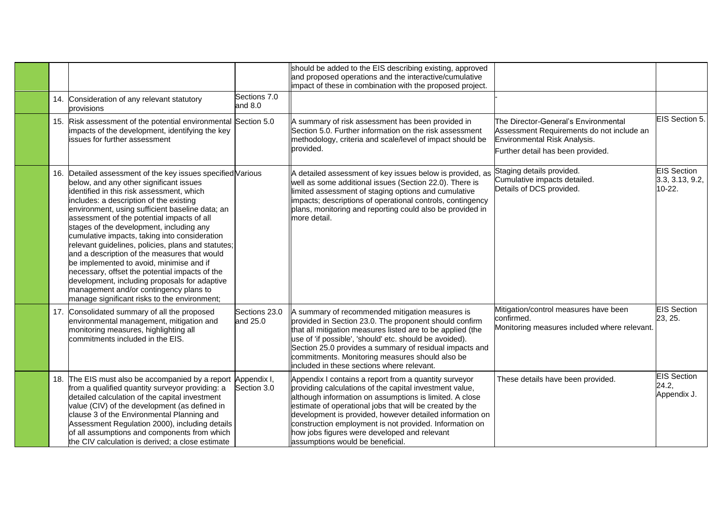|  |                                                                                                                                                                                                                                                                                                                                                                                                                                                                                                                                                                                                                                                                                                                                             |                           | should be added to the EIS describing existing, approved<br>and proposed operations and the interactive/cumulative<br>impact of these in combination with the proposed project.                                                                                                                                                                                                                                                                    |                                                                                                                                                        |                                                 |
|--|---------------------------------------------------------------------------------------------------------------------------------------------------------------------------------------------------------------------------------------------------------------------------------------------------------------------------------------------------------------------------------------------------------------------------------------------------------------------------------------------------------------------------------------------------------------------------------------------------------------------------------------------------------------------------------------------------------------------------------------------|---------------------------|----------------------------------------------------------------------------------------------------------------------------------------------------------------------------------------------------------------------------------------------------------------------------------------------------------------------------------------------------------------------------------------------------------------------------------------------------|--------------------------------------------------------------------------------------------------------------------------------------------------------|-------------------------------------------------|
|  | 14. Consideration of any relevant statutory<br>provisions                                                                                                                                                                                                                                                                                                                                                                                                                                                                                                                                                                                                                                                                                   | Sections 7.0<br>and $8.0$ |                                                                                                                                                                                                                                                                                                                                                                                                                                                    |                                                                                                                                                        |                                                 |
|  | 15. Risk assessment of the potential environmental Section 5.0<br>impacts of the development, identifying the key<br>issues for further assessment                                                                                                                                                                                                                                                                                                                                                                                                                                                                                                                                                                                          |                           | A summary of risk assessment has been provided in<br>Section 5.0. Further information on the risk assessment<br>methodology, criteria and scale/level of impact should be<br>provided.                                                                                                                                                                                                                                                             | The Director-General's Environmental<br>Assessment Requirements do not include an<br>Environmental Risk Analysis.<br>Further detail has been provided. | EIS Section 5.                                  |
|  | 16. Detailed assessment of the key issues specified Various<br>below, and any other significant issues<br>identified in this risk assessment, which<br>includes: a description of the existing<br>environment, using sufficient baseline data; an<br>assessment of the potential impacts of all<br>stages of the development, including any<br>cumulative impacts, taking into consideration<br>relevant guidelines, policies, plans and statutes;<br>and a description of the measures that would<br>be implemented to avoid, minimise and if<br>necessary, offset the potential impacts of the<br>development, including proposals for adaptive<br>management and/or contingency plans to<br>manage significant risks to the environment; |                           | A detailed assessment of key issues below is provided, as<br>well as some additional issues (Section 22.0). There is<br>limited assessment of staging options and cumulative<br>impacts; descriptions of operational controls, contingency<br>plans, monitoring and reporting could also be provided in<br>more detail.                                                                                                                            | Staging details provided.<br>Cumulative impacts detailed.<br>Details of DCS provided.                                                                  | <b>EIS Section</b><br>3.3, 3.13, 9.2,<br>10-22. |
|  | 17. Consolidated summary of all the proposed<br>environmental management, mitigation and<br>monitoring measures, highlighting all<br>commitments included in the EIS.                                                                                                                                                                                                                                                                                                                                                                                                                                                                                                                                                                       | Sections 23.0<br>and 25.0 | A summary of recommended mitigation measures is<br>provided in Section 23.0. The proponent should confirm<br>that all mitigation measures listed are to be applied (the<br>use of 'if possible', 'should' etc. should be avoided).<br>Section 25.0 provides a summary of residual impacts and<br>commitments. Monitoring measures should also be<br>included in these sections where relevant.                                                     | Mitigation/control measures have been<br>confirmed.<br>Monitoring measures included where relevant.                                                    | <b>EIS Section</b><br>23, 25.                   |
|  | 18. The EIS must also be accompanied by a report Appendix I,<br>from a qualified quantity surveyor providing: a<br>detailed calculation of the capital investment<br>value (CIV) of the development (as defined in<br>clause 3 of the Environmental Planning and<br>Assessment Regulation 2000), including details<br>of all assumptions and components from which<br>the CIV calculation is derived; a close estimate                                                                                                                                                                                                                                                                                                                      | Section 3.0               | Appendix I contains a report from a quantity surveyor<br>providing calculations of the capital investment value,<br>although information on assumptions is limited. A close<br>estimate of operational jobs that will be created by the<br>development is provided, however detailed information on<br>construction employment is not provided. Information on<br>how jobs figures were developed and relevant<br>assumptions would be beneficial. | These details have been provided.                                                                                                                      | <b>EIS Section</b><br>24.2,<br>Appendix J.      |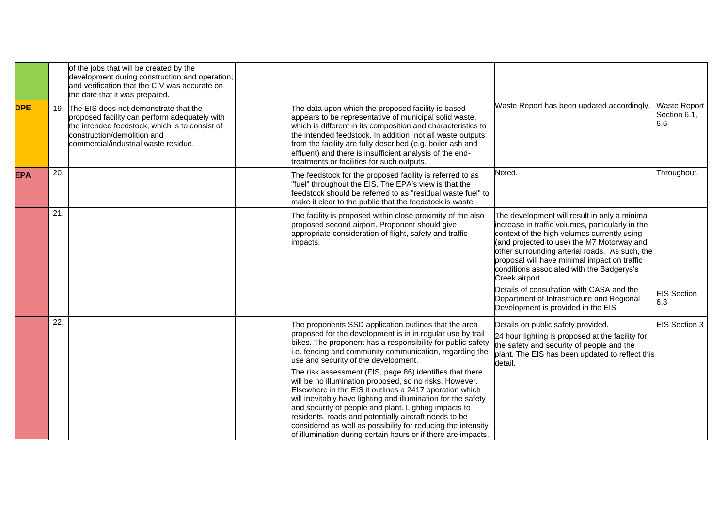|            |     | of the jobs that will be created by the<br>development during construction and operation;<br>and verification that the CIV was accurate on<br>the date that it was prepared.                                    |                                                                                                                                                                                                                                                                                                                                                                                                                                                                                                                                                                                                                                                                                                                                                                                             |                                                                                                                                                                                                                                                                                                                                                                                                                                                                                                 |                                     |
|------------|-----|-----------------------------------------------------------------------------------------------------------------------------------------------------------------------------------------------------------------|---------------------------------------------------------------------------------------------------------------------------------------------------------------------------------------------------------------------------------------------------------------------------------------------------------------------------------------------------------------------------------------------------------------------------------------------------------------------------------------------------------------------------------------------------------------------------------------------------------------------------------------------------------------------------------------------------------------------------------------------------------------------------------------------|-------------------------------------------------------------------------------------------------------------------------------------------------------------------------------------------------------------------------------------------------------------------------------------------------------------------------------------------------------------------------------------------------------------------------------------------------------------------------------------------------|-------------------------------------|
| <b>DPE</b> | 19. | The EIS does not demonstrate that the<br>proposed facility can perform adequately with<br>the intended feedstock, which is to consist of<br>construction/demolition and<br>commercial/industrial waste residue. | The data upon which the proposed facility is based<br>appears to be representative of municipal solid waste,<br>which is different in its composition and characteristics to<br>the intended feedstock. In addition, not all waste outputs<br>from the facility are fully described (e.g. boiler ash and<br>effluent) and there is insufficient analysis of the end-<br>treatments or facilities for such outputs.                                                                                                                                                                                                                                                                                                                                                                          | Waste Report has been updated accordingly.                                                                                                                                                                                                                                                                                                                                                                                                                                                      | Waste Report<br>Section 6.1.<br>6.6 |
| <b>EPA</b> | 20. |                                                                                                                                                                                                                 | The feedstock for the proposed facility is referred to as<br>"fuel" throughout the EIS. The EPA's view is that the<br>feedstock should be referred to as "residual waste fuel" to<br>make it clear to the public that the feedstock is waste.                                                                                                                                                                                                                                                                                                                                                                                                                                                                                                                                               | Noted.                                                                                                                                                                                                                                                                                                                                                                                                                                                                                          | Throughout.                         |
|            | 21. |                                                                                                                                                                                                                 | The facility is proposed within close proximity of the also<br>proposed second airport. Proponent should give<br>appropriate consideration of flight, safety and traffic<br>impacts.                                                                                                                                                                                                                                                                                                                                                                                                                                                                                                                                                                                                        | The development will result in only a minimal<br>increase in traffic volumes, particularly in the<br>context of the high volumes currently using<br>(and projected to use) the M7 Motorway and<br>other surrounding arterial roads. As such, the<br>proposal will have minimal impact on traffic<br>conditions associated with the Badgerys's<br>Creek airport.<br>Details of consultation with CASA and the<br>Department of Infrastructure and Regional<br>Development is provided in the EIS | <b>EIS Section</b><br>6.3           |
|            | 22. |                                                                                                                                                                                                                 | The proponents SSD application outlines that the area<br>proposed for the development is in in regular use by trail<br>bikes. The proponent has a responsibility for public safety<br>i.e. fencing and community communication, regarding the<br>use and security of the development.<br>The risk assessment (EIS, page 86) identifies that there<br>will be no illumination proposed, so no risks. However.<br>Elsewhere in the EIS it outlines a 2417 operation which<br>will inevitably have lighting and illumination for the safety<br>and security of people and plant. Lighting impacts to<br>residents, roads and potentially aircraft needs to be<br>considered as well as possibility for reducing the intensity<br>of illumination during certain hours or if there are impacts. | Details on public safety provided.<br>24 hour lighting is proposed at the facility for<br>the safety and security of people and the<br>plant. The EIS has been updated to reflect this<br>detail.                                                                                                                                                                                                                                                                                               | <b>EIS Section 3</b>                |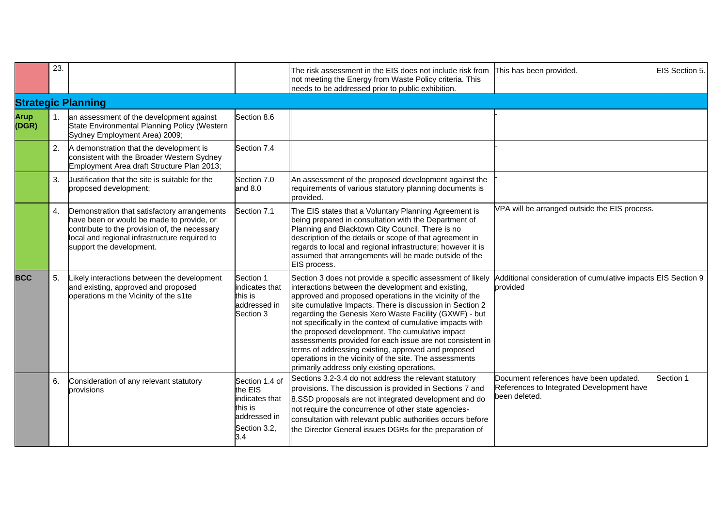|               | 23.            |                                                                                                                                                                                                                         |                                                                                               | The risk assessment in the EIS does not include risk from<br>not meeting the Energy from Waste Policy criteria. This<br>needs to be addressed prior to public exhibition.                                                                                                                                                                                                                                                                                                                                                                                                                                                                         | This has been provided.                                                                              | EIS Section 5. |
|---------------|----------------|-------------------------------------------------------------------------------------------------------------------------------------------------------------------------------------------------------------------------|-----------------------------------------------------------------------------------------------|---------------------------------------------------------------------------------------------------------------------------------------------------------------------------------------------------------------------------------------------------------------------------------------------------------------------------------------------------------------------------------------------------------------------------------------------------------------------------------------------------------------------------------------------------------------------------------------------------------------------------------------------------|------------------------------------------------------------------------------------------------------|----------------|
|               |                | <b>Strategic Planning</b>                                                                                                                                                                                               |                                                                                               |                                                                                                                                                                                                                                                                                                                                                                                                                                                                                                                                                                                                                                                   |                                                                                                      |                |
| Arup<br>(DGR) | 1.             | an assessment of the development against<br>State Environmental Planning Policy (Western<br>Sydney Employment Area) 2009;                                                                                               | Section 8.6                                                                                   |                                                                                                                                                                                                                                                                                                                                                                                                                                                                                                                                                                                                                                                   |                                                                                                      |                |
|               | 2.             | A demonstration that the development is<br>consistent with the Broader Western Sydney<br>Employment Area draft Structure Plan 2013;                                                                                     | Section 7.4                                                                                   |                                                                                                                                                                                                                                                                                                                                                                                                                                                                                                                                                                                                                                                   |                                                                                                      |                |
|               | 3.             | Uustification that the site is suitable for the<br>proposed development;                                                                                                                                                | Section 7.0<br>and $8.0$                                                                      | An assessment of the proposed development against the<br>requirements of various statutory planning documents is<br>provided.                                                                                                                                                                                                                                                                                                                                                                                                                                                                                                                     |                                                                                                      |                |
|               | 4.             | Demonstration that satisfactory arrangements<br>have been or would be made to provide, or<br>contribute to the provision of, the necessary<br>local and regional infrastructure required to<br>support the development. | Section 7.1                                                                                   | The EIS states that a Voluntary Planning Agreement is<br>being prepared in consultation with the Department of<br>Planning and Blacktown City Council. There is no<br>description of the details or scope of that agreement in<br>regards to local and regional infrastructure; however it is<br>assumed that arrangements will be made outside of the<br>EIS process.                                                                                                                                                                                                                                                                            | VPA will be arranged outside the EIS process.                                                        |                |
| <b>BCC</b>    | 5 <sub>1</sub> | Likely interactions between the development<br>and existing, approved and proposed<br>operations m the Vicinity of the s1te                                                                                             | Section 1<br>indicates that<br>this is<br>addressed in<br>Section 3                           | Section 3 does not provide a specific assessment of likely<br>interactions between the development and existing,<br>approved and proposed operations in the vicinity of the<br>site cumulative Impacts. There is discussion in Section 2<br>regarding the Genesis Xero Waste Facility (GXWF) - but<br>not specifically in the context of cumulative impacts with<br>the proposed development. The cumulative impact<br>assessments provided for each issue are not consistent in<br>terms of addressing existing, approved and proposed<br>operations in the vicinity of the site. The assessments<br>primarily address only existing operations. | Additional consideration of cumulative impacts EIS Section 9<br>provided                             |                |
|               | 6.             | Consideration of any relevant statutory<br>provisions                                                                                                                                                                   | Section 1.4 of<br>the EIS<br>indicates that<br>this is<br>addressed in<br>Section 3.2,<br>3.4 | Sections 3.2-3.4 do not address the relevant statutory<br>provisions. The discussion is provided in Sections 7 and<br>8.SSD proposals are not integrated development and do<br>not require the concurrence of other state agencies-<br>consultation with relevant public authorities occurs before<br>the Director General issues DGRs for the preparation of                                                                                                                                                                                                                                                                                     | Document references have been updated.<br>References to Integrated Development have<br>been deleted. | Section 1      |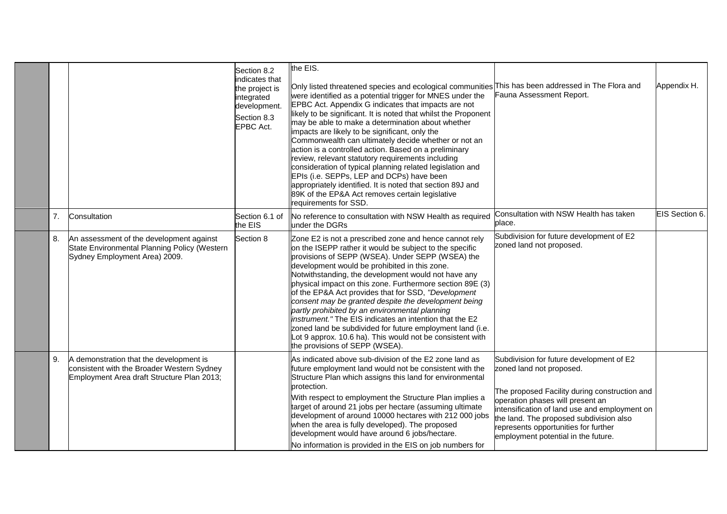|    |                                                                                                                                     | Section 8.2<br>indicates that<br>the project is<br>integrated<br>development.<br>Section 8.3<br>EPBC Act. | the EIS.<br>Only listed threatened species and ecological communities This has been addressed in The Flora and<br>were identified as a potential trigger for MNES under the<br>EPBC Act. Appendix G indicates that impacts are not<br>likely to be significant. It is noted that whilst the Proponent<br>may be able to make a determination about whether<br>impacts are likely to be significant, only the<br>Commonwealth can ultimately decide whether or not an<br>action is a controlled action. Based on a preliminary<br>review, relevant statutory requirements including<br>consideration of typical planning related legislation and<br>EPIs (i.e. SEPPs, LEP and DCPs) have been<br>appropriately identified. It is noted that section 89J and<br>89K of the EP&A Act removes certain legislative<br>requirements for SSD. | Fauna Assessment Report.                                                                                                                                                                                                                                                                                                             | Appendix H.    |
|----|-------------------------------------------------------------------------------------------------------------------------------------|-----------------------------------------------------------------------------------------------------------|----------------------------------------------------------------------------------------------------------------------------------------------------------------------------------------------------------------------------------------------------------------------------------------------------------------------------------------------------------------------------------------------------------------------------------------------------------------------------------------------------------------------------------------------------------------------------------------------------------------------------------------------------------------------------------------------------------------------------------------------------------------------------------------------------------------------------------------|--------------------------------------------------------------------------------------------------------------------------------------------------------------------------------------------------------------------------------------------------------------------------------------------------------------------------------------|----------------|
| 7. | Consultation                                                                                                                        | Section 6.1 of<br>the EIS                                                                                 | No reference to consultation with NSW Health as required<br>under the DGRs                                                                                                                                                                                                                                                                                                                                                                                                                                                                                                                                                                                                                                                                                                                                                             | Consultation with NSW Health has taken<br>place.                                                                                                                                                                                                                                                                                     | EIS Section 6. |
| 8. | An assessment of the development against<br>State Environmental Planning Policy (Western<br>Sydney Employment Area) 2009.           | Section 8                                                                                                 | Zone E2 is not a prescribed zone and hence cannot rely<br>on the ISEPP rather it would be subject to the specific<br>provisions of SEPP (WSEA). Under SEPP (WSEA) the<br>development would be prohibited in this zone.<br>Notwithstanding, the development would not have any<br>physical impact on this zone. Furthermore section 89E (3)<br>of the EP&A Act provides that for SSD, "Development<br>consent may be granted despite the development being<br>partly prohibited by an environmental planning<br>instrument." The EIS indicates an intention that the E2<br>zoned land be subdivided for future employment land (i.e.<br>Lot 9 approx. 10.6 ha). This would not be consistent with<br>the provisions of SEPP (WSEA).                                                                                                     | Subdivision for future development of E2<br>zoned land not proposed.                                                                                                                                                                                                                                                                 |                |
| 9. | A demonstration that the development is<br>consistent with the Broader Western Sydney<br>Employment Area draft Structure Plan 2013; |                                                                                                           | As indicated above sub-division of the E2 zone land as<br>future employment land would not be consistent with the<br>Structure Plan which assigns this land for environmental<br>protection.<br>With respect to employment the Structure Plan implies a<br>target of around 21 jobs per hectare (assuming ultimate<br>development of around 10000 hectares with 212 000 jobs<br>when the area is fully developed). The proposed<br>development would have around 6 jobs/hectare.<br>No information is provided in the EIS on job numbers for                                                                                                                                                                                                                                                                                           | Subdivision for future development of E2<br>zoned land not proposed.<br>The proposed Facility during construction and<br>operation phases will present an<br>intensification of land use and employment on<br>the land. The proposed subdivision also<br>represents opportunities for further<br>employment potential in the future. |                |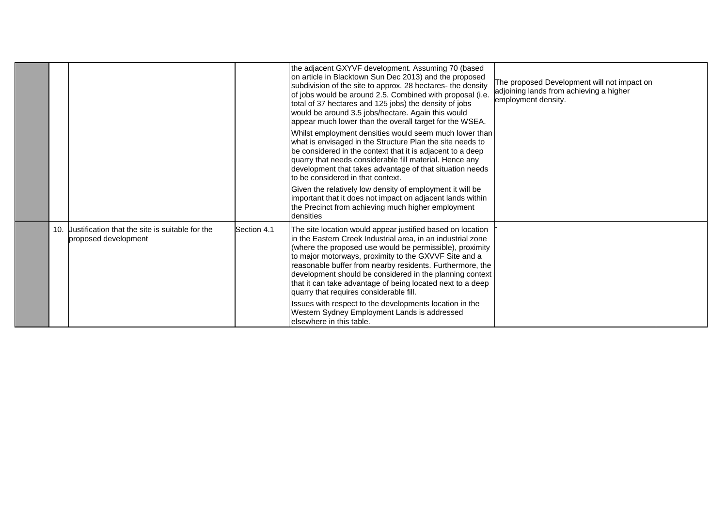|     |                                                                         |             | the adjacent GXYVF development. Assuming 70 (based<br>on article in Blacktown Sun Dec 2013) and the proposed<br>subdivision of the site to approx. 28 hectares- the density<br>of jobs would be around 2.5. Combined with proposal (i.e.<br>total of 37 hectares and 125 jobs) the density of jobs<br>would be around 3.5 jobs/hectare. Again this would<br>appear much lower than the overall target for the WSEA.                                                               | The proposed Development will not impact on<br>adjoining lands from achieving a higher<br>employment density. |  |
|-----|-------------------------------------------------------------------------|-------------|-----------------------------------------------------------------------------------------------------------------------------------------------------------------------------------------------------------------------------------------------------------------------------------------------------------------------------------------------------------------------------------------------------------------------------------------------------------------------------------|---------------------------------------------------------------------------------------------------------------|--|
|     |                                                                         |             | Whilst employment densities would seem much lower than<br>what is envisaged in the Structure Plan the site needs to<br>be considered in the context that it is adjacent to a deep<br>quarry that needs considerable fill material. Hence any<br>development that takes advantage of that situation needs<br>to be considered in that context.                                                                                                                                     |                                                                                                               |  |
|     |                                                                         |             | Given the relatively low density of employment it will be<br>important that it does not impact on adjacent lands within<br>the Precinct from achieving much higher employment<br>densities                                                                                                                                                                                                                                                                                        |                                                                                                               |  |
| 10. | Justification that the site is suitable for the<br>proposed development | Section 4.1 | The site location would appear justified based on location<br>lin the Eastern Creek Industrial area, in an industrial zone<br>(where the proposed use would be permissible), proximity<br>to major motorways, proximity to the GXVVF Site and a<br>reasonable buffer from nearby residents. Furthermore, the<br>development should be considered in the planning context<br>that it can take advantage of being located next to a deep<br>quarry that requires considerable fill. |                                                                                                               |  |
|     |                                                                         |             | Issues with respect to the developments location in the<br>Western Sydney Employment Lands is addressed<br>llelsewhere in this table.                                                                                                                                                                                                                                                                                                                                             |                                                                                                               |  |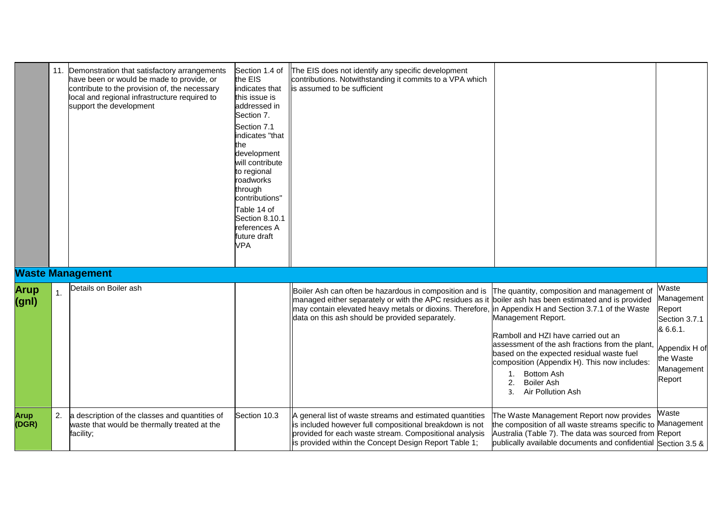|                      |    | 11. Demonstration that satisfactory arrangements<br>have been or would be made to provide, or<br>contribute to the provision of, the necessary<br>local and regional infrastructure required to<br>support the development | Section 1.4 of<br>the EIS<br>indicates that<br>this issue is<br>addressed in<br>Section 7.<br>Section 7.1<br>indicates "that<br>the<br>development<br>will contribute<br>to regional<br>roadworks<br>through<br>contributions"<br>Table 14 of<br>Section 8.10.1<br>references A<br>future draft<br><b>VPA</b> | The EIS does not identify any specific development<br>contributions. Notwithstanding it commits to a VPA which<br>is assumed to be sufficient                                                                                                                                                                                 |                                                                                                                                                                                                                                                                                                                                     |                                                                                                                  |
|----------------------|----|----------------------------------------------------------------------------------------------------------------------------------------------------------------------------------------------------------------------------|---------------------------------------------------------------------------------------------------------------------------------------------------------------------------------------------------------------------------------------------------------------------------------------------------------------|-------------------------------------------------------------------------------------------------------------------------------------------------------------------------------------------------------------------------------------------------------------------------------------------------------------------------------|-------------------------------------------------------------------------------------------------------------------------------------------------------------------------------------------------------------------------------------------------------------------------------------------------------------------------------------|------------------------------------------------------------------------------------------------------------------|
|                      |    | <b>Waste Management</b>                                                                                                                                                                                                    |                                                                                                                                                                                                                                                                                                               |                                                                                                                                                                                                                                                                                                                               |                                                                                                                                                                                                                                                                                                                                     |                                                                                                                  |
| <b>Arup</b><br>(gnl) | 1. | Details on Boiler ash                                                                                                                                                                                                      |                                                                                                                                                                                                                                                                                                               | Boiler Ash can often be hazardous in composition and is<br>managed either separately or with the APC residues as it boiler ash has been estimated and is provided<br>may contain elevated heavy metals or dioxins. Therefore, in Appendix H and Section 3.7.1 of the Waste<br>data on this ash should be provided separately. | The quantity, composition and management of<br>Management Report.<br>Ramboll and HZI have carried out an<br>assessment of the ash fractions from the plant,<br>based on the expected residual waste fuel<br>composition (Appendix H). This now includes:<br><b>Bottom Ash</b><br><b>Boiler Ash</b><br>2.<br>Air Pollution Ash<br>3. | Waste<br>Management<br>Report<br>Section 3.7.1<br>& 6.6.1.<br>Appendix H of<br>the Waste<br>Management<br>Report |
| <b>Arup</b><br>(DGR) | 2. | a description of the classes and quantities of<br>waste that would be thermally treated at the<br>facility;                                                                                                                | Section 10.3                                                                                                                                                                                                                                                                                                  | A general list of waste streams and estimated quantities<br>is included however full compositional breakdown is not<br>provided for each waste stream. Compositional analysis<br>is provided within the Concept Design Report Table 1;                                                                                        | The Waste Management Report now provides<br>the composition of all waste streams specific to Management<br>Australia (Table 7). The data was sourced from Report<br>publically available documents and confidential Section 3.5 &                                                                                                   | Waste                                                                                                            |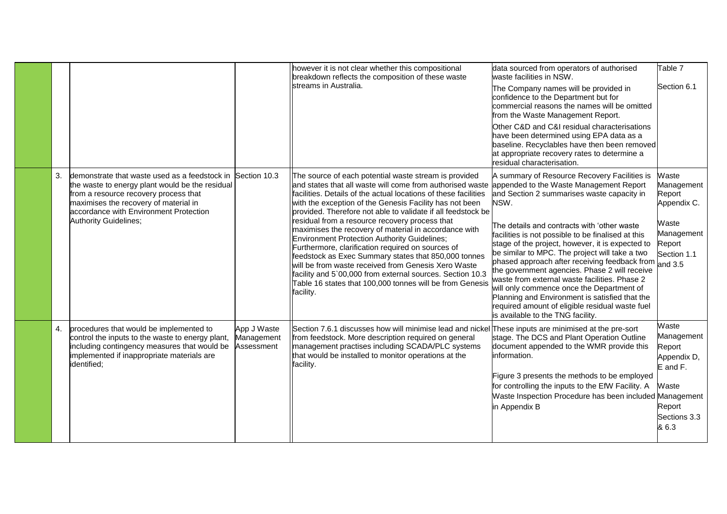|    |                                                                                                                                                                                                                                                                           |                                         | however it is not clear whether this compositional<br>breakdown reflects the composition of these waste<br>streams in Australia.                                                                                                                                                                                                                                                                                                                                                                                                                                                                                                                                                                                                                                                      | data sourced from operators of authorised<br>waste facilities in NSW.<br>The Company names will be provided in<br>confidence to the Department but for<br>commercial reasons the names will be omitted<br>from the Waste Management Report.<br>Other C&D and C&I residual characterisations<br>have been determined using EPA data as a<br>baseline. Recyclables have then been removed<br>at appropriate recovery rates to determine a<br>residual characterisation.                                                                                                                                                                                                                                      | Table 7<br>Section 6.1                                                                               |
|----|---------------------------------------------------------------------------------------------------------------------------------------------------------------------------------------------------------------------------------------------------------------------------|-----------------------------------------|---------------------------------------------------------------------------------------------------------------------------------------------------------------------------------------------------------------------------------------------------------------------------------------------------------------------------------------------------------------------------------------------------------------------------------------------------------------------------------------------------------------------------------------------------------------------------------------------------------------------------------------------------------------------------------------------------------------------------------------------------------------------------------------|------------------------------------------------------------------------------------------------------------------------------------------------------------------------------------------------------------------------------------------------------------------------------------------------------------------------------------------------------------------------------------------------------------------------------------------------------------------------------------------------------------------------------------------------------------------------------------------------------------------------------------------------------------------------------------------------------------|------------------------------------------------------------------------------------------------------|
| 3. | demonstrate that waste used as a feedstock in Section 10.3<br>the waste to energy plant would be the residual<br>from a resource recovery process that<br>maximises the recovery of material in<br>accordance with Environment Protection<br><b>Authority Guidelines;</b> |                                         | The source of each potential waste stream is provided<br>and states that all waste will come from authorised waste<br>facilities. Details of the actual locations of these facilities<br>with the exception of the Genesis Facility has not been<br>provided. Therefore not able to validate if all feedstock be<br>residual from a resource recovery process that<br>maximises the recovery of material in accordance with<br>Environment Protection Authority Guidelines;<br>Furthermore, clarification required on sources of<br>feedstock as Exec Summary states that 850,000 tonnes<br>will be from waste received from Genesis Xero Waste<br>facility and 5`00,000 from external sources. Section 10.3<br>Table 16 states that 100,000 tonnes will be from Genesis<br>facility. | A summary of Resource Recovery Facilities is<br>appended to the Waste Management Report<br>and Section 2 summarises waste capacity in<br>NSW.<br>The details and contracts with 'other waste<br>facilities is not possible to be finalised at this<br>stage of the project, however, it is expected to<br>be similar to MPC. The project will take a two<br>phased approach after receiving feedback from and 3.5<br>the government agencies. Phase 2 will receive<br>waste from external waste facilities. Phase 2<br>will only commence once the Department of<br>Planning and Environment is satisfied that the<br>required amount of eligible residual waste fuel<br>is available to the TNG facility. | Waste<br>Management<br>Report<br>Appendix C.<br>Waste<br>Management<br>Report<br>Section 1.1         |
| 4. | procedures that would be implemented to<br>control the inputs to the waste to energy plant,<br>including contingency measures that would be<br>implemented if inappropriate materials are<br>identified;                                                                  | App J Waste<br>Management<br>Assessment | Section 7.6.1 discusses how will minimise lead and nickel These inputs are minimised at the pre-sort<br>from feedstock. More description required on general<br>management practises including SCADA/PLC systems<br>that would be installed to monitor operations at the<br>facility.                                                                                                                                                                                                                                                                                                                                                                                                                                                                                                 | stage. The DCS and Plant Operation Outline<br>document appended to the WMR provide this<br>information.<br>Figure 3 presents the methods to be employed<br>for controlling the inputs to the EfW Facility. A<br>Waste Inspection Procedure has been included Management<br>in Appendix B                                                                                                                                                                                                                                                                                                                                                                                                                   | Waste<br>Management<br>Report<br>Appendix D,<br>E and F.<br>Waste<br>Report<br>Sections 3.3<br>& 6.3 |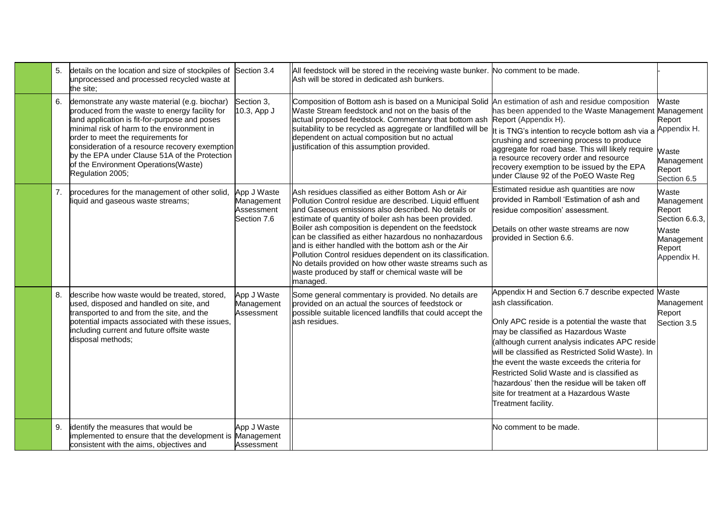|    | details on the location and size of stockpiles of Section 3.4<br>unprocessed and processed recycled waste at<br>the site;                                                                                                                                                                                                                                                                           |                                                        | All feedstock will be stored in the receiving waste bunker. No comment to be made.<br>Ash will be stored in dedicated ash bunkers.                                                                                                                                                                                                                                                                                                                                                                                                                                                                 |                                                                                                                                                                                                                                                                                                                                                                                                                                                                                              |                                                                                                 |
|----|-----------------------------------------------------------------------------------------------------------------------------------------------------------------------------------------------------------------------------------------------------------------------------------------------------------------------------------------------------------------------------------------------------|--------------------------------------------------------|----------------------------------------------------------------------------------------------------------------------------------------------------------------------------------------------------------------------------------------------------------------------------------------------------------------------------------------------------------------------------------------------------------------------------------------------------------------------------------------------------------------------------------------------------------------------------------------------------|----------------------------------------------------------------------------------------------------------------------------------------------------------------------------------------------------------------------------------------------------------------------------------------------------------------------------------------------------------------------------------------------------------------------------------------------------------------------------------------------|-------------------------------------------------------------------------------------------------|
| 6. | demonstrate any waste material (e.g. biochar)<br>produced from the waste to energy facility for<br>land application is fit-for-purpose and poses<br>minimal risk of harm to the environment in<br>order to meet the requirements for<br>consideration of a resource recovery exemption<br>by the EPA under Clause 51A of the Protection<br>of the Environment Operations(Waste)<br>Regulation 2005; | Section 3,<br>10.3, App J                              | Composition of Bottom ash is based on a Municipal Solid An estimation of ash and residue composition<br>Waste Stream feedstock and not on the basis of the<br>actual proposed feedstock. Commentary that bottom ash Report (Appendix H).<br>suitability to be recycled as aggregate or landfilled will be<br>dependent on actual composition but no actual<br>ustification of this assumption provided.                                                                                                                                                                                            | has been appended to the Waste Management Management<br>It is TNG's intention to recycle bottom ash via a<br>crushing and screening process to produce<br>aggregate for road base. This will likely require<br>a resource recovery order and resource<br>recovery exemption to be issued by the EPA<br>under Clause 92 of the PoEO Waste Reg                                                                                                                                                 | Waste<br>Report<br>Appendix H.<br>Waste<br>Management<br>Report<br>Section 6.5                  |
|    | procedures for the management of other solid,<br>liquid and gaseous waste streams;                                                                                                                                                                                                                                                                                                                  | App J Waste<br>Management<br>Assessment<br>Section 7.6 | Ash residues classified as either Bottom Ash or Air<br>Pollution Control residue are described. Liquid effluent<br>and Gaseous emissions also described. No details or<br>estimate of quantity of boiler ash has been provided.<br>Boiler ash composition is dependent on the feedstock<br>can be classified as either hazardous no nonhazardous<br>and is either handled with the bottom ash or the Air<br>Pollution Control residues dependent on its classification.<br>No details provided on how other waste streams such as<br>waste produced by staff or chemical waste will be<br>managed. | Estimated residue ash quantities are now<br>provided in Ramboll 'Estimation of ash and<br>residue composition' assessment.<br>Details on other waste streams are now<br>provided in Section 6.6.                                                                                                                                                                                                                                                                                             | Waste<br>Management<br>Report<br>Section 6.6.3,<br>Waste<br>Management<br>Report<br>Appendix H. |
| 8. | describe how waste would be treated, stored,<br>used, disposed and handled on site, and<br>transported to and from the site, and the<br>potential impacts associated with these issues,<br>including current and future offsite waste<br>disposal methods;                                                                                                                                          | App J Waste<br>Management<br>Assessment                | Some general commentary is provided. No details are<br>provided on an actual the sources of feedstock or<br>possible suitable licenced landfills that could accept the<br>ash residues.                                                                                                                                                                                                                                                                                                                                                                                                            | Appendix H and Section 6.7 describe expected Maste<br>ash classification.<br>Only APC reside is a potential the waste that<br>may be classified as Hazardous Waste<br>(although current analysis indicates APC reside<br>will be classified as Restricted Solid Waste). In<br>the event the waste exceeds the criteria for<br>Restricted Solid Waste and is classified as<br>hazardous' then the residue will be taken off<br>site for treatment at a Hazardous Waste<br>Treatment facility. | Management<br>Report<br>Section 3.5                                                             |
| 9. | identify the measures that would be<br>implemented to ensure that the development is Management<br>consistent with the aims, objectives and                                                                                                                                                                                                                                                         | App J Waste<br>Assessment                              |                                                                                                                                                                                                                                                                                                                                                                                                                                                                                                                                                                                                    | No comment to be made.                                                                                                                                                                                                                                                                                                                                                                                                                                                                       |                                                                                                 |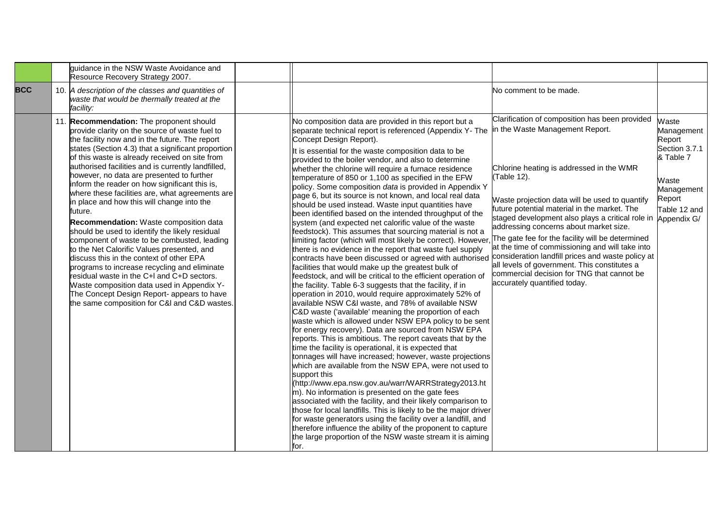|            | quidance in the NSW Waste Avoidance and<br>Resource Recovery Strategy 2007.                                                                                                                                                                                                                                                                                                                                                                                                                                                                                                                                                                                                                                                                                                                                                                                                                                                                                                                                |                                                                                                                                                                                                                                                                                                                                                                                                                                                                                                                                                                                                                                                                                                                                                                                                                                                                                                                                                                                                                                                                                                                                                                                                                                                                                                                                                                                                                                                                                                                                                                                                                                                                                                                                                                                                                                                                                                                                                                                                                                                                                                                               |                                                                                                                                                                                                                                                                                                                                                                                                                                                                                                                                                                                                                                        |                                                                                                                             |
|------------|------------------------------------------------------------------------------------------------------------------------------------------------------------------------------------------------------------------------------------------------------------------------------------------------------------------------------------------------------------------------------------------------------------------------------------------------------------------------------------------------------------------------------------------------------------------------------------------------------------------------------------------------------------------------------------------------------------------------------------------------------------------------------------------------------------------------------------------------------------------------------------------------------------------------------------------------------------------------------------------------------------|-------------------------------------------------------------------------------------------------------------------------------------------------------------------------------------------------------------------------------------------------------------------------------------------------------------------------------------------------------------------------------------------------------------------------------------------------------------------------------------------------------------------------------------------------------------------------------------------------------------------------------------------------------------------------------------------------------------------------------------------------------------------------------------------------------------------------------------------------------------------------------------------------------------------------------------------------------------------------------------------------------------------------------------------------------------------------------------------------------------------------------------------------------------------------------------------------------------------------------------------------------------------------------------------------------------------------------------------------------------------------------------------------------------------------------------------------------------------------------------------------------------------------------------------------------------------------------------------------------------------------------------------------------------------------------------------------------------------------------------------------------------------------------------------------------------------------------------------------------------------------------------------------------------------------------------------------------------------------------------------------------------------------------------------------------------------------------------------------------------------------------|----------------------------------------------------------------------------------------------------------------------------------------------------------------------------------------------------------------------------------------------------------------------------------------------------------------------------------------------------------------------------------------------------------------------------------------------------------------------------------------------------------------------------------------------------------------------------------------------------------------------------------------|-----------------------------------------------------------------------------------------------------------------------------|
| <b>BCC</b> | 10. A description of the classes and quantities of<br>waste that would be thermally treated at the<br>facility:                                                                                                                                                                                                                                                                                                                                                                                                                                                                                                                                                                                                                                                                                                                                                                                                                                                                                            |                                                                                                                                                                                                                                                                                                                                                                                                                                                                                                                                                                                                                                                                                                                                                                                                                                                                                                                                                                                                                                                                                                                                                                                                                                                                                                                                                                                                                                                                                                                                                                                                                                                                                                                                                                                                                                                                                                                                                                                                                                                                                                                               | No comment to be made.                                                                                                                                                                                                                                                                                                                                                                                                                                                                                                                                                                                                                 |                                                                                                                             |
|            | 11. Recommendation: The proponent should<br>provide clarity on the source of waste fuel to<br>the facility now and in the future. The report<br>states (Section 4.3) that a significant proportion<br>of this waste is already received on site from<br>authorised facilities and is currently landfilled,<br>however, no data are presented to further<br>inform the reader on how significant this is,<br>where these facilities are, what agreements are<br>in place and how this will change into the<br>future.<br><b>Recommendation:</b> Waste composition data<br>should be used to identify the likely residual<br>component of waste to be combusted, leading<br>to the Net Calorific Values presented, and<br>discuss this in the context of other EPA<br>programs to increase recycling and eliminate<br>residual waste in the C+I and C+D sectors.<br>Waste composition data used in Appendix Y-<br>The Concept Design Report- appears to have<br>the same composition for C&I and C&D wastes. | No composition data are provided in this report but a<br>separate technical report is referenced (Appendix Y-The<br>Concept Design Report).<br>It is essential for the waste composition data to be<br>provided to the boiler vendor, and also to determine<br>whether the chlorine will require a furnace residence<br>temperature of 850 or 1,100 as specified in the EFW<br>policy. Some composition data is provided in Appendix Y<br>page 6, but its source is not known, and local real data<br>should be used instead. Waste input quantities have<br>been identified based on the intended throughput of the<br>system (and expected net calorific value of the waste<br>feedstock). This assumes that sourcing material is not a<br>limiting factor (which will most likely be correct). However<br>there is no evidence in the report that waste fuel supply<br>contracts have been discussed or agreed with authorised<br>facilities that would make up the greatest bulk of<br>feedstock, and will be critical to the efficient operation of<br>the facility. Table 6-3 suggests that the facility, if in<br>operation in 2010, would require approximately 52% of<br>available NSW C&I waste, and 78% of available NSW<br>C&D waste ('available' meaning the proportion of each<br>waste which is allowed under NSW EPA policy to be sent<br>for energy recovery). Data are sourced from NSW EPA<br>reports. This is ambitious. The report caveats that by the<br>time the facility is operational, it is expected that<br>tonnages will have increased; however, waste projections<br>which are available from the NSW EPA, were not used to<br>support this<br>(http://www.epa.nsw.gov.au/warr/WARRStrategy2013.ht<br>m). No information is presented on the gate fees<br>associated with the facility, and their likely comparison to<br>those for local landfills. This is likely to be the major driver<br>for waste generators using the facility over a landfill, and<br>therefore influence the ability of the proponent to capture<br>the large proportion of the NSW waste stream it is aiming<br>for. | Clarification of composition has been provided<br>in the Waste Management Report.<br>Chlorine heating is addressed in the WMR<br>(Table 12).<br>Waste projection data will be used to quantify<br>future potential material in the market. The<br>staged development also plays a critical role in<br>addressing concerns about market size.<br>The gate fee for the facility will be determined<br>at the time of commissioning and will take into<br>consideration landfill prices and waste policy at<br>all levels of government. This constitutes a<br>commercial decision for TNG that cannot be<br>accurately quantified today. | Waste<br>Management<br>Report<br>Section 3.7.1<br>& Table 7<br>Waste<br>Management<br>Report<br>Table 12 and<br>Appendix G/ |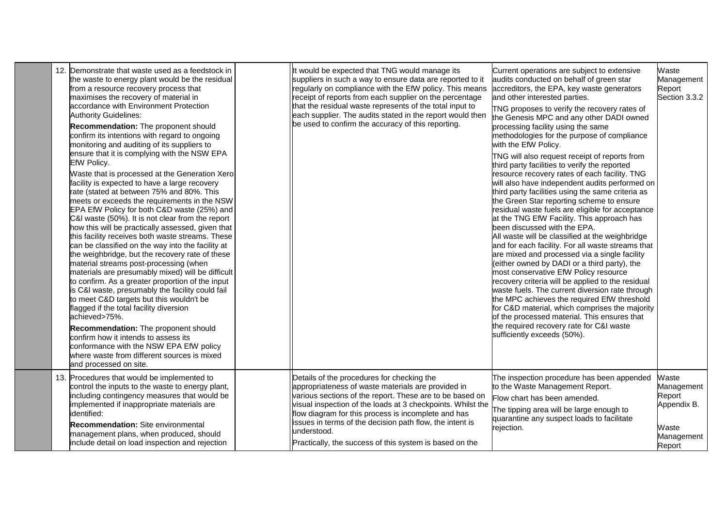| 12. Demonstrate that waste used as a feedstock in<br>the waste to energy plant would be the residual<br>from a resource recovery process that<br>maximises the recovery of material in<br>accordance with Environment Protection<br><b>Authority Guidelines:</b><br>Recommendation: The proponent should<br>confirm its intentions with regard to ongoing<br>monitoring and auditing of its suppliers to<br>ensure that it is complying with the NSW EPA<br>EfW Policy.<br>Waste that is processed at the Generation Xero<br>facility is expected to have a large recovery<br>rate (stated at between 75% and 80%. This<br>meets or exceeds the requirements in the NSW<br>EPA EfW Policy for both C&D waste (25%) and<br>C&I waste (50%). It is not clear from the report<br>how this will be practically assessed, given that<br>this facility receives both waste streams. These<br>can be classified on the way into the facility at<br>the weighbridge, but the recovery rate of these<br>material streams post-processing (when<br>materials are presumably mixed) will be difficult<br>to confirm. As a greater proportion of the input<br>is C&I waste, presumably the facility could fail<br>to meet C&D targets but this wouldn't be<br>flagged if the total facility diversion<br>achieved>75%.<br>Recommendation: The proponent should<br>confirm how it intends to assess its<br>conformance with the NSW EPA EfW policy<br>where waste from different sources is mixed<br>and processed on site. | It would be expected that TNG would manage its<br>suppliers in such a way to ensure data are reported to it<br>regularly on compliance with the EfW policy. This means<br>receipt of reports from each supplier on the percentage<br>that the residual waste represents of the total input to<br>each supplier. The audits stated in the report would then<br>be used to confirm the accuracy of this reporting.         | Current operations are subject to extensive<br>audits conducted on behalf of green star<br>accreditors, the EPA, key waste generators<br>and other interested parties.<br>TNG proposes to verify the recovery rates of<br>the Genesis MPC and any other DADI owned<br>processing facility using the same<br>methodologies for the purpose of compliance<br>with the EfW Policy.<br>TNG will also request receipt of reports from<br>third party facilities to verify the reported<br>resource recovery rates of each facility. TNG<br>will also have independent audits performed on<br>third party facilities using the same criteria as<br>the Green Star reporting scheme to ensure<br>residual waste fuels are eligible for acceptance<br>at the TNG EfW Facility. This approach has<br>been discussed with the EPA.<br>All waste will be classified at the weighbridge<br>and for each facility. For all waste streams that<br>are mixed and processed via a single facility<br>(either owned by DADI or a third party), the<br>most conservative EfW Policy resource<br>recovery criteria will be applied to the residual<br>waste fuels. The current diversion rate through<br>the MPC achieves the required EfW threshold<br>for C&D material, which comprises the majority<br>of the processed material. This ensures that<br>the required recovery rate for C&I waste<br>sufficiently exceeds (50%). | Waste<br>Management<br>Report<br>Section 3.3.2                                |
|----------------------------------------------------------------------------------------------------------------------------------------------------------------------------------------------------------------------------------------------------------------------------------------------------------------------------------------------------------------------------------------------------------------------------------------------------------------------------------------------------------------------------------------------------------------------------------------------------------------------------------------------------------------------------------------------------------------------------------------------------------------------------------------------------------------------------------------------------------------------------------------------------------------------------------------------------------------------------------------------------------------------------------------------------------------------------------------------------------------------------------------------------------------------------------------------------------------------------------------------------------------------------------------------------------------------------------------------------------------------------------------------------------------------------------------------------------------------------------------------------------------|--------------------------------------------------------------------------------------------------------------------------------------------------------------------------------------------------------------------------------------------------------------------------------------------------------------------------------------------------------------------------------------------------------------------------|----------------------------------------------------------------------------------------------------------------------------------------------------------------------------------------------------------------------------------------------------------------------------------------------------------------------------------------------------------------------------------------------------------------------------------------------------------------------------------------------------------------------------------------------------------------------------------------------------------------------------------------------------------------------------------------------------------------------------------------------------------------------------------------------------------------------------------------------------------------------------------------------------------------------------------------------------------------------------------------------------------------------------------------------------------------------------------------------------------------------------------------------------------------------------------------------------------------------------------------------------------------------------------------------------------------------------------------------------------------------------------------------------------------|-------------------------------------------------------------------------------|
| 13. Procedures that would be implemented to<br>control the inputs to the waste to energy plant,<br>including contingency measures that would be<br>implemented if inappropriate materials are<br>identified:<br>Recommendation: Site environmental<br>management plans, when produced, should<br>include detail on load inspection and rejection                                                                                                                                                                                                                                                                                                                                                                                                                                                                                                                                                                                                                                                                                                                                                                                                                                                                                                                                                                                                                                                                                                                                                               | Details of the procedures for checking the<br>appropriateness of waste materials are provided in<br>various sections of the report. These are to be based on<br>visual inspection of the loads at 3 checkpoints. Whilst the<br>flow diagram for this process is incomplete and has<br>issues in terms of the decision path flow, the intent is<br>understood.<br>Practically, the success of this system is based on the | The inspection procedure has been appended<br>to the Waste Management Report.<br>Flow chart has been amended.<br>The tipping area will be large enough to<br>quarantine any suspect loads to facilitate<br>rejection.                                                                                                                                                                                                                                                                                                                                                                                                                                                                                                                                                                                                                                                                                                                                                                                                                                                                                                                                                                                                                                                                                                                                                                                          | Waste<br>Management<br>Report<br>Appendix B.<br>Waste<br>Management<br>Report |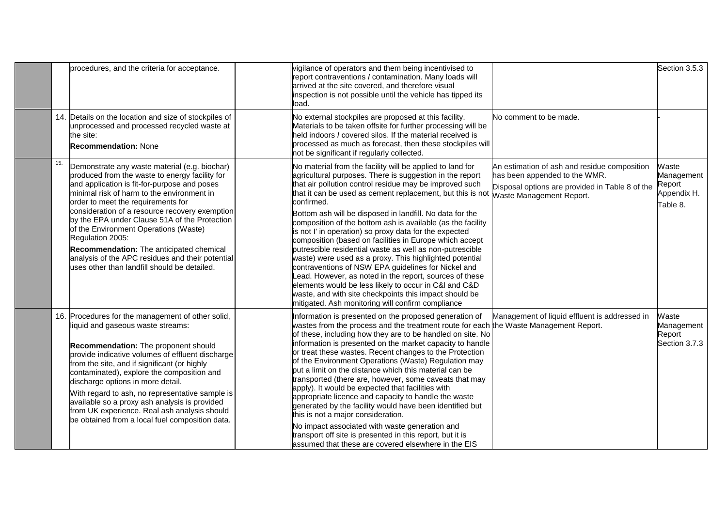|     | procedures, and the criteria for acceptance.                                                                                                                                                                                                                                                                                                                                                                                                                                                                                                        | vigilance of operators and them being incentivised to<br>report contraventions / contamination. Many loads will<br>arrived at the site covered, and therefore visual<br>inspection is not possible until the vehicle has tipped its<br>load.                                                                                                                                                                                                                                                                                                                                                                                                                                                                                                                                                                                                                                                                                 |                                                                                                                                                              | Section 3.5.3                                            |
|-----|-----------------------------------------------------------------------------------------------------------------------------------------------------------------------------------------------------------------------------------------------------------------------------------------------------------------------------------------------------------------------------------------------------------------------------------------------------------------------------------------------------------------------------------------------------|------------------------------------------------------------------------------------------------------------------------------------------------------------------------------------------------------------------------------------------------------------------------------------------------------------------------------------------------------------------------------------------------------------------------------------------------------------------------------------------------------------------------------------------------------------------------------------------------------------------------------------------------------------------------------------------------------------------------------------------------------------------------------------------------------------------------------------------------------------------------------------------------------------------------------|--------------------------------------------------------------------------------------------------------------------------------------------------------------|----------------------------------------------------------|
|     | 14. Details on the location and size of stockpiles of<br>unprocessed and processed recycled waste at<br>the site:<br><b>Recommendation: None</b>                                                                                                                                                                                                                                                                                                                                                                                                    | No external stockpiles are proposed at this facility.<br>Materials to be taken offsite for further processing will be<br>held indoors I covered silos. If the material received is<br>processed as much as forecast, then these stockpiles will<br>not be significant if regularly collected.                                                                                                                                                                                                                                                                                                                                                                                                                                                                                                                                                                                                                                | No comment to be made.                                                                                                                                       |                                                          |
| 15. | Demonstrate any waste material (e.g. biochar)<br>produced from the waste to energy facility for<br>and application is fit-for-purpose and poses<br>minimal risk of harm to the environment in<br>order to meet the requirements for<br>consideration of a resource recovery exemption<br>by the EPA under Clause 51A of the Protection<br>of the Environment Operations (Waste)<br>Regulation 2005:<br>Recommendation: The anticipated chemical<br>analysis of the APC residues and their potential<br>uses other than landfill should be detailed. | No material from the facility will be applied to land for<br>agricultural purposes. There is suggestion in the report<br>that air pollution control residue may be improved such<br>that it can be used as cement replacement, but this is not<br>confirmed.<br>Bottom ash will be disposed in landfill. No data for the<br>composition of the bottom ash is available (as the facility<br>is not I' in operation) so proxy data for the expected<br>composition (based on facilities in Europe which accept<br>putrescible residential waste as well as non-putrescible<br>waste) were used as a proxy. This highlighted potential<br>contraventions of NSW EPA guidelines for Nickel and<br>ead. However, as noted in the report, sources of these<br>elements would be less likely to occur in C&I and C&D<br>waste, and with site checkpoints this impact should be<br>mitigated. Ash monitoring will confirm compliance | An estimation of ash and residue composition<br>has been appended to the WMR.<br>Disposal options are provided in Table 8 of the<br>Waste Management Report. | Waste<br>Management<br>Report<br>Appendix H.<br>Table 8. |
|     | 16. Procedures for the management of other solid,<br>liquid and gaseous waste streams:<br>Recommendation: The proponent should<br>provide indicative volumes of effluent discharge<br>from the site, and if significant (or highly<br>contaminated), explore the composition and<br>discharge options in more detail.<br>With regard to ash, no representative sample is<br>available so a proxy ash analysis is provided<br>from UK experience. Real ash analysis should<br>be obtained from a local fuel composition data.                        | Information is presented on the proposed generation of<br>wastes from the process and the treatment route for each the Waste Management Report.<br>of these, including how they are to be handled on site. No<br>information is presented on the market capacity to handle<br>or treat these wastes. Recent changes to the Protection<br>of the Environment Operations (Waste) Regulation may<br>put a limit on the distance which this material can be<br>transported (there are, however, some caveats that may<br>apply). It would be expected that facilities with<br>appropriate licence and capacity to handle the waste<br>generated by the facility would have been identified but<br>this is not a major consideration.<br>No impact associated with waste generation and<br>transport off site is presented in this report, but it is<br>assumed that these are covered elsewhere in the EIS                       | Management of liquid effluent is addressed in                                                                                                                | Waste<br>Management<br>Report<br>Section 3.7.3           |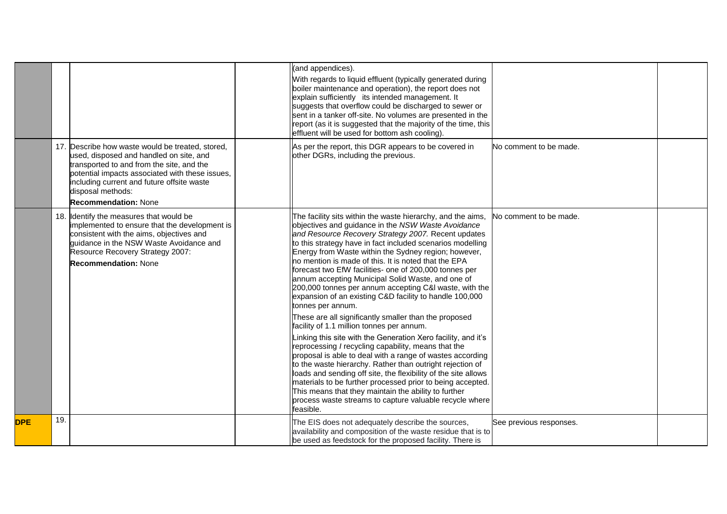|            |     |                                                                                                                                                                                                                                                                                               | (and appendices).<br>With regards to liquid effluent (typically generated during<br>boiler maintenance and operation), the report does not<br>explain sufficiently its intended management. It<br>suggests that overflow could be discharged to sewer or<br>sent in a tanker off-site. No volumes are presented in the<br>report (as it is suggested that the majority of the time, this<br>effluent will be used for bottom ash cooling).                                                                                                                                                                                                                                                                                                                                                                                                                                                                                                                                                                                                                                                                                                                                                                                              |                         |  |
|------------|-----|-----------------------------------------------------------------------------------------------------------------------------------------------------------------------------------------------------------------------------------------------------------------------------------------------|-----------------------------------------------------------------------------------------------------------------------------------------------------------------------------------------------------------------------------------------------------------------------------------------------------------------------------------------------------------------------------------------------------------------------------------------------------------------------------------------------------------------------------------------------------------------------------------------------------------------------------------------------------------------------------------------------------------------------------------------------------------------------------------------------------------------------------------------------------------------------------------------------------------------------------------------------------------------------------------------------------------------------------------------------------------------------------------------------------------------------------------------------------------------------------------------------------------------------------------------|-------------------------|--|
|            |     | 17. Describe how waste would be treated, stored.<br>used, disposed and handled on site, and<br>transported to and from the site, and the<br>potential impacts associated with these issues,<br>including current and future offsite waste<br>disposal methods:<br><b>Recommendation: None</b> | As per the report, this DGR appears to be covered in<br>other DGRs, including the previous.                                                                                                                                                                                                                                                                                                                                                                                                                                                                                                                                                                                                                                                                                                                                                                                                                                                                                                                                                                                                                                                                                                                                             | No comment to be made.  |  |
|            |     | 18. Identify the measures that would be<br>implemented to ensure that the development is<br>consistent with the aims, objectives and<br>quidance in the NSW Waste Avoidance and<br>Resource Recovery Strategy 2007:<br><b>Recommendation: None</b>                                            | The facility sits within the waste hierarchy, and the aims,<br>objectives and guidance in the NSW Waste Avoidance<br>and Resource Recovery Strategy 2007. Recent updates<br>to this strategy have in fact included scenarios modelling<br>Energy from Waste within the Sydney region; however,<br>no mention is made of this. It is noted that the EPA<br>forecast two EfW facilities- one of 200,000 tonnes per<br>annum accepting Municipal Solid Waste, and one of<br>200,000 tonnes per annum accepting C&I waste, with the<br>expansion of an existing C&D facility to handle 100,000<br>tonnes per annum.<br>These are all significantly smaller than the proposed<br>facility of 1.1 million tonnes per annum.<br>Linking this site with the Generation Xero facility, and it's<br>reprocessing I recycling capability, means that the<br>proposal is able to deal with a range of wastes according<br>to the waste hierarchy. Rather than outright rejection of<br>loads and sending off site, the flexibility of the site allows<br>materials to be further processed prior to being accepted.<br>This means that they maintain the ability to further<br>process waste streams to capture valuable recycle where<br>feasible. | No comment to be made.  |  |
| <b>DPE</b> | 19. |                                                                                                                                                                                                                                                                                               | The EIS does not adequately describe the sources,<br>availability and composition of the waste residue that is to<br>be used as feedstock for the proposed facility. There is                                                                                                                                                                                                                                                                                                                                                                                                                                                                                                                                                                                                                                                                                                                                                                                                                                                                                                                                                                                                                                                           | See previous responses. |  |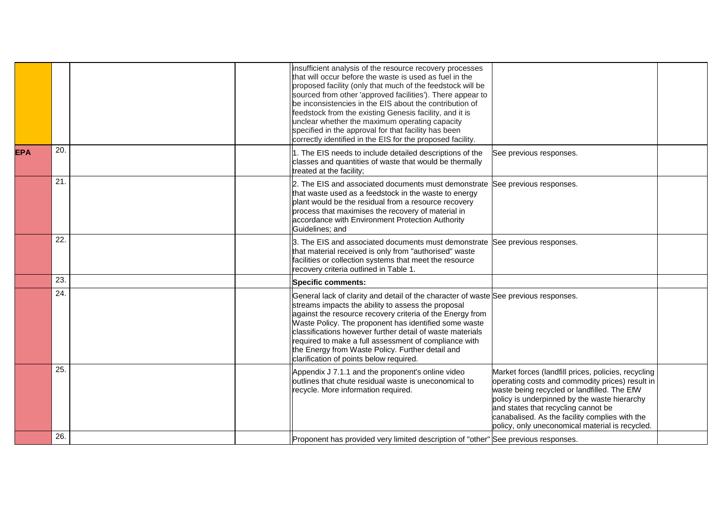|            |     | insufficient analysis of the resource recovery processes<br>that will occur before the waste is used as fuel in the<br>proposed facility (only that much of the feedstock will be<br>sourced from other 'approved facilities'). There appear to<br>be inconsistencies in the EIS about the contribution of<br>feedstock from the existing Genesis facility, and it is<br>unclear whether the maximum operating capacity<br>specified in the approval for that facility has been<br>correctly identified in the EIS for the proposed facility. |                                                                                                                                                                                                                                                                                                                                                   |  |
|------------|-----|-----------------------------------------------------------------------------------------------------------------------------------------------------------------------------------------------------------------------------------------------------------------------------------------------------------------------------------------------------------------------------------------------------------------------------------------------------------------------------------------------------------------------------------------------|---------------------------------------------------------------------------------------------------------------------------------------------------------------------------------------------------------------------------------------------------------------------------------------------------------------------------------------------------|--|
| <b>EPA</b> | 20. | 1. The EIS needs to include detailed descriptions of the<br>classes and quantities of waste that would be thermally<br>treated at the facility;                                                                                                                                                                                                                                                                                                                                                                                               | See previous responses.                                                                                                                                                                                                                                                                                                                           |  |
|            | 21. | 2. The EIS and associated documents must demonstrate See previous responses.<br>that waste used as a feedstock in the waste to energy<br>plant would be the residual from a resource recovery<br>process that maximises the recovery of material in<br>accordance with Environment Protection Authority<br>Guidelines; and                                                                                                                                                                                                                    |                                                                                                                                                                                                                                                                                                                                                   |  |
|            | 22. | 3. The EIS and associated documents must demonstrate See previous responses.<br>that material received is only from "authorised" waste<br>facilities or collection systems that meet the resource<br>recovery criteria outlined in Table 1.                                                                                                                                                                                                                                                                                                   |                                                                                                                                                                                                                                                                                                                                                   |  |
|            | 23. | <b>Specific comments:</b>                                                                                                                                                                                                                                                                                                                                                                                                                                                                                                                     |                                                                                                                                                                                                                                                                                                                                                   |  |
|            | 24. | General lack of clarity and detail of the character of waste See previous responses.<br>streams impacts the ability to assess the proposal<br>against the resource recovery criteria of the Energy from<br>Waste Policy. The proponent has identified some waste<br>classifications however further detail of waste materials<br>required to make a full assessment of compliance with<br>the Energy from Waste Policy. Further detail and<br>clarification of points below required.                                                         |                                                                                                                                                                                                                                                                                                                                                   |  |
|            | 25. | Appendix J 7.1.1 and the proponent's online video<br>outlines that chute residual waste is uneconomical to<br>recycle. More information required.                                                                                                                                                                                                                                                                                                                                                                                             | Market forces (landfill prices, policies, recycling<br>operating costs and commodity prices) result in<br>waste being recycled or landfilled. The EfW<br>policy is underpinned by the waste hierarchy<br>and states that recycling cannot be<br>canabalised. As the facility complies with the<br>policy, only uneconomical material is recycled. |  |
|            | 26. | Proponent has provided very limited description of "other" See previous responses.                                                                                                                                                                                                                                                                                                                                                                                                                                                            |                                                                                                                                                                                                                                                                                                                                                   |  |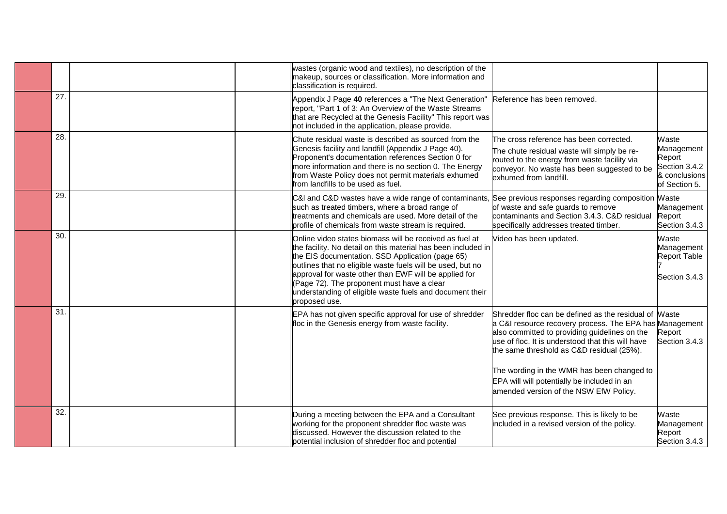|     | wastes (organic wood and textiles), no description of the<br>makeup, sources or classification. More information and<br>classification is required.                                                                                                                                                                                                                                                                            |                                                                                                                                                                                                                                                                                                                                                                                                            |                                                                                  |
|-----|--------------------------------------------------------------------------------------------------------------------------------------------------------------------------------------------------------------------------------------------------------------------------------------------------------------------------------------------------------------------------------------------------------------------------------|------------------------------------------------------------------------------------------------------------------------------------------------------------------------------------------------------------------------------------------------------------------------------------------------------------------------------------------------------------------------------------------------------------|----------------------------------------------------------------------------------|
| 27. | Appendix J Page 40 references a "The Next Generation"<br>report, "Part 1 of 3: An Overview of the Waste Streams<br>that are Recycled at the Genesis Facility" This report was<br>not included in the application, please provide.                                                                                                                                                                                              | Reference has been removed.                                                                                                                                                                                                                                                                                                                                                                                |                                                                                  |
| 28. | Chute residual waste is described as sourced from the<br>Genesis facility and landfill (Appendix J Page 40).<br>Proponent's documentation references Section 0 for<br>more information and there is no section 0. The Energy<br>from Waste Policy does not permit materials exhumed<br>from landfills to be used as fuel.                                                                                                      | The cross reference has been corrected.<br>The chute residual waste will simply be re-<br>routed to the energy from waste facility via<br>conveyor. No waste has been suggested to be<br>exhumed from landfill.                                                                                                                                                                                            | Waste<br>Management<br>Report<br>Section 3.4.2<br>& conclusions<br>of Section 5. |
| 29. | C&I and C&D wastes have a wide range of contaminants,<br>such as treated timbers, where a broad range of<br>treatments and chemicals are used. More detail of the<br>profile of chemicals from waste stream is required.                                                                                                                                                                                                       | See previous responses regarding composition Maste<br>of waste and safe guards to remove<br>contaminants and Section 3.4.3. C&D residual<br>specifically addresses treated timber.                                                                                                                                                                                                                         | Management<br>Report<br>Section 3.4.3                                            |
| 30. | Online video states biomass will be received as fuel at<br>the facility. No detail on this material has been included in<br>the EIS documentation. SSD Application (page 65)<br>outlines that no eligible waste fuels will be used, but no<br>approval for waste other than EWF will be applied for<br>(Page 72). The proponent must have a clear<br>understanding of eligible waste fuels and document their<br>proposed use. | Video has been updated.                                                                                                                                                                                                                                                                                                                                                                                    | Waste<br>Management<br><b>Report Table</b><br>Section 3.4.3                      |
| 31. | EPA has not given specific approval for use of shredder<br>floc in the Genesis energy from waste facility.                                                                                                                                                                                                                                                                                                                     | Shredder floc can be defined as the residual of Waste<br>a C&I resource recovery process. The EPA has Management<br>also committed to providing guidelines on the<br>use of floc. It is understood that this will have<br>the same threshold as C&D residual (25%).<br>The wording in the WMR has been changed to<br>EPA will will potentially be included in an<br>amended version of the NSW EfW Policy. | Report<br>Section 3.4.3                                                          |
| 32. | During a meeting between the EPA and a Consultant<br>working for the proponent shredder floc waste was<br>discussed. However the discussion related to the<br>potential inclusion of shredder floc and potential                                                                                                                                                                                                               | See previous response. This is likely to be<br>included in a revised version of the policy.                                                                                                                                                                                                                                                                                                                | Waste<br>Management<br>Report<br>Section 3.4.3                                   |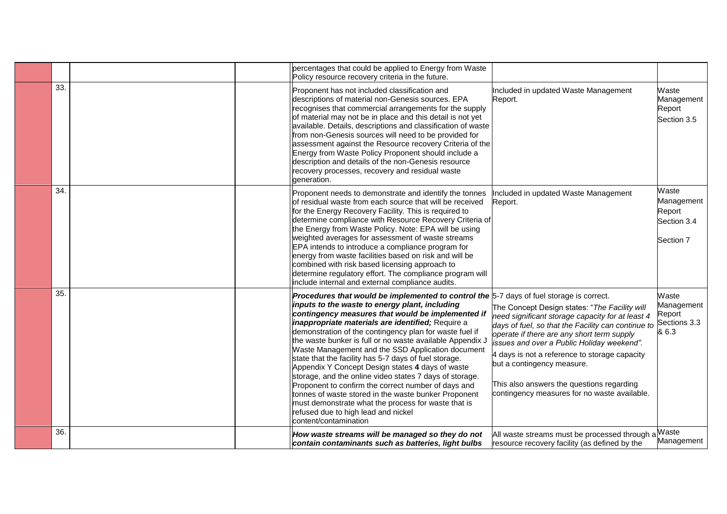|     |  | percentages that could be applied to Energy from Waste<br>Policy resource recovery criteria in the future.                                                                                                                                                                                                                                                                                                                                                                                                                                                                                                                                                                                                                                                                                                                                      |                                                                                                                                                                                                                                                                                                                                                                                                                                 |                                                           |
|-----|--|-------------------------------------------------------------------------------------------------------------------------------------------------------------------------------------------------------------------------------------------------------------------------------------------------------------------------------------------------------------------------------------------------------------------------------------------------------------------------------------------------------------------------------------------------------------------------------------------------------------------------------------------------------------------------------------------------------------------------------------------------------------------------------------------------------------------------------------------------|---------------------------------------------------------------------------------------------------------------------------------------------------------------------------------------------------------------------------------------------------------------------------------------------------------------------------------------------------------------------------------------------------------------------------------|-----------------------------------------------------------|
| 33. |  | Proponent has not included classification and<br>descriptions of material non-Genesis sources. EPA<br>recognises that commercial arrangements for the supply<br>of material may not be in place and this detail is not yet<br>available. Details, descriptions and classification of waste<br>from non-Genesis sources will need to be provided for<br>assessment against the Resource recovery Criteria of the<br>Energy from Waste Policy Proponent should include a<br>description and details of the non-Genesis resource<br>recovery processes, recovery and residual waste<br>generation.                                                                                                                                                                                                                                                 | Included in updated Waste Management<br>Report.                                                                                                                                                                                                                                                                                                                                                                                 | Waste<br>Management<br>Report<br>Section 3.5              |
| 34. |  | Proponent needs to demonstrate and identify the tonnes<br>of residual waste from each source that will be received<br>for the Energy Recovery Facility. This is required to<br>determine compliance with Resource Recovery Criteria of<br>the Energy from Waste Policy. Note: EPA will be using<br>weighted averages for assessment of waste streams<br>EPA intends to introduce a compliance program for<br>energy from waste facilities based on risk and will be<br>combined with risk based licensing approach to<br>determine regulatory effort. The compliance program will<br>include internal and external compliance audits.                                                                                                                                                                                                           | Included in updated Waste Management<br>Report.                                                                                                                                                                                                                                                                                                                                                                                 | Waste<br>Management<br>Report<br>Section 3.4<br>Section 7 |
| 35. |  | Procedures that would be implemented to control the 5-7 days of fuel storage is correct.<br>inputs to the waste to energy plant, including<br>contingency measures that would be implemented if<br>inappropriate materials are identified; Require a<br>demonstration of the contingency plan for waste fuel if<br>the waste bunker is full or no waste available Appendix J<br>Waste Management and the SSD Application document<br>state that the facility has 5-7 days of fuel storage.<br>Appendix Y Concept Design states 4 days of waste<br>storage, and the online video states 7 days of storage.<br>Proponent to confirm the correct number of days and<br>tonnes of waste stored in the waste bunker Proponent<br>must demonstrate what the process for waste that is<br>refused due to high lead and nickel<br>content/contamination | The Concept Design states: "The Facility will<br>need significant storage capacity for at least 4<br>days of fuel, so that the Facility can continue to<br>operate if there are any short term supply<br>issues and over a Public Holiday weekend".<br>4 days is not a reference to storage capacity<br>but a contingency measure.<br>This also answers the questions regarding<br>contingency measures for no waste available. | Waste<br>Management<br>Report<br>Sections 3.3<br>& 6.3    |
| 36. |  | How waste streams will be managed so they do not<br>contain contaminants such as batteries, light bulbs                                                                                                                                                                                                                                                                                                                                                                                                                                                                                                                                                                                                                                                                                                                                         | All waste streams must be processed through a<br>resource recovery facility (as defined by the                                                                                                                                                                                                                                                                                                                                  | Waste<br>Management                                       |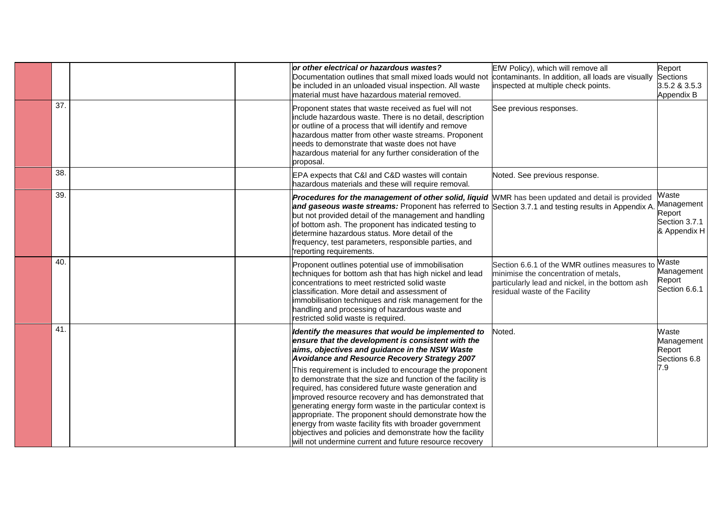|     |  | or other electrical or hazardous wastes?<br>Documentation outlines that small mixed loads would not<br>be included in an unloaded visual inspection. All waste<br>material must have hazardous material removed.                                                                                                                                                                                                                                                                                                                                | EfW Policy), which will remove all<br>contaminants. In addition, all loads are visually<br>inspected at multiple check points.                                              | Report<br><b>Sections</b><br>3.5.2 & 3.5.3<br>Appendix B       |
|-----|--|-------------------------------------------------------------------------------------------------------------------------------------------------------------------------------------------------------------------------------------------------------------------------------------------------------------------------------------------------------------------------------------------------------------------------------------------------------------------------------------------------------------------------------------------------|-----------------------------------------------------------------------------------------------------------------------------------------------------------------------------|----------------------------------------------------------------|
| 37. |  | Proponent states that waste received as fuel will not<br>include hazardous waste. There is no detail, description<br>or outline of a process that will identify and remove<br>hazardous matter from other waste streams. Proponent<br>needs to demonstrate that waste does not have<br>hazardous material for any further consideration of the<br>proposal.                                                                                                                                                                                     | See previous responses.                                                                                                                                                     |                                                                |
| 38. |  | EPA expects that C&I and C&D wastes will contain<br>hazardous materials and these will require removal.                                                                                                                                                                                                                                                                                                                                                                                                                                         | Noted. See previous response.                                                                                                                                               |                                                                |
| 39. |  | Procedures for the management of other solid, liquid WMR has been updated and detail is provided<br>and gaseous waste streams: Proponent has referred to Section 3.7.1 and testing results in Appendix A.<br>but not provided detail of the management and handling<br>of bottom ash. The proponent has indicated testing to<br>determine hazardous status. More detail of the<br>frequency, test parameters, responsible parties, and<br>reporting requirements.                                                                               |                                                                                                                                                                             | Waste<br>Management<br>Report<br>Section 3.7.1<br>& Appendix H |
| 40. |  | Proponent outlines potential use of immobilisation<br>techniques for bottom ash that has high nickel and lead<br>concentrations to meet restricted solid waste<br>classification. More detail and assessment of<br>immobilisation techniques and risk management for the<br>handling and processing of hazardous waste and<br>restricted solid waste is required.                                                                                                                                                                               | Section 6.6.1 of the WMR outlines measures to<br>minimise the concentration of metals,<br>particularly lead and nickel, in the bottom ash<br>residual waste of the Facility | Waste<br>Management<br>Report<br>Section 6.6.1                 |
| 41  |  | Identify the measures that would be implemented to<br>ensure that the development is consistent with the<br>aims, objectives and guidance in the NSW Waste<br>Avoidance and Resource Recovery Strategy 2007                                                                                                                                                                                                                                                                                                                                     | Noted.                                                                                                                                                                      | Waste<br>Management<br>Report<br>Sections 6.8                  |
|     |  | This requirement is included to encourage the proponent<br>to demonstrate that the size and function of the facility is<br>required, has considered future waste generation and<br>improved resource recovery and has demonstrated that<br>generating energy form waste in the particular context is<br>appropriate. The proponent should demonstrate how the<br>energy from waste facility fits with broader government<br>objectives and policies and demonstrate how the facility<br>will not undermine current and future resource recovery |                                                                                                                                                                             | 7.9                                                            |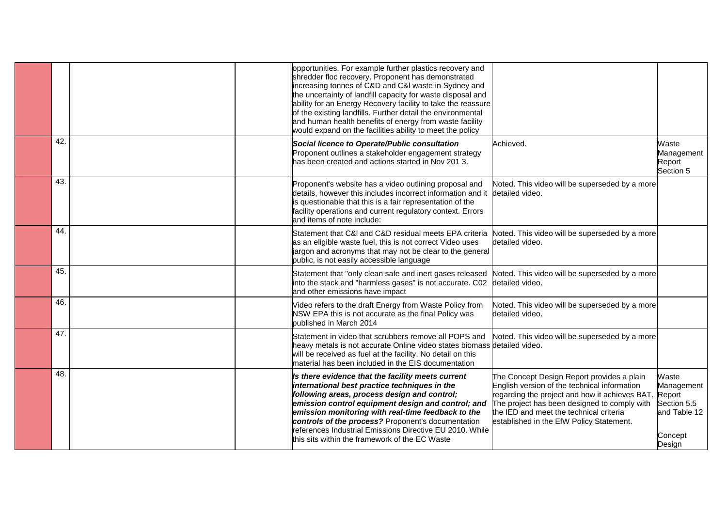|     | opportunities. For example further plastics recovery and<br>shredder floc recovery. Proponent has demonstrated<br>increasing tonnes of C&D and C&I waste in Sydney and<br>the uncertainty of landfill capacity for waste disposal and<br>ability for an Energy Recovery facility to take the reassure<br>of the existing landfills. Further detail the environmental<br>and human health benefits of energy from waste facility<br>would expand on the facilities ability to meet the policy |                                                                                                                                                                                                                                                                                            |                                                                         |
|-----|----------------------------------------------------------------------------------------------------------------------------------------------------------------------------------------------------------------------------------------------------------------------------------------------------------------------------------------------------------------------------------------------------------------------------------------------------------------------------------------------|--------------------------------------------------------------------------------------------------------------------------------------------------------------------------------------------------------------------------------------------------------------------------------------------|-------------------------------------------------------------------------|
| 42. | Social licence to Operate/Public consultation<br>Proponent outlines a stakeholder engagement strategy<br>has been created and actions started in Nov 201 3.                                                                                                                                                                                                                                                                                                                                  | Achieved.                                                                                                                                                                                                                                                                                  | Waste<br>Management<br>Report<br>Section 5                              |
| 43. | Proponent's website has a video outlining proposal and<br>details, however this includes incorrect information and it<br>is questionable that this is a fair representation of the<br>facility operations and current regulatory context. Errors<br>and items of note include:                                                                                                                                                                                                               | Noted. This video will be superseded by a more<br>detailed video.                                                                                                                                                                                                                          |                                                                         |
| 44  | Statement that C&I and C&D residual meets EPA criteria<br>as an eligible waste fuel, this is not correct Video uses<br>jargon and acronyms that may not be clear to the general<br>public, is not easily accessible language                                                                                                                                                                                                                                                                 | Noted. This video will be superseded by a more<br>detailed video.                                                                                                                                                                                                                          |                                                                         |
| 45. | Statement that "only clean safe and inert gases released<br>into the stack and "harmless gases" is not accurate. C02<br>and other emissions have impact                                                                                                                                                                                                                                                                                                                                      | Noted. This video will be superseded by a more<br>detailed video.                                                                                                                                                                                                                          |                                                                         |
| 46. | Video refers to the draft Energy from Waste Policy from<br>NSW EPA this is not accurate as the final Policy was<br>published in March 2014                                                                                                                                                                                                                                                                                                                                                   | Noted. This video will be superseded by a more<br>detailed video.                                                                                                                                                                                                                          |                                                                         |
| 47. | Statement in video that scrubbers remove all POPS and<br>heavy metals is not accurate Online video states biomass detailed video.<br>will be received as fuel at the facility. No detail on this<br>material has been included in the EIS documentation                                                                                                                                                                                                                                      | Noted. This video will be superseded by a more                                                                                                                                                                                                                                             |                                                                         |
| 48. | Is there evidence that the facility meets current<br>international best practice techniques in the<br>following areas, process design and control;<br>emission control equipment design and control; and<br>emission monitoring with real-time feedback to the<br>controls of the process? Proponent's documentation<br>references Industrial Emissions Directive EU 2010. While<br>this sits within the framework of the EC Waste                                                           | The Concept Design Report provides a plain<br>English version of the technical information<br>regarding the project and how it achieves BAT. Report<br>The project has been designed to comply with<br>the IED and meet the technical criteria<br>established in the EfW Policy Statement. | Waste<br>Management<br>Section 5.5<br>and Table 12<br>Concept<br>Design |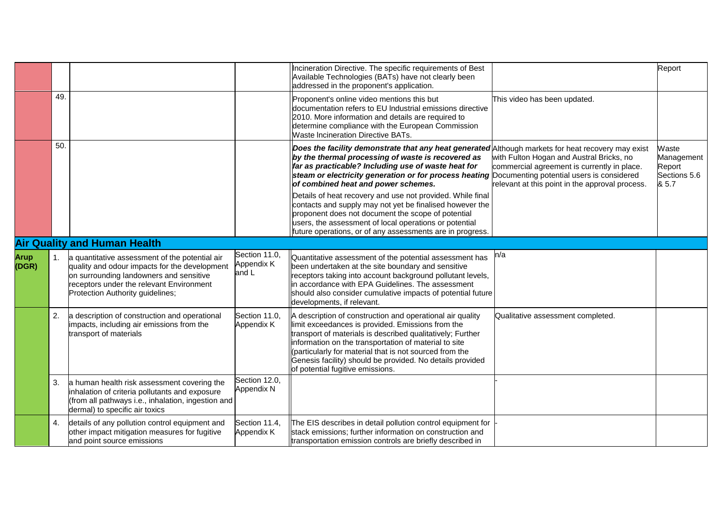|                      |                  |                                                                                                                                                                                                                            |                                      | Incineration Directive. The specific requirements of Best<br>Available Technologies (BATs) have not clearly been<br>addressed in the proponent's application.                                                                                                                                                                                                                                                                                                                                                                                                                                                                                                     |                                                                                                                                            | Report                                                 |
|----------------------|------------------|----------------------------------------------------------------------------------------------------------------------------------------------------------------------------------------------------------------------------|--------------------------------------|-------------------------------------------------------------------------------------------------------------------------------------------------------------------------------------------------------------------------------------------------------------------------------------------------------------------------------------------------------------------------------------------------------------------------------------------------------------------------------------------------------------------------------------------------------------------------------------------------------------------------------------------------------------------|--------------------------------------------------------------------------------------------------------------------------------------------|--------------------------------------------------------|
|                      | 49.              |                                                                                                                                                                                                                            |                                      | Proponent's online video mentions this but<br>documentation refers to EU Industrial emissions directive<br>2010. More information and details are required to<br>determine compliance with the European Commission<br><b>Waste Incineration Directive BATs.</b>                                                                                                                                                                                                                                                                                                                                                                                                   | This video has been updated.                                                                                                               |                                                        |
|                      | 50.              |                                                                                                                                                                                                                            |                                      | Does the facility demonstrate that any heat generated Although markets for heat recovery may exist<br>by the thermal processing of waste is recovered as<br>far as practicable? Including use of waste heat for<br>steam or electricity generation or for process heating Documenting potential users is considered<br>of combined heat and power schemes.<br>Details of heat recovery and use not provided. While final<br>contacts and supply may not yet be finalised however the<br>proponent does not document the scope of potential<br>users, the assessment of local operations or potential<br>future operations, or of any assessments are in progress. | with Fulton Hogan and Austral Bricks, no<br>commercial agreement is currently in place.<br>relevant at this point in the approval process. | Waste<br>Management<br>Report<br>Sections 5.6<br>& 5.7 |
|                      |                  | <b>Air Quality and Human Health</b>                                                                                                                                                                                        |                                      |                                                                                                                                                                                                                                                                                                                                                                                                                                                                                                                                                                                                                                                                   |                                                                                                                                            |                                                        |
| <b>Arup</b><br>(DGR) | $\overline{1}$ . | a quantitative assessment of the potential air<br>quality and odour impacts for the development<br>on surrounding landowners and sensitive<br>receptors under the relevant Environment<br>Protection Authority guidelines; | Section 11.0,<br>Appendix K<br>and L | Quantitative assessment of the potential assessment has<br>been undertaken at the site boundary and sensitive<br>receptors taking into account background pollutant levels,<br>in accordance with EPA Guidelines. The assessment<br>should also consider cumulative impacts of potential future<br>developments, if relevant.                                                                                                                                                                                                                                                                                                                                     | n/a                                                                                                                                        |                                                        |
|                      | 2.               | a description of construction and operational<br>impacts, including air emissions from the<br>transport of materials                                                                                                       | Section 11.0,<br>Appendix K          | A description of construction and operational air quality<br>limit exceedances is provided. Emissions from the<br>transport of materials is described qualitatively; Further<br>information on the transportation of material to site<br>(particularly for material that is not sourced from the<br>Genesis facility) should be provided. No details provided<br>of potential fugitive emissions.                                                                                                                                                                                                                                                                 | Qualitative assessment completed.                                                                                                          |                                                        |
|                      | 3.               | a human health risk assessment covering the<br>inhalation of criteria pollutants and exposure<br>(from all pathways i.e., inhalation, ingestion and<br>dermal) to specific air toxics                                      | Section 12.0,<br>Appendix N          |                                                                                                                                                                                                                                                                                                                                                                                                                                                                                                                                                                                                                                                                   |                                                                                                                                            |                                                        |
|                      | 4.               | details of any pollution control equipment and<br>other impact mitigation measures for fugitive<br>and point source emissions                                                                                              | Section 11.4,<br>Appendix K          | The EIS describes in detail pollution control equipment for<br>stack emissions; further information on construction and<br>transportation emission controls are briefly described in                                                                                                                                                                                                                                                                                                                                                                                                                                                                              |                                                                                                                                            |                                                        |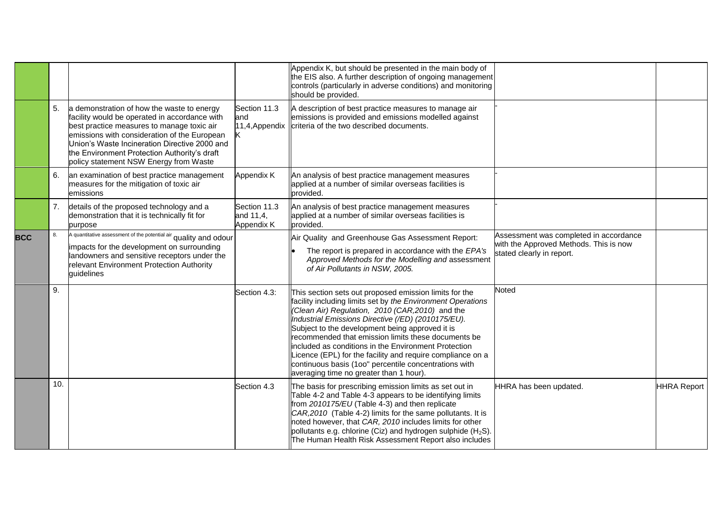|            |     |                                                                                                                                                                                                                                                                                                                                      |                                         | Appendix K, but should be presented in the main body of<br>the EIS also. A further description of ongoing management<br>controls (particularly in adverse conditions) and monitoring<br>should be provided.                                                                                                                                                                                                                                                                                                                                                         |                                                                                                               |                    |
|------------|-----|--------------------------------------------------------------------------------------------------------------------------------------------------------------------------------------------------------------------------------------------------------------------------------------------------------------------------------------|-----------------------------------------|---------------------------------------------------------------------------------------------------------------------------------------------------------------------------------------------------------------------------------------------------------------------------------------------------------------------------------------------------------------------------------------------------------------------------------------------------------------------------------------------------------------------------------------------------------------------|---------------------------------------------------------------------------------------------------------------|--------------------|
|            | 5.  | a demonstration of how the waste to energy<br>facility would be operated in accordance with<br>best practice measures to manage toxic air<br>emissions with consideration of the European<br>Union's Waste Incineration Directive 2000 and<br>the Environment Protection Authority's draft<br>policy statement NSW Energy from Waste | Section 11.3<br>land                    | A description of best practice measures to manage air<br>emissions is provided and emissions modelled against<br>11,4, Appendix   criteria of the two described documents.                                                                                                                                                                                                                                                                                                                                                                                          |                                                                                                               |                    |
|            | 6.  | an examination of best practice management<br>measures for the mitigation of toxic air<br>emissions                                                                                                                                                                                                                                  | Appendix K                              | An analysis of best practice management measures<br>applied at a number of similar overseas facilities is<br>provided.                                                                                                                                                                                                                                                                                                                                                                                                                                              |                                                                                                               |                    |
|            | 7.  | details of the proposed technology and a<br>demonstration that it is technically fit for<br>purpose                                                                                                                                                                                                                                  | Section 11.3<br>and 11,4,<br>Appendix K | An analysis of best practice management measures<br>applied at a number of similar overseas facilities is<br>provided.                                                                                                                                                                                                                                                                                                                                                                                                                                              |                                                                                                               |                    |
| <b>BCC</b> | 8.  | A quantitative assessment of the potential air quality and odour<br>impacts for the development on surrounding<br>landowners and sensitive receptors under the<br>relevant Environment Protection Authority<br>guidelines                                                                                                            |                                         | Air Quality and Greenhouse Gas Assessment Report:<br>The report is prepared in accordance with the EPA's<br>Approved Methods for the Modelling and assessment<br>of Air Pollutants in NSW, 2005.                                                                                                                                                                                                                                                                                                                                                                    | Assessment was completed in accordance<br>with the Approved Methods. This is now<br>stated clearly in report. |                    |
|            | 9.  |                                                                                                                                                                                                                                                                                                                                      | Section 4.3:                            | This section sets out proposed emission limits for the<br>facility including limits set by the Environment Operations<br>(Clean Air) Regulation, 2010 (CAR, 2010) and the<br>Industrial Emissions Directive (/ED) (2010175/EU).<br>Subject to the development being approved it is<br>recommended that emission limits these documents be<br>included as conditions in the Environment Protection<br>Licence (EPL) for the facility and require compliance on a<br>continuous basis (100" percentile concentrations with<br>averaging time no greater than 1 hour). | <b>Noted</b>                                                                                                  |                    |
|            | 10. |                                                                                                                                                                                                                                                                                                                                      | Section 4.3                             | The basis for prescribing emission limits as set out in<br>Table 4-2 and Table 4-3 appears to be identifying limits<br>from 2010175/EU (Table 4-3) and then replicate<br>CAR, 2010 (Table 4-2) limits for the same pollutants. It is<br>noted however, that CAR, 2010 includes limits for other<br>pollutants e.g. chlorine (Ciz) and hydrogen sulphide ( $H_2S$ ).<br>The Human Health Risk Assessment Report also includes                                                                                                                                        | HHRA has been updated.                                                                                        | <b>HHRA Report</b> |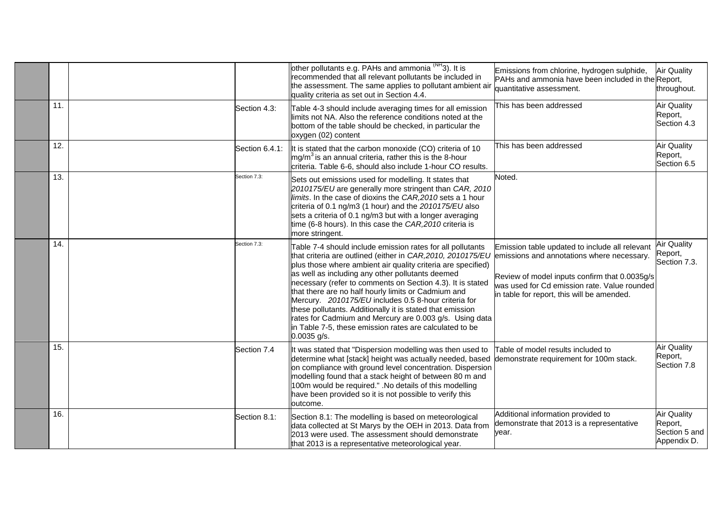|     |                | other pollutants e.g. PAHs and ammonia <sup>(NH</sup> 3). It is<br>recommended that all relevant pollutants be included in<br>the assessment. The same applies to pollutant ambient air<br>quality criteria as set out in Section 4.4.                                                                                                                                                                                                                                                                                                                                                                                                                                    | Emissions from chlorine, hydrogen sulphide,<br>PAHs and ammonia have been included in the Report,<br>quantitative assessment.                                                                 | <b>Air Quality</b><br>throughout.                             |
|-----|----------------|---------------------------------------------------------------------------------------------------------------------------------------------------------------------------------------------------------------------------------------------------------------------------------------------------------------------------------------------------------------------------------------------------------------------------------------------------------------------------------------------------------------------------------------------------------------------------------------------------------------------------------------------------------------------------|-----------------------------------------------------------------------------------------------------------------------------------------------------------------------------------------------|---------------------------------------------------------------|
| 11  | Section 4.3:   | Table 4-3 should include averaging times for all emission<br>limits not NA. Also the reference conditions noted at the<br>bottom of the table should be checked, in particular the<br>oxygen (02) content                                                                                                                                                                                                                                                                                                                                                                                                                                                                 | This has been addressed                                                                                                                                                                       | <b>Air Quality</b><br>Report,<br>Section 4.3                  |
| 12. | Section 6.4.1: | It is stated that the carbon monoxide (CO) criteria of 10<br>$mg/m3$ is an annual criteria, rather this is the 8-hour<br>criteria. Table 6-6, should also include 1-hour CO results.                                                                                                                                                                                                                                                                                                                                                                                                                                                                                      | This has been addressed                                                                                                                                                                       | <b>Air Quality</b><br>Report,<br>Section 6.5                  |
| 13. | Section 7.3:   | Sets out emissions used for modelling. It states that<br>2010175/EU are generally more stringent than CAR, 2010<br>limits. In the case of dioxins the CAR, 2010 sets a 1 hour<br>criteria of 0.1 ng/m3 (1 hour) and the 2010175/EU also<br>sets a criteria of 0.1 ng/m3 but with a longer averaging<br>time (6-8 hours). In this case the CAR, 2010 criteria is<br>more stringent.                                                                                                                                                                                                                                                                                        | Noted.                                                                                                                                                                                        |                                                               |
| 14. | Section 7.3:   | Table 7-4 should include emission rates for all pollutants<br>that criteria are outlined (either in CAR, 2010, 2010175/EU emissions and annotations where necessary.<br>plus those where ambient air quality criteria are specified)<br>as well as including any other pollutants deemed<br>necessary (refer to comments on Section 4.3). It is stated<br>that there are no half hourly limits or Cadmium and<br>Mercury. 2010175/EU includes 0.5 8-hour criteria for<br>these pollutants. Additionally it is stated that emission<br>rates for Cadmium and Mercury are 0.003 g/s. Using data<br>in Table 7-5, these emission rates are calculated to be<br>$0.0035$ g/s. | Emission table updated to include all relevant<br>Review of model inputs confirm that 0.0035g/s<br>was used for Cd emission rate. Value rounded<br>in table for report, this will be amended. | <b>Air Quality</b><br>Report,<br>Section 7.3.                 |
| 15. | Section 7.4    | It was stated that "Dispersion modelling was then used to<br>determine what [stack] height was actually needed, based<br>on compliance with ground level concentration. Dispersion<br>modelling found that a stack height of between 80 m and<br>100m would be required." .No details of this modelling<br>have been provided so it is not possible to verify this<br>outcome.                                                                                                                                                                                                                                                                                            | Table of model results included to<br>demonstrate requirement for 100m stack.                                                                                                                 | <b>Air Quality</b><br>Report,<br>Section 7.8                  |
| 16. | Section 8.1:   | Section 8.1: The modelling is based on meteorological<br>data collected at St Marys by the OEH in 2013. Data from<br>2013 were used. The assessment should demonstrate<br>that 2013 is a representative meteorological year.                                                                                                                                                                                                                                                                                                                                                                                                                                              | Additional information provided to<br>demonstrate that 2013 is a representative<br>year.                                                                                                      | <b>Air Quality</b><br>Report,<br>Section 5 and<br>Appendix D. |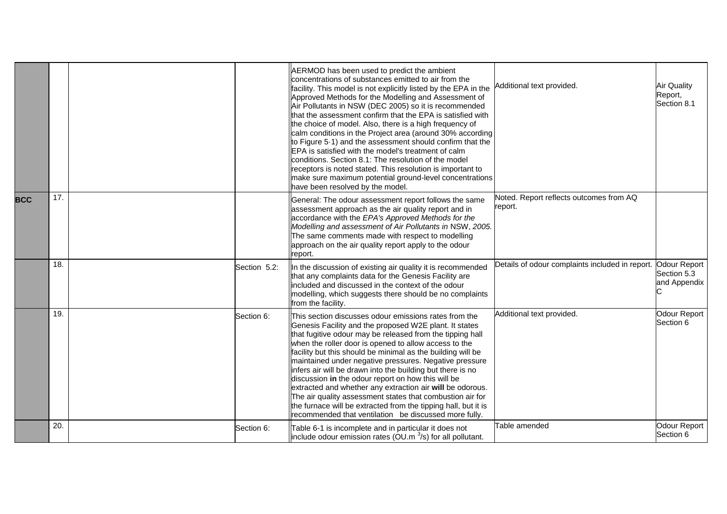|            |     |              | AERMOD has been used to predict the ambient<br>concentrations of substances emitted to air from the<br>facility. This model is not explicitly listed by the EPA in the<br>Approved Methods for the Modelling and Assessment of<br>Air Pollutants in NSW (DEC 2005) so it is recommended<br>that the assessment confirm that the EPA is satisfied with<br>the choice of model. Also, there is a high frequency of<br>calm conditions in the Project area (around 30% according<br>to Figure 5.1) and the assessment should confirm that the<br>EPA is satisfied with the model's treatment of calm<br>conditions. Section 8.1: The resolution of the model<br>receptors is noted stated. This resolution is important to<br>make sure maximum potential ground-level concentrations<br>have been resolved by the model. | Additional text provided.                          | <b>Air Quality</b><br>Report,<br>Section 8.1       |
|------------|-----|--------------|------------------------------------------------------------------------------------------------------------------------------------------------------------------------------------------------------------------------------------------------------------------------------------------------------------------------------------------------------------------------------------------------------------------------------------------------------------------------------------------------------------------------------------------------------------------------------------------------------------------------------------------------------------------------------------------------------------------------------------------------------------------------------------------------------------------------|----------------------------------------------------|----------------------------------------------------|
| <b>BCC</b> | 17. |              | General: The odour assessment report follows the same<br>assessment approach as the air quality report and in<br>accordance with the EPA's Approved Methods for the<br>Modelling and assessment of Air Pollutants in NSW, 2005.<br>The same comments made with respect to modelling<br>approach on the air quality report apply to the odour<br>report.                                                                                                                                                                                                                                                                                                                                                                                                                                                                | Noted. Report reflects outcomes from AQ<br>report. |                                                    |
|            | 18. | Section 5.2: | In the discussion of existing air quality it is recommended<br>that any complaints data for the Genesis Facility are<br>included and discussed in the context of the odour<br>modelling, which suggests there should be no complaints<br>from the facility.                                                                                                                                                                                                                                                                                                                                                                                                                                                                                                                                                            | Details of odour complaints included in report.    | <b>Odour Report</b><br>Section 5.3<br>and Appendix |
|            | 19. | Section 6:   | This section discusses odour emissions rates from the<br>Genesis Facility and the proposed W2E plant. It states<br>that fugitive odour may be released from the tipping hall<br>when the roller door is opened to allow access to the<br>facility but this should be minimal as the building will be<br>maintained under negative pressures. Negative pressure<br>infers air will be drawn into the building but there is no<br>discussion in the odour report on how this will be<br>extracted and whether any extraction air will be odorous.<br>The air quality assessment states that combustion air for<br>the furnace will be extracted from the tipping hall, but it is<br>recommended that ventilation be discussed more fully.                                                                                | Additional text provided.                          | Odour Report<br>Section 6                          |
|            | 20. | Section 6:   | Table 6-1 is incomplete and in particular it does not<br>include odour emission rates (OU.m $3$ /s) for all pollutant.                                                                                                                                                                                                                                                                                                                                                                                                                                                                                                                                                                                                                                                                                                 | Table amended                                      | Odour Report<br>Section 6                          |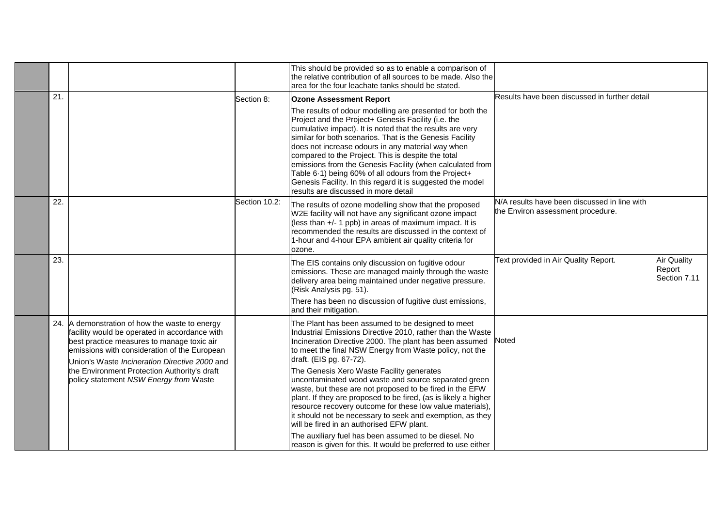|     |                                                                                                                                                                                                                                                                                                                                          |               | This should be provided so as to enable a comparison of<br>the relative contribution of all sources to be made. Also the<br>area for the four leachate tanks should be stated.                                                                                                                                                                                                                                                                                                                                                                                                                                                                                                                                                                                                                       |                                                                                   |                                              |
|-----|------------------------------------------------------------------------------------------------------------------------------------------------------------------------------------------------------------------------------------------------------------------------------------------------------------------------------------------|---------------|------------------------------------------------------------------------------------------------------------------------------------------------------------------------------------------------------------------------------------------------------------------------------------------------------------------------------------------------------------------------------------------------------------------------------------------------------------------------------------------------------------------------------------------------------------------------------------------------------------------------------------------------------------------------------------------------------------------------------------------------------------------------------------------------------|-----------------------------------------------------------------------------------|----------------------------------------------|
| 21. |                                                                                                                                                                                                                                                                                                                                          | Section 8:    | <b>Ozone Assessment Report</b>                                                                                                                                                                                                                                                                                                                                                                                                                                                                                                                                                                                                                                                                                                                                                                       | Results have been discussed in further detail                                     |                                              |
|     |                                                                                                                                                                                                                                                                                                                                          |               | The results of odour modelling are presented for both the<br>Project and the Project+ Genesis Facility (i.e. the<br>cumulative impact). It is noted that the results are very<br>similar for both scenarios. That is the Genesis Facility<br>does not increase odours in any material way when<br>compared to the Project. This is despite the total<br>emissions from the Genesis Facility (when calculated from<br>Table 6.1) being 60% of all odours from the Project+<br>Genesis Facility. In this regard it is suggested the model<br>results are discussed in more detail                                                                                                                                                                                                                      |                                                                                   |                                              |
| 22. |                                                                                                                                                                                                                                                                                                                                          | Section 10.2: | The results of ozone modelling show that the proposed<br>W2E facility will not have any significant ozone impact<br>(less than +/- 1 ppb) in areas of maximum impact. It is<br>recommended the results are discussed in the context of<br>1-hour and 4-hour EPA ambient air quality criteria for<br>ozone.                                                                                                                                                                                                                                                                                                                                                                                                                                                                                           | N/A results have been discussed in line with<br>the Environ assessment procedure. |                                              |
| 23. |                                                                                                                                                                                                                                                                                                                                          |               | The EIS contains only discussion on fugitive odour<br>emissions. These are managed mainly through the waste<br>delivery area being maintained under negative pressure.<br>(Risk Analysis pg. 51).<br>There has been no discussion of fugitive dust emissions,<br>and their mitigation.                                                                                                                                                                                                                                                                                                                                                                                                                                                                                                               | Text provided in Air Quality Report.                                              | <b>Air Quality</b><br>Report<br>Section 7.11 |
|     | 24. A demonstration of how the waste to energy<br>facility would be operated in accordance with<br>best practice measures to manage toxic air<br>emissions with consideration of the European<br>Union's Waste Incineration Directive 2000 and<br>the Environment Protection Authority's draft<br>policy statement NSW Energy from Waste |               | The Plant has been assumed to be designed to meet<br>Industrial Emissions Directive 2010, rather than the Waste<br>Incineration Directive 2000. The plant has been assumed<br>to meet the final NSW Energy from Waste policy, not the<br>draft. (EIS pg. 67-72).<br>The Genesis Xero Waste Facility generates<br>uncontaminated wood waste and source separated green<br>waste, but these are not proposed to be fired in the EFW<br>plant. If they are proposed to be fired, (as is likely a higher<br>resource recovery outcome for these low value materials),<br>it should not be necessary to seek and exemption, as they<br>will be fired in an authorised EFW plant.<br>The auxiliary fuel has been assumed to be diesel. No<br>reason is given for this. It would be preferred to use either | Noted                                                                             |                                              |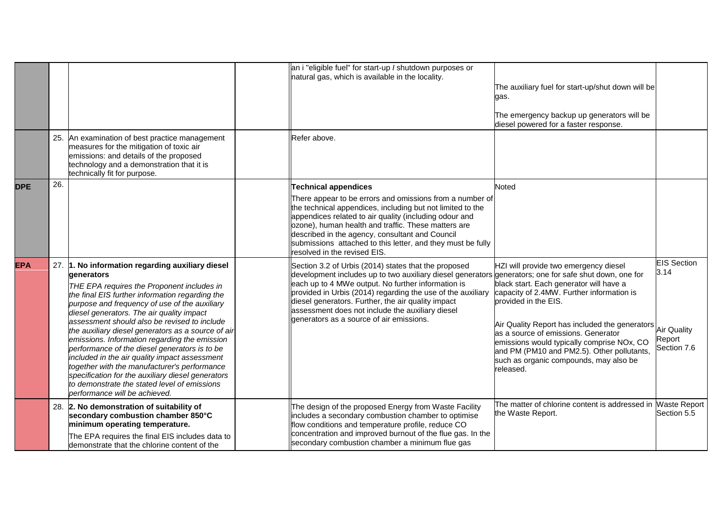|            |     |                                                                                                                                                                                                                                                                                                                                                                                                                                                                                                                                                                                                                                                                                                              | an i "eligible fuel" for start-up / shutdown purposes or<br>natural gas, which is available in the locality.                                                                                                                                                                                                                                                                                                                              | The auxiliary fuel for start-up/shut down will be<br>gas.<br>The emergency backup up generators will be<br>diesel powered for a faster response.                                                                                                                                                                                                                                                  |                                                                           |
|------------|-----|--------------------------------------------------------------------------------------------------------------------------------------------------------------------------------------------------------------------------------------------------------------------------------------------------------------------------------------------------------------------------------------------------------------------------------------------------------------------------------------------------------------------------------------------------------------------------------------------------------------------------------------------------------------------------------------------------------------|-------------------------------------------------------------------------------------------------------------------------------------------------------------------------------------------------------------------------------------------------------------------------------------------------------------------------------------------------------------------------------------------------------------------------------------------|---------------------------------------------------------------------------------------------------------------------------------------------------------------------------------------------------------------------------------------------------------------------------------------------------------------------------------------------------------------------------------------------------|---------------------------------------------------------------------------|
|            |     | 25. An examination of best practice management<br>measures for the mitigation of toxic air<br>emissions: and details of the proposed<br>technology and a demonstration that it is<br>technically fit for purpose.                                                                                                                                                                                                                                                                                                                                                                                                                                                                                            | Refer above.                                                                                                                                                                                                                                                                                                                                                                                                                              |                                                                                                                                                                                                                                                                                                                                                                                                   |                                                                           |
| <b>DPE</b> | 26. |                                                                                                                                                                                                                                                                                                                                                                                                                                                                                                                                                                                                                                                                                                              | <b>Technical appendices</b><br>There appear to be errors and omissions from a number of<br>the technical appendices, including but not limited to the<br>appendices related to air quality (including odour and<br>ozone), human health and traffic. These matters are<br>described in the agency, consultant and Council<br>submissions attached to this letter, and they must be fully<br>resolved in the revised EIS.                  | <b>Noted</b>                                                                                                                                                                                                                                                                                                                                                                                      |                                                                           |
| <b>EPA</b> |     | 27. 1. No information regarding auxiliary diesel<br>denerators<br>THE EPA requires the Proponent includes in<br>the final EIS further information regarding the<br>purpose and frequency of use of the auxiliary<br>diesel generators. The air quality impact<br>assessment should also be revised to include<br>the auxiliary diesel generators as a source of air<br>emissions. Information regarding the emission<br>performance of the diesel generators is to be<br>included in the air quality impact assessment<br>together with the manufacturer's performance<br>specification for the auxiliary diesel generators<br>to demonstrate the stated level of emissions<br>performance will be achieved. | Section 3.2 of Urbis (2014) states that the proposed<br>development includes up to two auxiliary diesel generators generators; one for safe shut down, one for<br>each up to 4 MWe output. No further information is<br>provided in Urbis (2014) regarding the use of the auxiliary<br>diesel generators. Further, the air quality impact<br>assessment does not include the auxiliary diesel<br>generators as a source of air emissions. | HZI will provide two emergency diesel<br>black start. Each generator will have a<br>capacity of 2.4MW. Further information is<br>provided in the EIS.<br>Air Quality Report has included the generators<br>as a source of emissions. Generator<br>emissions would typically comprise NOx, CO<br>and PM (PM10 and PM2.5). Other pollutants,<br>such as organic compounds, may also be<br>released. | <b>EIS Section</b><br>3.14<br><b>Air Quality</b><br>Report<br>Section 7.6 |
|            |     | 28. 2. No demonstration of suitability of<br>secondary combustion chamber 850°C<br>minimum operating temperature.<br>The EPA requires the final EIS includes data to<br>demonstrate that the chlorine content of the                                                                                                                                                                                                                                                                                                                                                                                                                                                                                         | The design of the proposed Energy from Waste Facility<br>includes a secondary combustion chamber to optimise<br>flow conditions and temperature profile, reduce CO<br>concentration and improved burnout of the flue gas. In the<br>secondary combustion chamber a minimum flue gas                                                                                                                                                       | The matter of chlorine content is addressed in Waste Report<br>the Waste Report.                                                                                                                                                                                                                                                                                                                  | Section 5.5                                                               |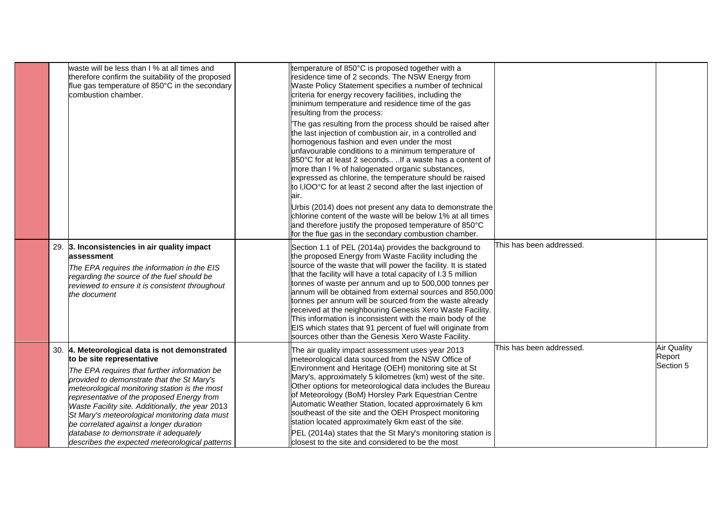|  | waste will be less than I % at all times and<br>therefore confirm the suitability of the proposed<br>flue gas temperature of 850°C in the secondary<br>combustion chamber.                                                                                                                                                                                                                                                                                                                                          | temperature of 850°C is proposed together with a<br>esidence time of 2 seconds. The NSW Energy from<br>Waste Policy Statement specifies a number of technical<br>criteria for energy recovery facilities, including the<br>minimum temperature and residence time of the gas<br>resulting from the process:<br>The gas resulting from the process should be raised after<br>the last injection of combustion air, in a controlled and<br>homogenous fashion and even under the most<br>unfavourable conditions to a minimum temperature of<br>850°C for at least 2 seconds  If a waste has a content of<br>more than I % of halogenated organic substances,<br>expressed as chlorine, the temperature should be raised<br>to I,IOO°C for at least 2 second after the last injection of<br>air.<br>Urbis (2014) does not present any data to demonstrate the<br>chlorine content of the waste will be below 1% at all times<br>and therefore justify the proposed temperature of 850°C<br>for the flue gas in the secondary combustion chamber. |                          |                                           |
|--|---------------------------------------------------------------------------------------------------------------------------------------------------------------------------------------------------------------------------------------------------------------------------------------------------------------------------------------------------------------------------------------------------------------------------------------------------------------------------------------------------------------------|------------------------------------------------------------------------------------------------------------------------------------------------------------------------------------------------------------------------------------------------------------------------------------------------------------------------------------------------------------------------------------------------------------------------------------------------------------------------------------------------------------------------------------------------------------------------------------------------------------------------------------------------------------------------------------------------------------------------------------------------------------------------------------------------------------------------------------------------------------------------------------------------------------------------------------------------------------------------------------------------------------------------------------------------|--------------------------|-------------------------------------------|
|  | 29. 3. Inconsistencies in air quality impact<br>lassessment<br>The EPA requires the information in the EIS<br>regarding the source of the fuel should be<br>reviewed to ensure it is consistent throughout<br>the document                                                                                                                                                                                                                                                                                          | Section 1.1 of PEL (2014a) provides the background to<br>the proposed Energy from Waste Facility including the<br>source of the waste that will power the facility. It is stated<br>that the facility will have a total capacity of I.3 5 million<br>tonnes of waste per annum and up to 500,000 tonnes per<br>annum will be obtained from external sources and 850,000<br>tonnes per annum will be sourced from the waste already<br>received at the neighbouring Genesis Xero Waste Facility.<br>This information is inconsistent with the main body of the<br>EIS which states that 91 percent of fuel will originate from<br>sources other than the Genesis Xero Waste Facility.                                                                                                                                                                                                                                                                                                                                                           | This has been addressed. |                                           |
|  | 30. 4. Meteorological data is not demonstrated<br>to be site representative<br>The EPA requires that further information be<br>provided to demonstrate that the St Mary's<br>meteorological monitoring station is the most<br>representative of the proposed Energy from<br>Waste Facility site. Additionally, the year 2013<br>St Mary's meteorological monitoring data must<br>be correlated against a longer duration<br>database to demonstrate it adequately<br>describes the expected meteorological patterns | The air quality impact assessment uses year 2013<br>meteorological data sourced from the NSW Office of<br>Environment and Heritage (OEH) monitoring site at St<br>Mary's, approximately 5 kilometres (km) west of the site.<br>Other options for meteorological data includes the Bureau<br>of Meteorology (BoM) Horsley Park Equestrian Centre<br>Automatic Weather Station, located approximately 6 km<br>southeast of the site and the OEH Prospect monitoring<br>station located approximately 6km east of the site.<br>PEL (2014a) states that the St Mary's monitoring station is<br>closest to the site and considered to be the most                                                                                                                                                                                                                                                                                                                                                                                                   | This has been addressed. | <b>Air Quality</b><br>Report<br>Section 5 |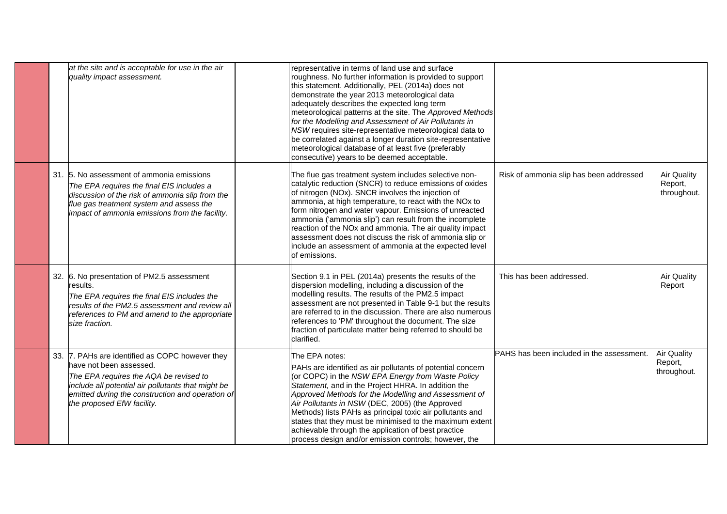|  | at the site and is acceptable for use in the air<br>quality impact assessment.                                                                                                                                                                               | representative in terms of land use and surface<br>roughness. No further information is provided to support<br>this statement. Additionally, PEL (2014a) does not<br>demonstrate the year 2013 meteorological data<br>adequately describes the expected long term<br>meteorological patterns at the site. The Approved Methods<br>for the Modelling and Assessment of Air Pollutants in<br>NSW requires site-representative meteorological data to<br>be correlated against a longer duration site-representative<br>meteorological database of at least five (preferably<br>consecutive) years to be deemed acceptable. |                                           |                                              |
|--|--------------------------------------------------------------------------------------------------------------------------------------------------------------------------------------------------------------------------------------------------------------|--------------------------------------------------------------------------------------------------------------------------------------------------------------------------------------------------------------------------------------------------------------------------------------------------------------------------------------------------------------------------------------------------------------------------------------------------------------------------------------------------------------------------------------------------------------------------------------------------------------------------|-------------------------------------------|----------------------------------------------|
|  | 31. 5. No assessment of ammonia emissions<br>The EPA requires the final EIS includes a<br>discussion of the risk of ammonia slip from the<br>flue gas treatment system and assess the<br>impact of ammonia emissions from the facility.                      | The flue gas treatment system includes selective non-<br>catalytic reduction (SNCR) to reduce emissions of oxides<br>of nitrogen (NOx). SNCR involves the injection of<br>ammonia, at high temperature, to react with the NOx to<br>form nitrogen and water vapour. Emissions of unreacted<br>ammonia ('ammonia slip') can result from the incomplete<br>reaction of the NOx and ammonia. The air quality impact<br>assessment does not discuss the risk of ammonia slip or<br>include an assessment of ammonia at the expected level<br>of emissions.                                                                   | Risk of ammonia slip has been addressed   | <b>Air Quality</b><br>Report,<br>throughout. |
|  | 32. 6. No presentation of PM2.5 assessment<br>results.<br>The EPA requires the final EIS includes the<br>results of the PM2.5 assessment and review all<br>references to PM and amend to the appropriate<br>size fraction.                                   | Section 9.1 in PEL (2014a) presents the results of the<br>dispersion modelling, including a discussion of the<br>modelling results. The results of the PM2.5 impact<br>assessment are not presented in Table 9-1 but the results<br>are referred to in the discussion. There are also numerous<br>references to 'PM' throughout the document. The size<br>fraction of particulate matter being referred to should be<br>clarified.                                                                                                                                                                                       | This has been addressed.                  | <b>Air Quality</b><br>Report                 |
|  | 33. 7. PAHs are identified as COPC however they<br>have not been assessed.<br>The EPA requires the AQA be revised to<br>include all potential air pollutants that might be<br>emitted during the construction and operation of<br>the proposed EfW facility. | The EPA notes:<br>PAHs are identified as air pollutants of potential concern<br>(or COPC) in the NSW EPA Energy from Waste Policy<br>Statement, and in the Project HHRA. In addition the<br>Approved Methods for the Modelling and Assessment of<br>Air Pollutants in NSW (DEC, 2005) (the Approved<br>Methods) lists PAHs as principal toxic air pollutants and<br>states that they must be minimised to the maximum extent<br>achievable through the application of best practice<br>process design and/or emission controls; however, the                                                                             | PAHS has been included in the assessment. | <b>Air Quality</b><br>Report,<br>throughout. |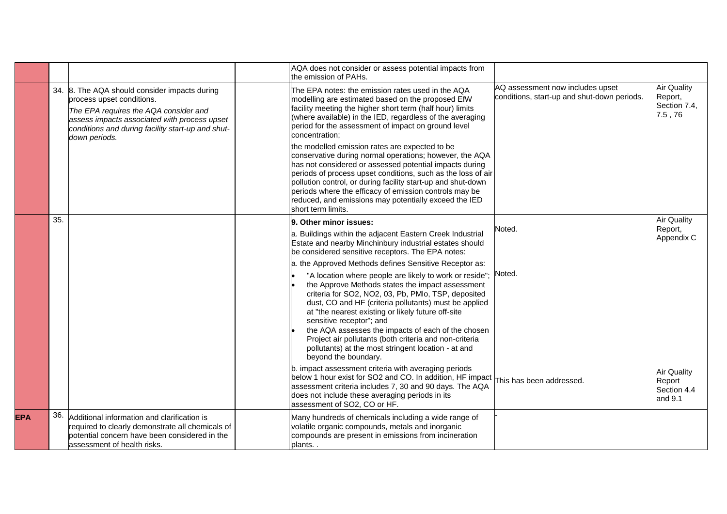|            |     |                                                                                                                                                                                                                                           | AQA does not consider or assess potential impacts from<br>the emission of PAHs.                                                                                                                                                                                                                                                                                                                                                                                                                                                                                                                                                                                                                                                                            |                                                                                 |                                                         |
|------------|-----|-------------------------------------------------------------------------------------------------------------------------------------------------------------------------------------------------------------------------------------------|------------------------------------------------------------------------------------------------------------------------------------------------------------------------------------------------------------------------------------------------------------------------------------------------------------------------------------------------------------------------------------------------------------------------------------------------------------------------------------------------------------------------------------------------------------------------------------------------------------------------------------------------------------------------------------------------------------------------------------------------------------|---------------------------------------------------------------------------------|---------------------------------------------------------|
|            |     | 34. 8. The AQA should consider impacts during<br>process upset conditions.<br>The EPA requires the AQA consider and<br>assess impacts associated with process upset<br>conditions and during facility start-up and shut-<br>down periods. | The EPA notes: the emission rates used in the AQA<br>modelling are estimated based on the proposed EfW<br>facility meeting the higher short term (half hour) limits<br>(where available) in the IED, regardless of the averaging<br>period for the assessment of impact on ground level<br>concentration:<br>the modelled emission rates are expected to be<br>conservative during normal operations; however, the AQA<br>has not considered or assessed potential impacts during<br>periods of process upset conditions, such as the loss of air<br>pollution control, or during facility start-up and shut-down<br>periods where the efficacy of emission controls may be<br>reduced, and emissions may potentially exceed the IED<br>short term limits. | AQ assessment now includes upset<br>conditions, start-up and shut-down periods. | <b>Air Quality</b><br>Report,<br>Section 7.4,<br>7.5,76 |
|            | 35. |                                                                                                                                                                                                                                           | 9. Other minor issues:<br>a. Buildings within the adjacent Eastern Creek Industrial<br>Estate and nearby Minchinbury industrial estates should<br>be considered sensitive receptors. The EPA notes:<br>a. the Approved Methods defines Sensitive Receptor as:<br>"A location where people are likely to work or reside";                                                                                                                                                                                                                                                                                                                                                                                                                                   | Noted.<br>Noted.                                                                | <b>Air Quality</b><br>Report,<br>Appendix C             |
|            |     |                                                                                                                                                                                                                                           | the Approve Methods states the impact assessment<br>criteria for SO2, NO2, 03, Pb, PMIo, TSP, deposited<br>dust, CO and HF (criteria pollutants) must be applied<br>at "the nearest existing or likely future off-site<br>sensitive receptor"; and<br>the AQA assesses the impacts of each of the chosen<br>Project air pollutants (both criteria and non-criteria<br>pollutants) at the most stringent location - at and<br>beyond the boundary.                                                                                                                                                                                                                                                                                                          |                                                                                 |                                                         |
|            |     |                                                                                                                                                                                                                                           | b. impact assessment criteria with averaging periods<br>below 1 hour exist for SO2 and CO. In addition, HF impact<br>assessment criteria includes 7, 30 and 90 days. The AQA<br>does not include these averaging periods in its<br>assessment of SO2, CO or HF.                                                                                                                                                                                                                                                                                                                                                                                                                                                                                            | This has been addressed.                                                        | <b>Air Quality</b><br>Report<br>Section 4.4<br>and 9.1  |
| <b>EPA</b> | 36. | Additional information and clarification is<br>required to clearly demonstrate all chemicals of<br>potential concern have been considered in the<br>assessment of health risks.                                                           | Many hundreds of chemicals including a wide range of<br>volatile organic compounds, metals and inorganic<br>compounds are present in emissions from incineration<br>plants                                                                                                                                                                                                                                                                                                                                                                                                                                                                                                                                                                                 |                                                                                 |                                                         |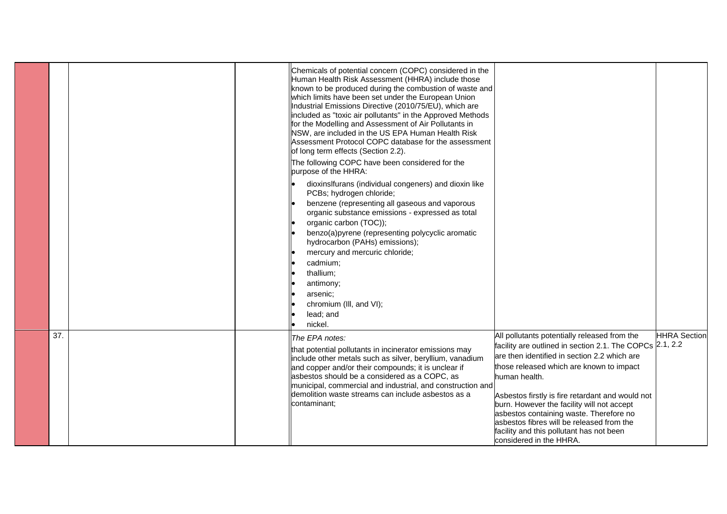|     |  | Chemicals of potential concern (COPC) considered in the<br>Human Health Risk Assessment (HHRA) include those<br>known to be produced during the combustion of waste and<br>which limits have been set under the European Union<br>Industrial Emissions Directive (2010/75/EU), which are<br>included as "toxic air pollutants" in the Approved Methods<br>for the Modelling and Assessment of Air Pollutants in<br>NSW, are included in the US EPA Human Health Risk<br>Assessment Protocol COPC database for the assessment<br>of long term effects (Section 2.2).<br>The following COPC have been considered for the<br>purpose of the HHRA: |                                                                                                                                                                                                                                                                                                                                                                                                                                                                                        |                     |
|-----|--|------------------------------------------------------------------------------------------------------------------------------------------------------------------------------------------------------------------------------------------------------------------------------------------------------------------------------------------------------------------------------------------------------------------------------------------------------------------------------------------------------------------------------------------------------------------------------------------------------------------------------------------------|----------------------------------------------------------------------------------------------------------------------------------------------------------------------------------------------------------------------------------------------------------------------------------------------------------------------------------------------------------------------------------------------------------------------------------------------------------------------------------------|---------------------|
|     |  | dioxinslfurans (individual congeners) and dioxin like<br>PCBs; hydrogen chloride;<br>benzene (representing all gaseous and vaporous<br>organic substance emissions - expressed as total<br>organic carbon (TOC));<br>benzo(a)pyrene (representing polycyclic aromatic<br>hydrocarbon (PAHs) emissions);<br>mercury and mercuric chloride;<br>cadmium;<br>thallium;<br>antimony;<br>arsenic:<br>chromium (III, and VI);<br>lead; and<br>nickel.                                                                                                                                                                                                 |                                                                                                                                                                                                                                                                                                                                                                                                                                                                                        |                     |
| 37. |  | The EPA notes:<br>that potential pollutants in incinerator emissions may<br>include other metals such as silver, beryllium, vanadium<br>and copper and/or their compounds; it is unclear if<br>asbestos should be a considered as a COPC, as<br>municipal, commercial and industrial, and construction and<br>demolition waste streams can include asbestos as a<br>contaminant;                                                                                                                                                                                                                                                               | All pollutants potentially released from the<br>facility are outlined in section 2.1. The COPCs 2.1, 2.2<br>are then identified in section 2.2 which are<br>those released which are known to impact<br>human health.<br>Asbestos firstly is fire retardant and would not<br>burn. However the facility will not accept<br>asbestos containing waste. Therefore no<br>asbestos fibres will be released from the<br>facility and this pollutant has not been<br>considered in the HHRA. | <b>HHRA Section</b> |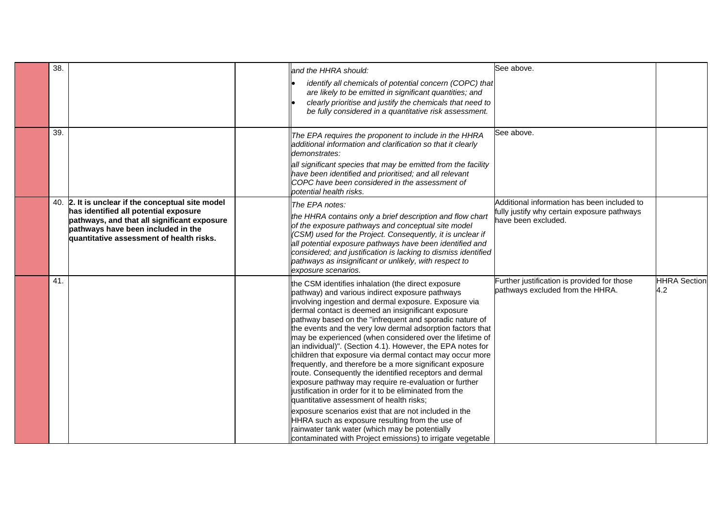| 38. |                                                                                                                                                                                                                             | and the HHRA should:                                                                                                                                                                                                                                                                                                                                                                                                                                                                                                                                                                                                                                                                                                                                                                                                                                                                                                                                                                                                                                   | See above.                                                                                                        |                            |
|-----|-----------------------------------------------------------------------------------------------------------------------------------------------------------------------------------------------------------------------------|--------------------------------------------------------------------------------------------------------------------------------------------------------------------------------------------------------------------------------------------------------------------------------------------------------------------------------------------------------------------------------------------------------------------------------------------------------------------------------------------------------------------------------------------------------------------------------------------------------------------------------------------------------------------------------------------------------------------------------------------------------------------------------------------------------------------------------------------------------------------------------------------------------------------------------------------------------------------------------------------------------------------------------------------------------|-------------------------------------------------------------------------------------------------------------------|----------------------------|
|     |                                                                                                                                                                                                                             | identify all chemicals of potential concern (COPC) that<br>are likely to be emitted in significant quantities; and<br>clearly prioritise and justify the chemicals that need to<br>be fully considered in a quantitative risk assessment.                                                                                                                                                                                                                                                                                                                                                                                                                                                                                                                                                                                                                                                                                                                                                                                                              |                                                                                                                   |                            |
| 39. |                                                                                                                                                                                                                             | The EPA requires the proponent to include in the HHRA<br>additional information and clarification so that it clearly<br>demonstrates:<br>all significant species that may be emitted from the facility<br>have been identified and prioritised; and all relevant<br>COPC have been considered in the assessment of<br>potential health risks.                                                                                                                                                                                                                                                                                                                                                                                                                                                                                                                                                                                                                                                                                                          | See above.                                                                                                        |                            |
|     | 40. 2. It is unclear if the conceptual site model<br>has identified all potential exposure<br>pathways, and that all significant exposure<br>pathways have been included in the<br>quantitative assessment of health risks. | The EPA notes:<br>the HHRA contains only a brief description and flow chart<br>of the exposure pathways and conceptual site model<br>(CSM) used for the Project. Consequently, it is unclear if<br>all potential exposure pathways have been identified and<br>considered; and justification is lacking to dismiss identified<br>pathways as insignificant or unlikely, with respect to<br>exposure scenarios.                                                                                                                                                                                                                                                                                                                                                                                                                                                                                                                                                                                                                                         | Additional information has been included to<br>fully justify why certain exposure pathways<br>have been excluded. |                            |
| 41. |                                                                                                                                                                                                                             | the CSM identifies inhalation (the direct exposure<br>pathway) and various indirect exposure pathways<br>involving ingestion and dermal exposure. Exposure via<br>dermal contact is deemed an insignificant exposure<br>pathway based on the "infrequent and sporadic nature of<br>the events and the very low dermal adsorption factors that<br>may be experienced (when considered over the lifetime of<br>an individual)". (Section 4.1). However, the EPA notes for<br>children that exposure via dermal contact may occur more<br>frequently, and therefore be a more significant exposure<br>route. Consequently the identified receptors and dermal<br>exposure pathway may require re-evaluation or further<br>justification in order for it to be eliminated from the<br>quantitative assessment of health risks;<br>exposure scenarios exist that are not included in the<br>HHRA such as exposure resulting from the use of<br>rainwater tank water (which may be potentially<br>contaminated with Project emissions) to irrigate vegetable | Further justification is provided for those<br>pathways excluded from the HHRA.                                   | <b>HHRA</b> Section<br>4.2 |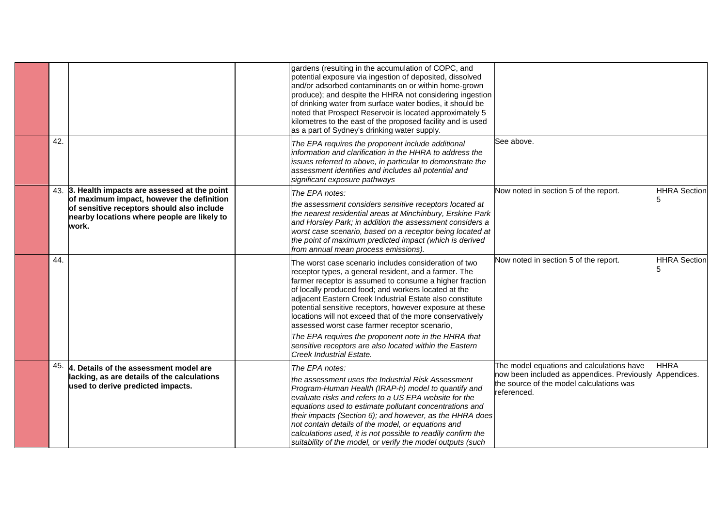|     |                                                                                                                                                                                                    | gardens (resulting in the accumulation of COPC, and<br>potential exposure via ingestion of deposited, dissolved<br>and/or adsorbed contaminants on or within home-grown<br>produce); and despite the HHRA not considering ingestion<br>of drinking water from surface water bodies, it should be<br>noted that Prospect Reservoir is located approximately 5<br>kilometres to the east of the proposed facility and is used<br>as a part of Sydney's drinking water supply.                                                     |                                                                                                                                                                 |                     |
|-----|----------------------------------------------------------------------------------------------------------------------------------------------------------------------------------------------------|---------------------------------------------------------------------------------------------------------------------------------------------------------------------------------------------------------------------------------------------------------------------------------------------------------------------------------------------------------------------------------------------------------------------------------------------------------------------------------------------------------------------------------|-----------------------------------------------------------------------------------------------------------------------------------------------------------------|---------------------|
| 42. |                                                                                                                                                                                                    | The EPA requires the proponent include additional<br>information and clarification in the HHRA to address the<br>issues referred to above, in particular to demonstrate the<br>assessment identifies and includes all potential and<br>significant exposure pathways                                                                                                                                                                                                                                                            | See above.                                                                                                                                                      |                     |
|     | 43. 3. Health impacts are assessed at the point<br>of maximum impact, however the definition<br>of sensitive receptors should also include<br>nearby locations where people are likely to<br>work. | The EPA notes:<br>the assessment considers sensitive receptors located at<br>the nearest residential areas at Minchinbury, Erskine Park<br>and Horsley Park; in addition the assessment considers a<br>worst case scenario, based on a receptor being located at<br>the point of maximum predicted impact (which is derived<br>from annual mean process emissions).                                                                                                                                                             | Now noted in section 5 of the report.                                                                                                                           | <b>HHRA</b> Section |
| 44. |                                                                                                                                                                                                    | The worst case scenario includes consideration of two<br>receptor types, a general resident, and a farmer. The<br>farmer receptor is assumed to consume a higher fraction<br>of locally produced food; and workers located at the<br>adjacent Eastern Creek Industrial Estate also constitute<br>potential sensitive receptors, however exposure at these<br>locations will not exceed that of the more conservatively<br>assessed worst case farmer receptor scenario,<br>The EPA requires the proponent note in the HHRA that | Now noted in section 5 of the report.                                                                                                                           | <b>HHRA</b> Section |
|     |                                                                                                                                                                                                    | sensitive receptors are also located within the Eastern<br>Creek Industrial Estate.                                                                                                                                                                                                                                                                                                                                                                                                                                             |                                                                                                                                                                 |                     |
| 45. | 4. Details of the assessment model are<br>lacking, as are details of the calculations<br>used to derive predicted impacts.                                                                         | The EPA notes:<br>the assessment uses the Industrial Risk Assessment<br>Program-Human Health (IRAP-h) model to quantify and<br>evaluate risks and refers to a US EPA website for the<br>equations used to estimate pollutant concentrations and<br>their impacts (Section 6); and however, as the HHRA does<br>not contain details of the model, or equations and<br>calculations used, it is not possible to readily confirm the<br>suitability of the model, or verify the model outputs (such                                | The model equations and calculations have<br>now been included as appendices. Previously Appendices.<br>the source of the model calculations was<br>referenced. | <b>HHRA</b>         |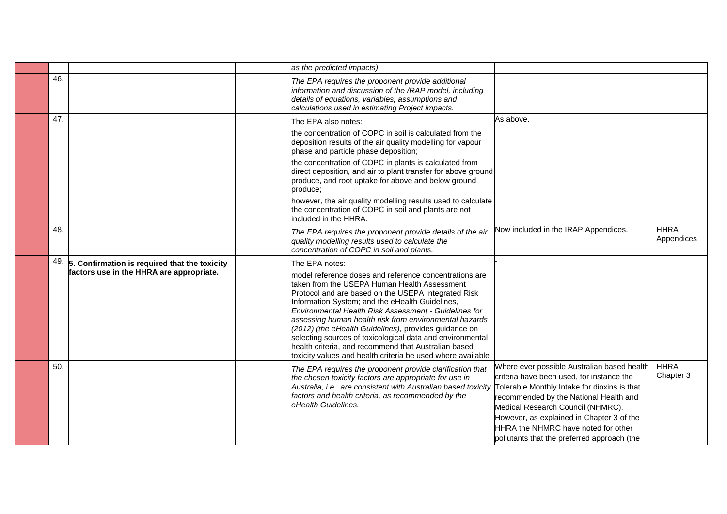|     |                                                                                                 | as the predicted impacts).                                                                                                                                                                                                                                                                                                                                                                                                                                                                                                                                                                         |                                                                                                                                                                                                                                                                                                                                                            |                           |
|-----|-------------------------------------------------------------------------------------------------|----------------------------------------------------------------------------------------------------------------------------------------------------------------------------------------------------------------------------------------------------------------------------------------------------------------------------------------------------------------------------------------------------------------------------------------------------------------------------------------------------------------------------------------------------------------------------------------------------|------------------------------------------------------------------------------------------------------------------------------------------------------------------------------------------------------------------------------------------------------------------------------------------------------------------------------------------------------------|---------------------------|
| 46. |                                                                                                 | The EPA requires the proponent provide additional<br>information and discussion of the /RAP model, including<br>details of equations, variables, assumptions and<br>calculations used in estimating Project impacts.                                                                                                                                                                                                                                                                                                                                                                               |                                                                                                                                                                                                                                                                                                                                                            |                           |
| 47. |                                                                                                 | The EPA also notes:<br>the concentration of COPC in soil is calculated from the<br>deposition results of the air quality modelling for vapour<br>phase and particle phase deposition;<br>the concentration of COPC in plants is calculated from<br>direct deposition, and air to plant transfer for above ground<br>produce, and root uptake for above and below ground<br>produce;<br>however, the air quality modelling results used to calculate<br>the concentration of COPC in soil and plants are not<br>included in the HHRA.                                                               | As above.                                                                                                                                                                                                                                                                                                                                                  |                           |
| 48. |                                                                                                 | The EPA requires the proponent provide details of the air<br>quality modelling results used to calculate the<br>concentration of COPC in soil and plants.                                                                                                                                                                                                                                                                                                                                                                                                                                          | Now included in the IRAP Appendices.                                                                                                                                                                                                                                                                                                                       | <b>HHRA</b><br>Appendices |
|     | $49.$ 5. Confirmation is required that the toxicity<br>factors use in the HHRA are appropriate. | The EPA notes:<br>model reference doses and reference concentrations are<br>taken from the USEPA Human Health Assessment<br>Protocol and are based on the USEPA Integrated Risk<br>Information System; and the eHealth Guidelines,<br>Environmental Health Risk Assessment - Guidelines for<br>assessing human health risk from environmental hazards<br>(2012) (the eHealth Guidelines), provides guidance on<br>selecting sources of toxicological data and environmental<br>health criteria, and recommend that Australian based<br>toxicity values and health criteria be used where available |                                                                                                                                                                                                                                                                                                                                                            |                           |
| 50. |                                                                                                 | The EPA requires the proponent provide clarification that<br>the chosen toxicity factors are appropriate for use in<br>Australia, i.e are consistent with Australian based toxicity<br>factors and health criteria, as recommended by the<br>eHealth Guidelines.                                                                                                                                                                                                                                                                                                                                   | Where ever possible Australian based health<br>criteria have been used, for instance the<br>Tolerable Monthly Intake for dioxins is that<br>recommended by the National Health and<br>Medical Research Council (NHMRC).<br>However, as explained in Chapter 3 of the<br>HHRA the NHMRC have noted for other<br>pollutants that the preferred approach (the | <b>HHRA</b><br>Chapter 3  |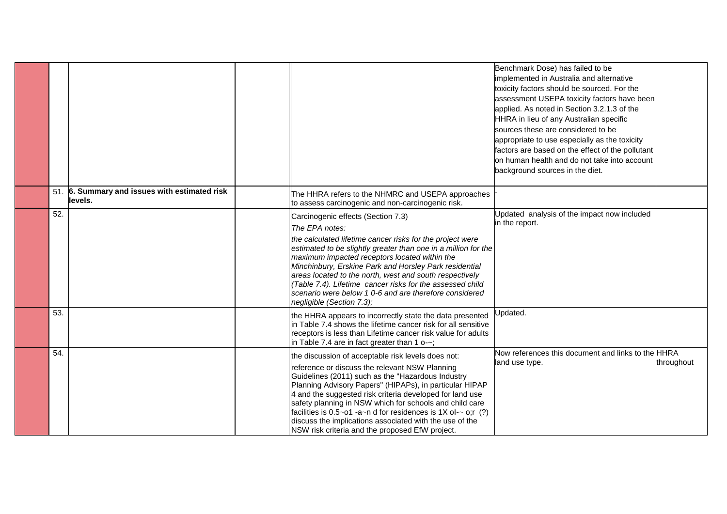|     |                                                          |                                                                                                                                                                                                                                                                                                                                                                                                                                                                                                                              | Benchmark Dose) has failed to be<br>implemented in Australia and alternative<br>toxicity factors should be sourced. For the<br>assessment USEPA toxicity factors have been<br>applied. As noted in Section 3.2.1.3 of the<br>HHRA in lieu of any Australian specific<br>sources these are considered to be<br>appropriate to use especially as the toxicity<br>factors are based on the effect of the pollutant<br>on human health and do not take into account<br>background sources in the diet. |            |
|-----|----------------------------------------------------------|------------------------------------------------------------------------------------------------------------------------------------------------------------------------------------------------------------------------------------------------------------------------------------------------------------------------------------------------------------------------------------------------------------------------------------------------------------------------------------------------------------------------------|----------------------------------------------------------------------------------------------------------------------------------------------------------------------------------------------------------------------------------------------------------------------------------------------------------------------------------------------------------------------------------------------------------------------------------------------------------------------------------------------------|------------|
|     | 51. 6. Summary and issues with estimated risk<br>levels. | The HHRA refers to the NHMRC and USEPA approaches<br>to assess carcinogenic and non-carcinogenic risk.                                                                                                                                                                                                                                                                                                                                                                                                                       |                                                                                                                                                                                                                                                                                                                                                                                                                                                                                                    |            |
| 52. |                                                          | Carcinogenic effects (Section 7.3)<br>The EPA notes:<br>the calculated lifetime cancer risks for the project were<br>estimated to be slightly greater than one in a million for the<br>maximum impacted receptors located within the<br>Minchinbury, Erskine Park and Horsley Park residential<br>areas located to the north, west and south respectively<br>(Table 7.4). Lifetime cancer risks for the assessed child<br>scenario were below 1 0-6 and are therefore considered<br>negligible (Section 7.3);                | Updated analysis of the impact now included<br>in the report.                                                                                                                                                                                                                                                                                                                                                                                                                                      |            |
| 53. |                                                          | the HHRA appears to incorrectly state the data presented<br>in Table 7.4 shows the lifetime cancer risk for all sensitive<br>receptors is less than Lifetime cancer risk value for adults<br>in Table 7.4 are in fact greater than 1 o-~;                                                                                                                                                                                                                                                                                    | Jpdated.                                                                                                                                                                                                                                                                                                                                                                                                                                                                                           |            |
| 54. |                                                          | the discussion of acceptable risk levels does not:<br>reference or discuss the relevant NSW Planning<br>Guidelines (2011) such as the "Hazardous Industry<br>Planning Advisory Papers" (HIPAPs), in particular HIPAP<br>4 and the suggested risk criteria developed for land use<br>safety planning in NSW which for schools and child care<br>facilities is $0.5~01$ -a~n d for residences is 1X ol-~ o;r (?)<br>discuss the implications associated with the use of the<br>NSW risk criteria and the proposed EfW project. | Now references this document and links to the HHRA<br>land use type.                                                                                                                                                                                                                                                                                                                                                                                                                               | throughout |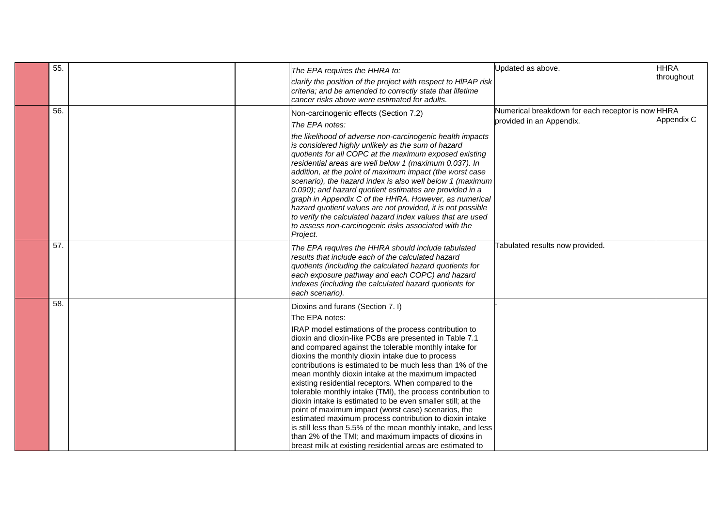| 55. |  | The EPA requires the HHRA to:                                                                                                                                                                                                                                                                                                                                                                                                                                                                                                                                                                                                                                                                                                                                                                                                                                                                        | Updated as above.                                                             | <b>HHRA</b> |
|-----|--|------------------------------------------------------------------------------------------------------------------------------------------------------------------------------------------------------------------------------------------------------------------------------------------------------------------------------------------------------------------------------------------------------------------------------------------------------------------------------------------------------------------------------------------------------------------------------------------------------------------------------------------------------------------------------------------------------------------------------------------------------------------------------------------------------------------------------------------------------------------------------------------------------|-------------------------------------------------------------------------------|-------------|
|     |  | clarify the position of the project with respect to HIPAP risk<br>criteria; and be amended to correctly state that lifetime<br>cancer risks above were estimated for adults.                                                                                                                                                                                                                                                                                                                                                                                                                                                                                                                                                                                                                                                                                                                         |                                                                               | throughout  |
| 56. |  | Non-carcinogenic effects (Section 7.2)<br>The EPA notes:<br>the likelihood of adverse non-carcinogenic health impacts<br>is considered highly unlikely as the sum of hazard<br>quotients for all COPC at the maximum exposed existing<br>residential areas are well below 1 (maximum 0.037). In<br>addition, at the point of maximum impact (the worst case<br>scenario), the hazard index is also well below 1 (maximum<br>$[0.090)$ ; and hazard quotient estimates are provided in a<br>graph in Appendix C of the HHRA. However, as numerical<br>hazard quotient values are not provided, it is not possible<br>to verify the calculated hazard index values that are used<br>to assess non-carcinogenic risks associated with the<br>Project.                                                                                                                                                   | Numerical breakdown for each receptor is now HHRA<br>provided in an Appendix. | Appendix C  |
| 57. |  | The EPA requires the HHRA should include tabulated<br>results that include each of the calculated hazard<br>quotients (including the calculated hazard quotients for<br>each exposure pathway and each COPC) and hazard<br>indexes (including the calculated hazard quotients for<br>each scenario).                                                                                                                                                                                                                                                                                                                                                                                                                                                                                                                                                                                                 | Tabulated results now provided.                                               |             |
| 58. |  | Dioxins and furans (Section 7.1)<br>The EPA notes:<br>IRAP model estimations of the process contribution to<br>dioxin and dioxin-like PCBs are presented in Table 7.1<br>and compared against the tolerable monthly intake for<br>dioxins the monthly dioxin intake due to process<br>contributions is estimated to be much less than 1% of the<br>mean monthly dioxin intake at the maximum impacted<br>existing residential receptors. When compared to the<br>tolerable monthly intake (TMI), the process contribution to<br>dioxin intake is estimated to be even smaller still; at the<br>point of maximum impact (worst case) scenarios, the<br>estimated maximum process contribution to dioxin intake<br>is still less than 5.5% of the mean monthly intake, and less<br>than 2% of the TMI; and maximum impacts of dioxins in<br>breast milk at existing residential areas are estimated to |                                                                               |             |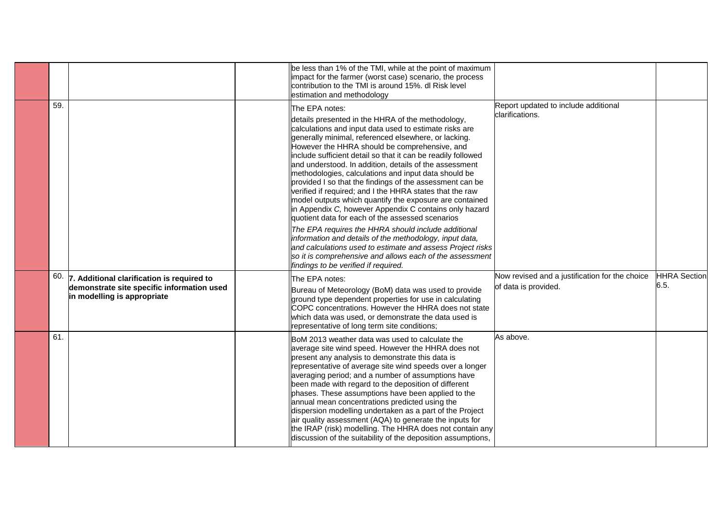|     |                                                                                                                               | be less than 1% of the TMI, while at the point of maximum<br>impact for the farmer (worst case) scenario, the process<br>contribution to the TMI is around 15%. dl Risk level<br>estimation and methodology                                                                                                                                                                                                                                                                                                                                                                                                                                                                                                                                                                                                                                                                                                                                                                                                   |                                                                        |                             |
|-----|-------------------------------------------------------------------------------------------------------------------------------|---------------------------------------------------------------------------------------------------------------------------------------------------------------------------------------------------------------------------------------------------------------------------------------------------------------------------------------------------------------------------------------------------------------------------------------------------------------------------------------------------------------------------------------------------------------------------------------------------------------------------------------------------------------------------------------------------------------------------------------------------------------------------------------------------------------------------------------------------------------------------------------------------------------------------------------------------------------------------------------------------------------|------------------------------------------------------------------------|-----------------------------|
| 59. |                                                                                                                               | The EPA notes:<br>details presented in the HHRA of the methodology,<br>calculations and input data used to estimate risks are<br>generally minimal, referenced elsewhere, or lacking.<br>However the HHRA should be comprehensive, and<br>include sufficient detail so that it can be readily followed<br>and understood. In addition, details of the assessment<br>methodologies, calculations and input data should be<br>provided I so that the findings of the assessment can be<br>verified if required; and I the HHRA states that the raw<br>model outputs which quantify the exposure are contained<br>in Appendix C, however Appendix C contains only hazard<br>quotient data for each of the assessed scenarios<br>The EPA requires the HHRA should include additional<br>information and details of the methodology, input data,<br>and calculations used to estimate and assess Project risks<br>so it is comprehensive and allows each of the assessment<br>findings to be verified if required. | Report updated to include additional<br>clarifications.                |                             |
|     | $60.$ 7. Additional clarification is required to<br>demonstrate site specific information used<br>in modelling is appropriate | The EPA notes:<br>Bureau of Meteorology (BoM) data was used to provide<br>ground type dependent properties for use in calculating<br>COPC concentrations. However the HHRA does not state<br>which data was used, or demonstrate the data used is<br>representative of long term site conditions;                                                                                                                                                                                                                                                                                                                                                                                                                                                                                                                                                                                                                                                                                                             | Now revised and a justification for the choice<br>of data is provided. | <b>HHRA Section</b><br>6.5. |
| 61. |                                                                                                                               | BoM 2013 weather data was used to calculate the<br>average site wind speed. However the HHRA does not<br>present any analysis to demonstrate this data is<br>representative of average site wind speeds over a longer<br>averaging period; and a number of assumptions have<br>been made with regard to the deposition of different<br>phases. These assumptions have been applied to the<br>annual mean concentrations predicted using the<br>dispersion modelling undertaken as a part of the Project<br>air quality assessment (AQA) to generate the inputs for<br>the IRAP (risk) modelling. The HHRA does not contain any<br>discussion of the suitability of the deposition assumptions,                                                                                                                                                                                                                                                                                                                | As above.                                                              |                             |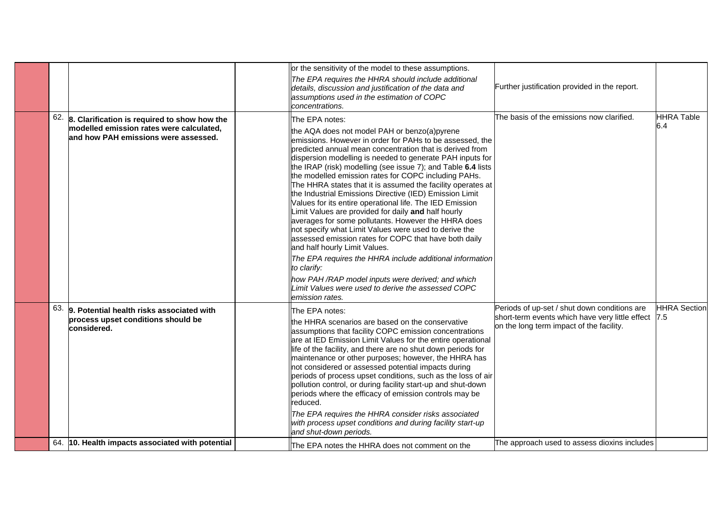|     |                                                                                                                                  | or the sensitivity of the model to these assumptions.                                                                                                                                                                                                                                                                                                                                                                                                                                                                                                                                                                                                                                                                                                                                                                                                                                                                                                                                                                                      |                                                                                                                                                  |                          |
|-----|----------------------------------------------------------------------------------------------------------------------------------|--------------------------------------------------------------------------------------------------------------------------------------------------------------------------------------------------------------------------------------------------------------------------------------------------------------------------------------------------------------------------------------------------------------------------------------------------------------------------------------------------------------------------------------------------------------------------------------------------------------------------------------------------------------------------------------------------------------------------------------------------------------------------------------------------------------------------------------------------------------------------------------------------------------------------------------------------------------------------------------------------------------------------------------------|--------------------------------------------------------------------------------------------------------------------------------------------------|--------------------------|
|     |                                                                                                                                  | The EPA requires the HHRA should include additional<br>details, discussion and justification of the data and<br>assumptions used in the estimation of COPC<br>concentrations.                                                                                                                                                                                                                                                                                                                                                                                                                                                                                                                                                                                                                                                                                                                                                                                                                                                              | Further justification provided in the report.                                                                                                    |                          |
| 62. | 8. Clarification is required to show how the<br>modelled emission rates were calculated,<br>and how PAH emissions were assessed. | The EPA notes:<br>the AQA does not model PAH or benzo(a)pyrene<br>emissions. However in order for PAHs to be assessed, the<br>predicted annual mean concentration that is derived from<br>dispersion modelling is needed to generate PAH inputs for<br>the IRAP (risk) modelling (see issue 7); and Table 6.4 lists<br>the modelled emission rates for COPC including PAHs.<br>The HHRA states that it is assumed the facility operates at<br>the Industrial Emissions Directive (IED) Emission Limit<br>Values for its entire operational life. The IED Emission<br>Limit Values are provided for daily and half hourly<br>averages for some pollutants. However the HHRA does<br>not specify what Limit Values were used to derive the<br>assessed emission rates for COPC that have both daily<br>and half hourly Limit Values.<br>The EPA requires the HHRA include additional information<br>to clarify:<br>how PAH/RAP model inputs were derived; and which<br>Limit Values were used to derive the assessed COPC<br>emission rates. | The basis of the emissions now clarified.                                                                                                        | <b>HHRA Table</b><br>6.4 |
| 63. | 9. Potential health risks associated with<br>process upset conditions should be<br>considered.                                   | The EPA notes:<br>the HHRA scenarios are based on the conservative<br>assumptions that facility COPC emission concentrations<br>are at IED Emission Limit Values for the entire operational<br>life of the facility, and there are no shut down periods for<br>maintenance or other purposes; however, the HHRA has<br>not considered or assessed potential impacts during<br>periods of process upset conditions, such as the loss of air<br>pollution control, or during facility start-up and shut-down<br>periods where the efficacy of emission controls may be<br>reduced.<br>The EPA requires the HHRA consider risks associated<br>with process upset conditions and during facility start-up<br>and shut-down periods.                                                                                                                                                                                                                                                                                                            | Periods of up-set / shut down conditions are<br>short-term events which have very little effect  7.5<br>on the long term impact of the facility. | <b>HHRA</b> Section      |
|     | 64. 10. Health impacts associated with potential                                                                                 | The EPA notes the HHRA does not comment on the                                                                                                                                                                                                                                                                                                                                                                                                                                                                                                                                                                                                                                                                                                                                                                                                                                                                                                                                                                                             | The approach used to assess dioxins includes                                                                                                     |                          |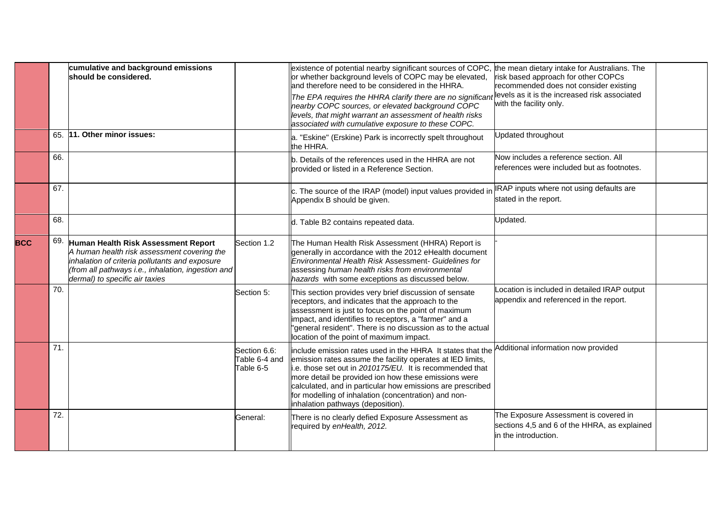|            |     | cumulative and background emissions<br>should be considered.                                                                                                                                                                 |                                            | existence of potential nearby significant sources of COPC,<br>or whether background levels of COPC may be elevated,<br>and therefore need to be considered in the HHRA.<br>The EPA requires the HHRA clarify there are no significant<br>nearby COPC sources, or elevated background COPC<br>levels, that might warrant an assessment of health risks<br>associated with cumulative exposure to these COPC. | the mean dietary intake for Australians. The<br>risk based approach for other COPCs<br>recommended does not consider existing<br>levels as it is the increased risk associated<br>with the facility only. |  |
|------------|-----|------------------------------------------------------------------------------------------------------------------------------------------------------------------------------------------------------------------------------|--------------------------------------------|-------------------------------------------------------------------------------------------------------------------------------------------------------------------------------------------------------------------------------------------------------------------------------------------------------------------------------------------------------------------------------------------------------------|-----------------------------------------------------------------------------------------------------------------------------------------------------------------------------------------------------------|--|
|            | 65. | 11. Other minor issues:                                                                                                                                                                                                      |                                            | a. "Eskine" (Erskine) Park is incorrectly spelt throughout<br>the HHRA.                                                                                                                                                                                                                                                                                                                                     | Updated throughout                                                                                                                                                                                        |  |
|            | 66. |                                                                                                                                                                                                                              |                                            | b. Details of the references used in the HHRA are not<br>provided or listed in a Reference Section.                                                                                                                                                                                                                                                                                                         | Now includes a reference section. All<br>references were included but as footnotes.                                                                                                                       |  |
|            | 67. |                                                                                                                                                                                                                              |                                            | c. The source of the IRAP (model) input values provided in<br>Appendix B should be given.                                                                                                                                                                                                                                                                                                                   | IRAP inputs where not using defaults are<br>stated in the report.                                                                                                                                         |  |
|            | 68. |                                                                                                                                                                                                                              |                                            | d. Table B2 contains repeated data.                                                                                                                                                                                                                                                                                                                                                                         | Updated.                                                                                                                                                                                                  |  |
| <b>BCC</b> | 69. | Human Health Risk Assessment Report<br>A human health risk assessment covering the<br>inhalation of criteria pollutants and exposure<br>(from all pathways i.e., inhalation, ingestion and<br>dermal) to specific air taxies | Section 1.2                                | The Human Health Risk Assessment (HHRA) Report is<br>generally in accordance with the 2012 eHealth document<br>Environmental Health Risk Assessment- Guidelines for<br>assessing human health risks from environmental<br>hazards with some exceptions as discussed below.                                                                                                                                  |                                                                                                                                                                                                           |  |
|            | 70. |                                                                                                                                                                                                                              | Section 5:                                 | This section provides very brief discussion of sensate<br>receptors, and indicates that the approach to the<br>assessment is just to focus on the point of maximum<br>impact, and identifies to receptors, a "farmer" and a<br>'general resident". There is no discussion as to the actual<br>location of the point of maximum impact.                                                                      | ocation is included in detailed IRAP output<br>appendix and referenced in the report.                                                                                                                     |  |
|            | 71. |                                                                                                                                                                                                                              | Section 6.6:<br>Table 6-4 and<br>Table 6-5 | include emission rates used in the HHRA It states that the<br>emission rates assume the facility operates at IED limits,<br>.e. those set out in 2010175/EU. It is recommended that<br>more detail be provided ion how these emissions were<br>calculated, and in particular how emissions are prescribed<br>for modelling of inhalation (concentration) and non-<br>inhalation pathways (deposition).      | Additional information now provided                                                                                                                                                                       |  |
|            | 72. |                                                                                                                                                                                                                              | General:                                   | There is no clearly defied Exposure Assessment as<br>required by enHealth, 2012.                                                                                                                                                                                                                                                                                                                            | The Exposure Assessment is covered in<br>sections 4,5 and 6 of the HHRA, as explained<br>in the introduction.                                                                                             |  |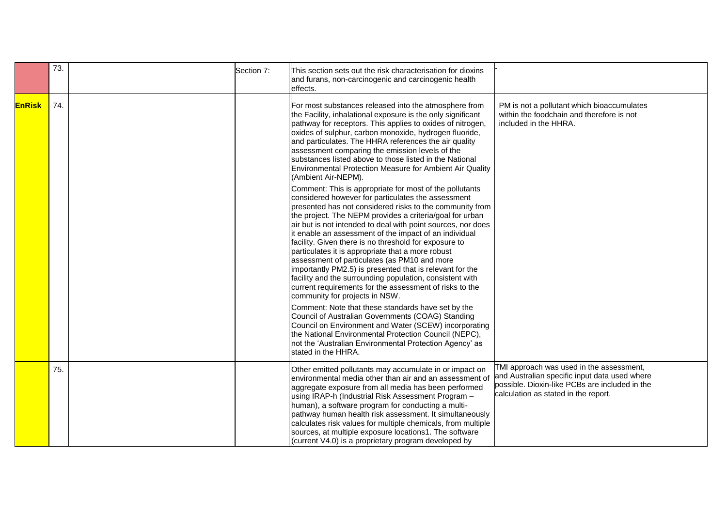|               | 73. | Section 7: | This section sets out the risk characterisation for dioxins<br>and furans, non-carcinogenic and carcinogenic health<br>effects.                                                                                                                                                                                                                                                                                                                                                                                                                                                                                                                                                          |                                                                                                                                                                                     |  |
|---------------|-----|------------|------------------------------------------------------------------------------------------------------------------------------------------------------------------------------------------------------------------------------------------------------------------------------------------------------------------------------------------------------------------------------------------------------------------------------------------------------------------------------------------------------------------------------------------------------------------------------------------------------------------------------------------------------------------------------------------|-------------------------------------------------------------------------------------------------------------------------------------------------------------------------------------|--|
| <b>EnRisk</b> | 74. |            | For most substances released into the atmosphere from<br>the Facility, inhalational exposure is the only significant<br>pathway for receptors. This applies to oxides of nitrogen,<br>oxides of sulphur, carbon monoxide, hydrogen fluoride,<br>and particulates. The HHRA references the air quality<br>assessment comparing the emission levels of the<br>substances listed above to those listed in the National<br>Environmental Protection Measure for Ambient Air Quality<br>(Ambient Air-NEPM).<br>Comment: This is appropriate for most of the pollutants                                                                                                                        | PM is not a pollutant which bioaccumulates<br>within the foodchain and therefore is not<br>included in the HHRA.                                                                    |  |
|               |     |            | considered however for particulates the assessment<br>presented has not considered risks to the community from<br>the project. The NEPM provides a criteria/goal for urban<br>air but is not intended to deal with point sources, nor does<br>lit enable an assessment of the impact of an individual<br>facility. Given there is no threshold for exposure to<br>particulates it is appropriate that a more robust<br>assessment of particulates (as PM10 and more<br>importantly PM2.5) is presented that is relevant for the<br>facility and the surrounding population, consistent with<br>current requirements for the assessment of risks to the<br>community for projects in NSW. |                                                                                                                                                                                     |  |
|               |     |            | Comment: Note that these standards have set by the<br>Council of Australian Governments (COAG) Standing<br>Council on Environment and Water (SCEW) incorporating<br>the National Environmental Protection Council (NEPC),<br>not the 'Australian Environmental Protection Agency' as<br>stated in the HHRA.                                                                                                                                                                                                                                                                                                                                                                              |                                                                                                                                                                                     |  |
|               | 75. |            | Other emitted pollutants may accumulate in or impact on<br>environmental media other than air and an assessment of<br>aggregate exposure from all media has been performed<br>using IRAP-h (Industrial Risk Assessment Program -<br>human), a software program for conducting a multi-<br>pathway human health risk assessment. It simultaneously<br>calculates risk values for multiple chemicals, from multiple<br>sources, at multiple exposure locations1. The software<br>(current V4.0) is a proprietary program developed by                                                                                                                                                      | TMI approach was used in the assessment,<br>and Australian specific input data used where<br>possible. Dioxin-like PCBs are included in the<br>calculation as stated in the report. |  |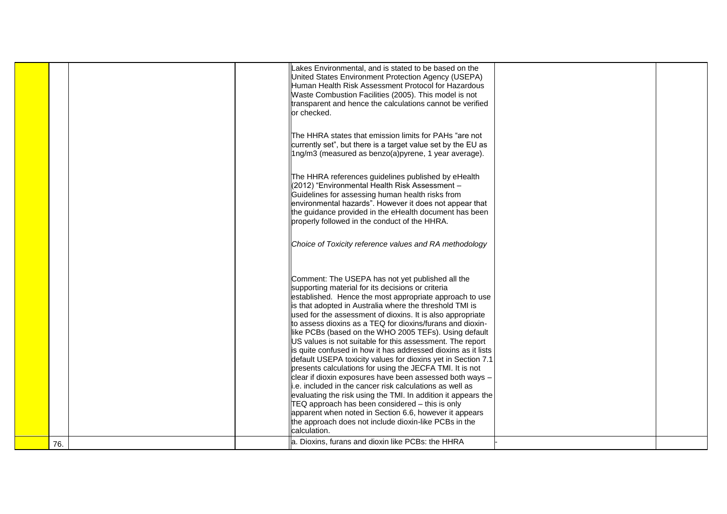|     | Lakes Environmental, and is stated to be based on the<br>United States Environment Protection Agency (USEPA)<br>Human Health Risk Assessment Protocol for Hazardous<br>Waste Combustion Facilities (2005). This model is not<br>transparent and hence the calculations cannot be verified<br>or checked.<br>IThe HHRA states that emission limits for PAHs "are not<br>currently set", but there is a target value set by the EU as<br>  1ng/m3 (measured as benzo(a)pyrene, 1 year average).<br>The HHRA references guidelines published by eHealth<br>(2012) "Environmental Health Risk Assessment -<br>Guidelines for assessing human health risks from<br>environmental hazards". However it does not appear that<br>the guidance provided in the eHealth document has been<br>properly followed in the conduct of the HHRA.<br>Choice of Toxicity reference values and RA methodology                                                                                                                                                                                                                        |  |
|-----|-------------------------------------------------------------------------------------------------------------------------------------------------------------------------------------------------------------------------------------------------------------------------------------------------------------------------------------------------------------------------------------------------------------------------------------------------------------------------------------------------------------------------------------------------------------------------------------------------------------------------------------------------------------------------------------------------------------------------------------------------------------------------------------------------------------------------------------------------------------------------------------------------------------------------------------------------------------------------------------------------------------------------------------------------------------------------------------------------------------------|--|
| 76. | Comment: The USEPA has not yet published all the<br>supporting material for its decisions or criteria<br>established. Hence the most appropriate approach to use<br>is that adopted in Australia where the threshold TMI is<br>used for the assessment of dioxins. It is also appropriate<br>to assess dioxins as a TEQ for dioxins/furans and dioxin-<br>like PCBs (based on the WHO 2005 TEFs). Using default<br>US values is not suitable for this assessment. The report<br>is quite confused in how it has addressed dioxins as it lists<br>default USEPA toxicity values for dioxins yet in Section 7.1<br>presents calculations for using the JECFA TMI. It is not<br>clear if dioxin exposures have been assessed both ways -<br>i.e. included in the cancer risk calculations as well as<br>evaluating the risk using the TMI. In addition it appears the<br>$TEQ$ approach has been considered $-$ this is only<br>apparent when noted in Section 6.6, however it appears<br>the approach does not include dioxin-like PCBs in the<br>calculation.<br>a. Dioxins, furans and dioxin like PCBs: the HHRA |  |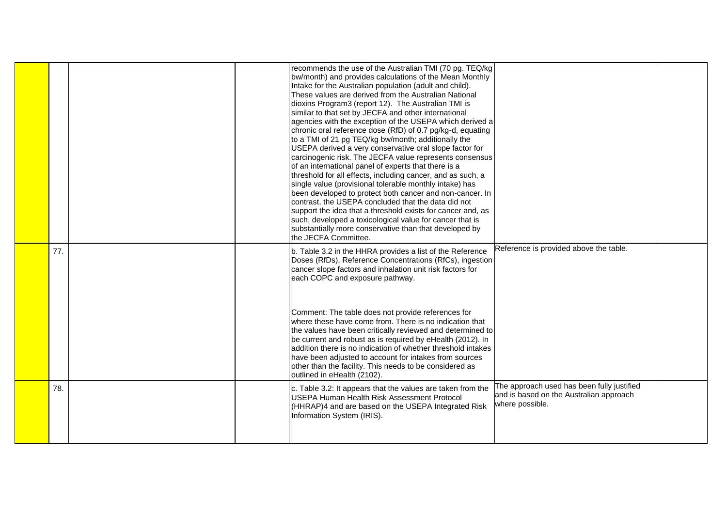|     | recommends the use of the Australian TMI (70 pg. TEQ/kg<br>bw/month) and provides calculations of the Mean Monthly<br>Intake for the Australian population (adult and child).<br>These values are derived from the Australian National<br>dioxins Program3 (report 12). The Australian TMI is<br>similar to that set by JECFA and other international<br>agencies with the exception of the USEPA which derived a<br>chronic oral reference dose (RfD) of 0.7 pg/kg-d, equating<br>to a TMI of 21 pg TEQ/kg bw/month; additionally the<br>USEPA derived a very conservative oral slope factor for<br>carcinogenic risk. The JECFA value represents consensus<br>of an international panel of experts that there is a<br>threshold for all effects, including cancer, and as such, a<br>single value (provisional tolerable monthly intake) has<br>been developed to protect both cancer and non-cancer. In<br>contrast, the USEPA concluded that the data did not<br>support the idea that a threshold exists for cancer and, as<br>such, developed a toxicological value for cancer that is<br>substantially more conservative than that developed by<br>the JECFA Committee. |                                                                                                          |
|-----|--------------------------------------------------------------------------------------------------------------------------------------------------------------------------------------------------------------------------------------------------------------------------------------------------------------------------------------------------------------------------------------------------------------------------------------------------------------------------------------------------------------------------------------------------------------------------------------------------------------------------------------------------------------------------------------------------------------------------------------------------------------------------------------------------------------------------------------------------------------------------------------------------------------------------------------------------------------------------------------------------------------------------------------------------------------------------------------------------------------------------------------------------------------------------------|----------------------------------------------------------------------------------------------------------|
| 77. | b. Table 3.2 in the HHRA provides a list of the Reference<br>Doses (RfDs), Reference Concentrations (RfCs), ingestion<br>cancer slope factors and inhalation unit risk factors for<br>each COPC and exposure pathway.                                                                                                                                                                                                                                                                                                                                                                                                                                                                                                                                                                                                                                                                                                                                                                                                                                                                                                                                                          | Reference is provided above the table.                                                                   |
|     | Comment: The table does not provide references for<br>where these have come from. There is no indication that<br>the values have been critically reviewed and determined to<br>be current and robust as is required by eHealth (2012). In<br>addition there is no indication of whether threshold intakes<br>have been adjusted to account for intakes from sources<br>other than the facility. This needs to be considered as<br>outlined in eHealth (2102).                                                                                                                                                                                                                                                                                                                                                                                                                                                                                                                                                                                                                                                                                                                  |                                                                                                          |
| 78. | c. Table 3.2: It appears that the values are taken from the<br><b>USEPA Human Health Risk Assessment Protocol</b><br>(HHRAP)4 and are based on the USEPA Integrated Risk<br>Information System (IRIS).                                                                                                                                                                                                                                                                                                                                                                                                                                                                                                                                                                                                                                                                                                                                                                                                                                                                                                                                                                         | The approach used has been fully justified<br>and is based on the Australian approach<br>where possible. |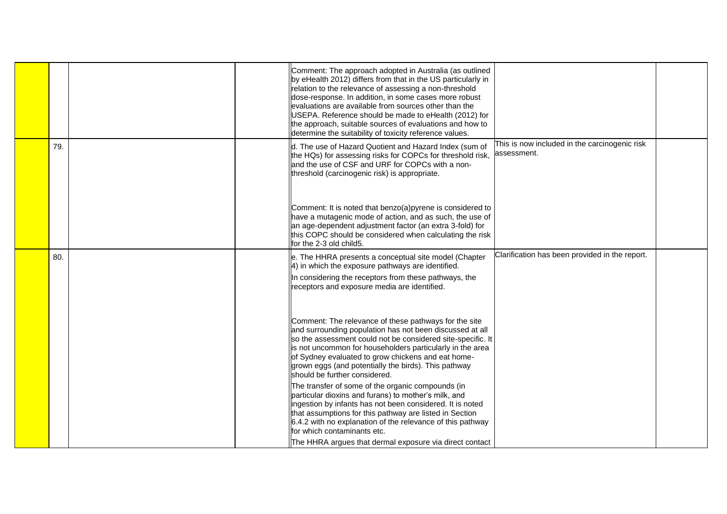|     |  | Comment: The approach adopted in Australia (as outlined<br>by eHealth 2012) differs from that in the US particularly in<br>relation to the relevance of assessing a non-threshold<br>dose-response. In addition, in some cases more robust<br>evaluations are available from sources other than the<br>USEPA. Reference should be made to eHealth (2012) for<br>the approach, suitable sources of evaluations and how to<br>determine the suitability of toxicity reference values. |                                                              |  |
|-----|--|-------------------------------------------------------------------------------------------------------------------------------------------------------------------------------------------------------------------------------------------------------------------------------------------------------------------------------------------------------------------------------------------------------------------------------------------------------------------------------------|--------------------------------------------------------------|--|
| 79. |  | d. The use of Hazard Quotient and Hazard Index (sum of<br>the HQs) for assessing risks for COPCs for threshold risk,<br>and the use of CSF and URF for COPCs with a non-<br>threshold (carcinogenic risk) is appropriate.                                                                                                                                                                                                                                                           | This is now included in the carcinogenic risk<br>assessment. |  |
|     |  | Comment: It is noted that benzo(a)pyrene is considered to<br>have a mutagenic mode of action, and as such, the use of<br>an age-dependent adjustment factor (an extra 3-fold) for<br>this COPC should be considered when calculating the risk<br>for the 2-3 old child5.                                                                                                                                                                                                            |                                                              |  |
| 80. |  | e. The HHRA presents a conceptual site model (Chapter<br>4) in which the exposure pathways are identified.<br>In considering the receptors from these pathways, the<br>receptors and exposure media are identified.                                                                                                                                                                                                                                                                 | Clarification has been provided in the report.               |  |
|     |  | Comment: The relevance of these pathways for the site<br>and surrounding population has not been discussed at all<br>so the assessment could not be considered site-specific. It<br>is not uncommon for householders particularly in the area<br>of Sydney evaluated to grow chickens and eat home-<br>grown eggs (and potentially the birds). This pathway<br>should be further considered.                                                                                        |                                                              |  |
|     |  | The transfer of some of the organic compounds (in<br>particular dioxins and furans) to mother's milk, and<br>ingestion by infants has not been considered. It is noted<br>that assumptions for this pathway are listed in Section<br>6.4.2 with no explanation of the relevance of this pathway<br>for which contaminants etc.<br>The HHRA argues that dermal exposure via direct contact                                                                                           |                                                              |  |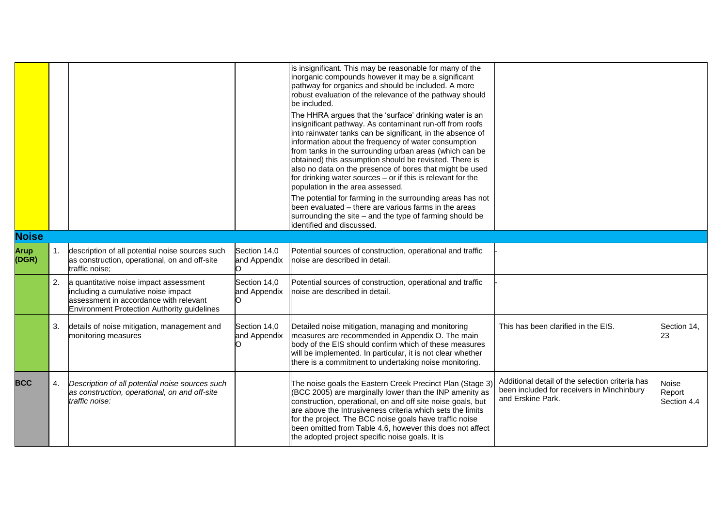|                      |                |                                                                                                                                                                        |                                    | is insignificant. This may be reasonable for many of the<br>inorganic compounds however it may be a significant<br>pathway for organics and should be included. A more<br>robust evaluation of the relevance of the pathway should<br>be included.<br>The HHRA argues that the 'surface' drinking water is an<br>insignificant pathway. As contaminant run-off from roofs<br>into rainwater tanks can be significant, in the absence of<br>information about the frequency of water consumption<br>from tanks in the surrounding urban areas (which can be<br>obtained) this assumption should be revisited. There is<br>also no data on the presence of bores that might be used<br>$\left $ for drinking water sources – or if this is relevant for the<br>population in the area assessed.<br>The potential for farming in the surrounding areas has not<br>been evaluated – there are various farms in the areas<br>surrounding the site – and the type of farming should be<br>identified and discussed. |                                                                                                                    |                                       |
|----------------------|----------------|------------------------------------------------------------------------------------------------------------------------------------------------------------------------|------------------------------------|---------------------------------------------------------------------------------------------------------------------------------------------------------------------------------------------------------------------------------------------------------------------------------------------------------------------------------------------------------------------------------------------------------------------------------------------------------------------------------------------------------------------------------------------------------------------------------------------------------------------------------------------------------------------------------------------------------------------------------------------------------------------------------------------------------------------------------------------------------------------------------------------------------------------------------------------------------------------------------------------------------------|--------------------------------------------------------------------------------------------------------------------|---------------------------------------|
| <b>Noise</b>         |                |                                                                                                                                                                        |                                    |                                                                                                                                                                                                                                                                                                                                                                                                                                                                                                                                                                                                                                                                                                                                                                                                                                                                                                                                                                                                               |                                                                                                                    |                                       |
| <b>Arup</b><br>(DGR) | $\mathbf{1}$ . | description of all potential noise sources such<br>as construction, operational, on and off-site<br>traffic noise;                                                     | Section 14,0<br>and Appendix<br>n. | Potential sources of construction, operational and traffic<br>noise are described in detail.                                                                                                                                                                                                                                                                                                                                                                                                                                                                                                                                                                                                                                                                                                                                                                                                                                                                                                                  |                                                                                                                    |                                       |
|                      | 2.             | a quantitative noise impact assessment<br>including a cumulative noise impact<br>assessment in accordance with relevant<br>Environment Protection Authority guidelines | Section 14,0<br>and Appendix<br>n  | Potential sources of construction, operational and traffic<br>noise are described in detail.                                                                                                                                                                                                                                                                                                                                                                                                                                                                                                                                                                                                                                                                                                                                                                                                                                                                                                                  |                                                                                                                    |                                       |
|                      | 3.             | details of noise mitigation, management and<br>monitoring measures                                                                                                     | Section 14,0<br>and Appendix       | Detailed noise mitigation, managing and monitoring<br>measures are recommended in Appendix O. The main<br>body of the EIS should confirm which of these measures<br>will be implemented. In particular, it is not clear whether<br>there is a commitment to undertaking noise monitoring.                                                                                                                                                                                                                                                                                                                                                                                                                                                                                                                                                                                                                                                                                                                     | This has been clarified in the EIS.                                                                                | Section 14,<br>23                     |
| <b>BCC</b>           | 4.             | Description of all potential noise sources such<br>as construction, operational, on and off-site<br>traffic noise:                                                     |                                    | The noise goals the Eastern Creek Precinct Plan (Stage 3)<br>(BCC 2005) are marginally lower than the INP amenity as<br>construction, operational, on and off site noise goals, but<br>are above the Intrusiveness criteria which sets the limits<br>for the project. The BCC noise goals have traffic noise<br>been omitted from Table 4.6, however this does not affect<br>the adopted project specific noise goals. It is                                                                                                                                                                                                                                                                                                                                                                                                                                                                                                                                                                                  | Additional detail of the selection criteria has<br>been included for receivers in Minchinbury<br>and Erskine Park. | <b>Noise</b><br>Report<br>Section 4.4 |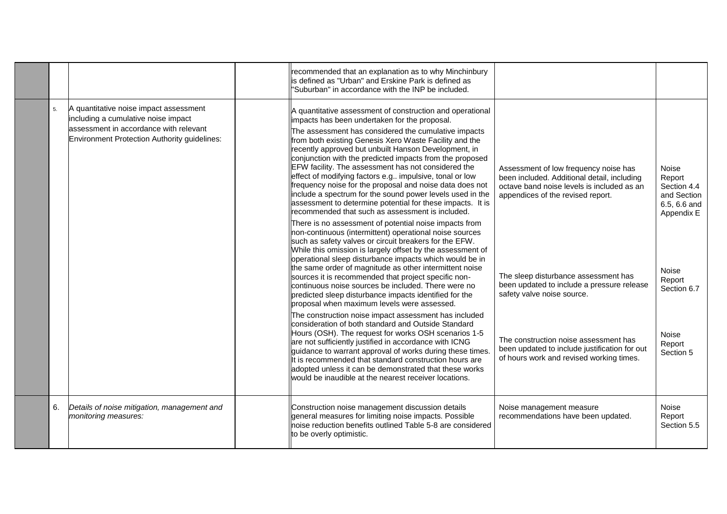|    |                                                                                                                                                                         | recommended that an explanation as to why Minchinbury<br>is defined as "Urban" and Erskine Park is defined as<br>"Suburban" in accordance with the INP be included.                                                                                                                                                                                                                                                                                                                                                                                                                                                                                                                                           |                                                                                                                                                                         |                                                                                    |
|----|-------------------------------------------------------------------------------------------------------------------------------------------------------------------------|---------------------------------------------------------------------------------------------------------------------------------------------------------------------------------------------------------------------------------------------------------------------------------------------------------------------------------------------------------------------------------------------------------------------------------------------------------------------------------------------------------------------------------------------------------------------------------------------------------------------------------------------------------------------------------------------------------------|-------------------------------------------------------------------------------------------------------------------------------------------------------------------------|------------------------------------------------------------------------------------|
| 5. | A quantitative noise impact assessment<br>including a cumulative noise impact<br>assessment in accordance with relevant<br>Environment Protection Authority guidelines: | A quantitative assessment of construction and operational<br>impacts has been undertaken for the proposal.<br>The assessment has considered the cumulative impacts<br>from both existing Genesis Xero Waste Facility and the<br>recently approved but unbuilt Hanson Development, in<br>conjunction with the predicted impacts from the proposed<br>EFW facility. The assessment has not considered the<br>effect of modifying factors e.g impulsive, tonal or low<br>frequency noise for the proposal and noise data does not<br>include a spectrum for the sound power levels used in the<br>assessment to determine potential for these impacts. It is<br>recommended that such as assessment is included. | Assessment of low frequency noise has<br>been included. Additional detail, including<br>octave band noise levels is included as an<br>appendices of the revised report. | <b>Noise</b><br>Report<br>Section 4.4<br>and Section<br>6.5, 6.6 and<br>Appendix E |
|    |                                                                                                                                                                         | There is no assessment of potential noise impacts from<br>non-continuous (intermittent) operational noise sources<br>such as safety valves or circuit breakers for the EFW.<br>While this omission is largely offset by the assessment of<br>operational sleep disturbance impacts which would be in<br>the same order of magnitude as other intermittent noise<br>sources it is recommended that project specific non-<br>continuous noise sources be included. There were no<br>predicted sleep disturbance impacts identified for the<br>proposal when maximum levels were assessed.                                                                                                                       | The sleep disturbance assessment has<br>been updated to include a pressure release<br>safety valve noise source.                                                        | <b>Noise</b><br>Report<br>Section 6.7                                              |
|    |                                                                                                                                                                         | The construction noise impact assessment has included<br>consideration of both standard and Outside Standard<br>Hours (OSH). The request for works OSH scenarios 1-5<br>are not sufficiently justified in accordance with ICNG<br>guidance to warrant approval of works during these times.<br>It is recommended that standard construction hours are<br>adopted unless it can be demonstrated that these works<br>would be inaudible at the nearest receiver locations.                                                                                                                                                                                                                                      | The construction noise assessment has<br>been updated to include justification for out<br>of hours work and revised working times.                                      | Noise<br>Report<br>Section 5                                                       |
| 6. | Details of noise mitigation, management and<br>monitoring measures:                                                                                                     | Construction noise management discussion details<br>general measures for limiting noise impacts. Possible<br>noise reduction benefits outlined Table 5-8 are considered<br>to be overly optimistic.                                                                                                                                                                                                                                                                                                                                                                                                                                                                                                           | Noise management measure<br>recommendations have been updated.                                                                                                          | <b>Noise</b><br>Report<br>Section 5.5                                              |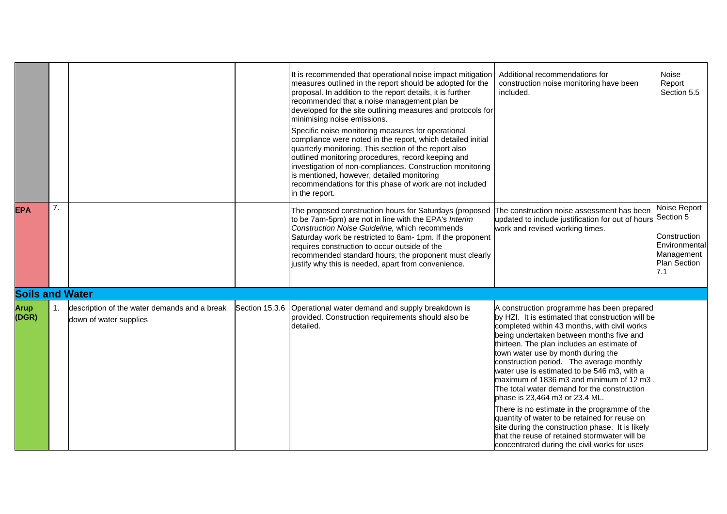|                        |    |                                                                        | It is recommended that operational noise impact mitigation<br>measures outlined in the report should be adopted for the<br>proposal. In addition to the report details, it is further<br>recommended that a noise management plan be<br>developed for the site outlining measures and protocols for<br>minimising noise emissions.<br>Specific noise monitoring measures for operational<br>compliance were noted in the report, which detailed initial<br>quarterly monitoring. This section of the report also<br>outlined monitoring procedures, record keeping and<br>investigation of non-compliances. Construction monitoring<br>is mentioned, however, detailed monitoring<br>recommendations for this phase of work are not included<br>in the report. | Additional recommendations for<br>construction noise monitoring have been<br>included.                                                                                                                                                                                                                                                                                                                                                                                                                                                                                                                                                                                                                                                                        | <b>Noise</b><br>Report<br>Section 5.5                                                                  |
|------------------------|----|------------------------------------------------------------------------|----------------------------------------------------------------------------------------------------------------------------------------------------------------------------------------------------------------------------------------------------------------------------------------------------------------------------------------------------------------------------------------------------------------------------------------------------------------------------------------------------------------------------------------------------------------------------------------------------------------------------------------------------------------------------------------------------------------------------------------------------------------|---------------------------------------------------------------------------------------------------------------------------------------------------------------------------------------------------------------------------------------------------------------------------------------------------------------------------------------------------------------------------------------------------------------------------------------------------------------------------------------------------------------------------------------------------------------------------------------------------------------------------------------------------------------------------------------------------------------------------------------------------------------|--------------------------------------------------------------------------------------------------------|
| <b>EPA</b>             | 7. |                                                                        | The proposed construction hours for Saturdays (proposed<br>to be 7am-5pm) are not in line with the EPA's Interim<br>Construction Noise Guideline, which recommends<br>Saturday work be restricted to 8am- 1pm. If the proponent<br>requires construction to occur outside of the<br>recommended standard hours, the proponent must clearly<br>justify why this is needed, apart from convenience.                                                                                                                                                                                                                                                                                                                                                              | The construction noise assessment has been<br>updated to include justification for out of hours<br>work and revised working times.                                                                                                                                                                                                                                                                                                                                                                                                                                                                                                                                                                                                                            | <b>Noise Report</b><br>Section 5<br>Construction<br>Environmental<br>Management<br>Plan Section<br>7.1 |
| <b>Soils and Water</b> |    |                                                                        |                                                                                                                                                                                                                                                                                                                                                                                                                                                                                                                                                                                                                                                                                                                                                                |                                                                                                                                                                                                                                                                                                                                                                                                                                                                                                                                                                                                                                                                                                                                                               |                                                                                                        |
| <b>Arup</b><br>(DGR)   | 1. | description of the water demands and a break<br>down of water supplies | Section 15.3.6   Operational water demand and supply breakdown is<br>provided. Construction requirements should also be<br>detailed.                                                                                                                                                                                                                                                                                                                                                                                                                                                                                                                                                                                                                           | A construction programme has been prepared<br>by HZI. It is estimated that construction will be<br>completed within 43 months, with civil works<br>being undertaken between months five and<br>thirteen. The plan includes an estimate of<br>town water use by month during the<br>construction period. The average monthly<br>water use is estimated to be 546 m3, with a<br>maximum of 1836 m3 and minimum of 12 m3.<br>The total water demand for the construction<br>phase is 23,464 m3 or 23.4 ML.<br>There is no estimate in the programme of the<br>quantity of water to be retained for reuse on<br>site during the construction phase. It is likely<br>that the reuse of retained stormwater will be<br>concentrated during the civil works for uses |                                                                                                        |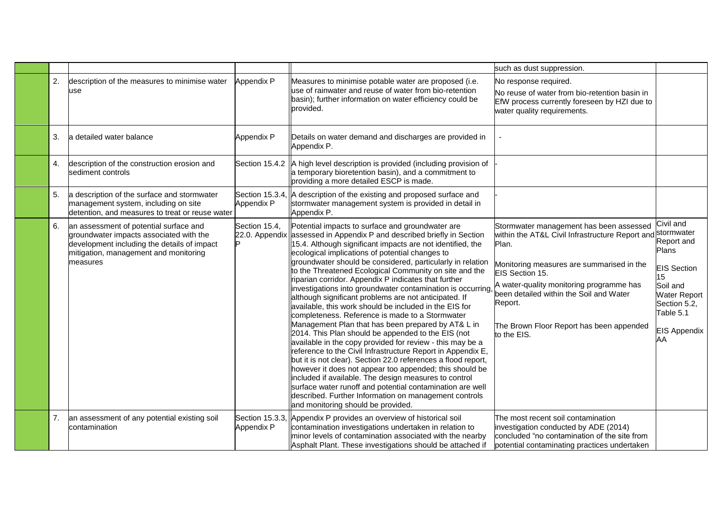|    |                                                                                                                                                                                       |                                 |                                                                                                                                                                                                                                                                                                                                                                                                                                                                                                                                                                                                                                                                                                                                                                                                                                                                                                                                                                                                                                                                                                                                                                                                                                           | such as dust suppression.                                                                                                                                                                                                                                                                                                                   |                                                                                                                                                           |
|----|---------------------------------------------------------------------------------------------------------------------------------------------------------------------------------------|---------------------------------|-------------------------------------------------------------------------------------------------------------------------------------------------------------------------------------------------------------------------------------------------------------------------------------------------------------------------------------------------------------------------------------------------------------------------------------------------------------------------------------------------------------------------------------------------------------------------------------------------------------------------------------------------------------------------------------------------------------------------------------------------------------------------------------------------------------------------------------------------------------------------------------------------------------------------------------------------------------------------------------------------------------------------------------------------------------------------------------------------------------------------------------------------------------------------------------------------------------------------------------------|---------------------------------------------------------------------------------------------------------------------------------------------------------------------------------------------------------------------------------------------------------------------------------------------------------------------------------------------|-----------------------------------------------------------------------------------------------------------------------------------------------------------|
| 2. | description of the measures to minimise water<br>use                                                                                                                                  | Appendix P                      | Measures to minimise potable water are proposed (i.e.<br>use of rainwater and reuse of water from bio-retention<br>basin); further information on water efficiency could be<br>provided.                                                                                                                                                                                                                                                                                                                                                                                                                                                                                                                                                                                                                                                                                                                                                                                                                                                                                                                                                                                                                                                  | No response required.<br>No reuse of water from bio-retention basin in<br>EfW process currently foreseen by HZI due to<br>water quality requirements.                                                                                                                                                                                       |                                                                                                                                                           |
| 3. | a detailed water balance                                                                                                                                                              | Appendix P                      | Details on water demand and discharges are provided in<br>Appendix P.                                                                                                                                                                                                                                                                                                                                                                                                                                                                                                                                                                                                                                                                                                                                                                                                                                                                                                                                                                                                                                                                                                                                                                     |                                                                                                                                                                                                                                                                                                                                             |                                                                                                                                                           |
| 4. | description of the construction erosion and<br>sediment controls                                                                                                                      | Section 15.4.2                  | A high level description is provided (including provision of<br>a temporary bioretention basin), and a commitment to<br>providing a more detailed ESCP is made.                                                                                                                                                                                                                                                                                                                                                                                                                                                                                                                                                                                                                                                                                                                                                                                                                                                                                                                                                                                                                                                                           |                                                                                                                                                                                                                                                                                                                                             |                                                                                                                                                           |
| 5. | a description of the surface and stormwater<br>management system, including on site<br>detention, and measures to treat or reuse water                                                | Section 15.3.4,<br>Appendix P   | A description of the existing and proposed surface and<br>stormwater management system is provided in detail in<br>Appendix P.                                                                                                                                                                                                                                                                                                                                                                                                                                                                                                                                                                                                                                                                                                                                                                                                                                                                                                                                                                                                                                                                                                            |                                                                                                                                                                                                                                                                                                                                             |                                                                                                                                                           |
| 6. | an assessment of potential surface and<br>groundwater impacts associated with the<br>development including the details of impact<br>mitigation, management and monitoring<br>measures | Section 15.4,<br>22.0. Appendix | Potential impacts to surface and groundwater are<br>assessed in Appendix P and described briefly in Section<br>15.4. Although significant impacts are not identified, the<br>ecological implications of potential changes to<br>groundwater should be considered, particularly in relation<br>to the Threatened Ecological Community on site and the<br>riparian corridor. Appendix P indicates that further<br>investigations into groundwater contamination is occurring<br>although significant problems are not anticipated. If<br>available, this work should be included in the EIS for<br>completeness. Reference is made to a Stormwater<br>Management Plan that has been prepared by AT& L in<br>2014. This Plan should be appended to the EIS (not<br>available in the copy provided for review - this may be a<br>reference to the Civil Infrastructure Report in Appendix E,<br>but it is not clear). Section 22.0 references a flood report,<br>however it does not appear too appended; this should be<br>included if available. The design measures to control<br>surface water runoff and potential contamination are well<br>described. Further Information on management controls<br>and monitoring should be provided. | Stormwater management has been assessed<br>within the AT&L Civil Infrastructure Report and stormwater<br>Plan.<br>Monitoring measures are summarised in the<br>EIS Section 15.<br>A water-quality monitoring programme has<br>been detailed within the Soil and Water<br>Report.<br>The Brown Floor Report has been appended<br>to the EIS. | Civil and<br>Report and<br>Plans<br><b>EIS Section</b><br>15<br>Soil and<br><b>Water Report</b><br>Section 5.2,<br>Table 5.1<br><b>EIS Appendix</b><br>AΑ |
| 7. | an assessment of any potential existing soil<br>contamination                                                                                                                         | Section 15.3.3,<br>Appendix P   | Appendix P provides an overview of historical soil<br>contamination investigations undertaken in relation to<br>minor levels of contamination associated with the nearby<br>Asphalt Plant. These investigations should be attached if                                                                                                                                                                                                                                                                                                                                                                                                                                                                                                                                                                                                                                                                                                                                                                                                                                                                                                                                                                                                     | The most recent soil contamination<br>investigation conducted by ADE (2014)<br>concluded "no contamination of the site from<br>potential contaminating practices undertaken                                                                                                                                                                 |                                                                                                                                                           |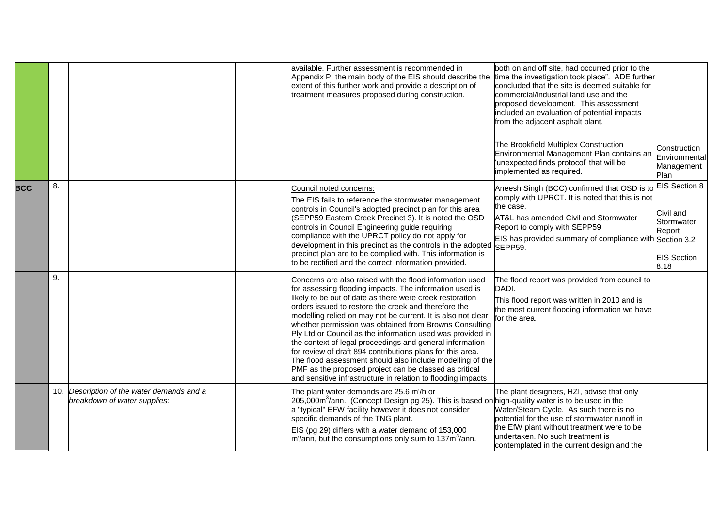|            |    |                                                                            | available. Further assessment is recommended in<br>Appendix P; the main body of the EIS should describe the<br>extent of this further work and provide a description of<br>treatment measures proposed during construction.                                                                                                                                                                                                                                                                                                                                                                                                                                                                                                                      | both on and off site, had occurred prior to the<br>time the investigation took place". ADE further<br>concluded that the site is deemed suitable for<br>commercial/industrial land use and the<br>proposed development. This assessment<br>included an evaluation of potential impacts<br>from the adjacent asphalt plant.<br>The Brookfield Multiplex Construction<br>Environmental Management Plan contains an<br>'unexpected finds protocol' that will be<br>implemented as required. | Construction<br>Environmental<br>Management<br>Plan                                     |
|------------|----|----------------------------------------------------------------------------|--------------------------------------------------------------------------------------------------------------------------------------------------------------------------------------------------------------------------------------------------------------------------------------------------------------------------------------------------------------------------------------------------------------------------------------------------------------------------------------------------------------------------------------------------------------------------------------------------------------------------------------------------------------------------------------------------------------------------------------------------|------------------------------------------------------------------------------------------------------------------------------------------------------------------------------------------------------------------------------------------------------------------------------------------------------------------------------------------------------------------------------------------------------------------------------------------------------------------------------------------|-----------------------------------------------------------------------------------------|
| <b>BCC</b> | 8. |                                                                            | Council noted concerns:<br>The EIS fails to reference the stormwater management<br>controls in Council's adopted precinct plan for this area<br>(SEPP59 Eastern Creek Precinct 3). It is noted the OSD<br>controls in Council Engineering guide requiring<br>compliance with the UPRCT policy do not apply for<br>development in this precinct as the controls in the adopted<br>precinct plan are to be complied with. This information is<br>to be rectified and the correct information provided.                                                                                                                                                                                                                                             | Aneesh Singh (BCC) confirmed that OSD is to<br>comply with UPRCT. It is noted that this is not<br>the case.<br>AT&L has amended Civil and Stormwater<br>Report to comply with SEPP59<br>EIS has provided summary of compliance with Section 3.2<br>SEPP59.                                                                                                                                                                                                                               | <b>EIS Section 8</b><br>Civil and<br>Stormwater<br>Report<br><b>EIS Section</b><br>8.18 |
|            | 9. |                                                                            | Concerns are also raised with the flood information used<br>for assessing flooding impacts. The information used is<br>likely to be out of date as there were creek restoration<br>orders issued to restore the creek and therefore the<br>modelling relied on may not be current. It is also not clear<br>whether permission was obtained from Browns Consulting<br>Ply Ltd or Council as the information used was provided in<br>the context of legal proceedings and general information<br>for review of draft 894 contributions plans for this area.<br>The flood assessment should also include modelling of the<br>PMF as the proposed project can be classed as critical<br>and sensitive infrastructure in relation to flooding impacts | The flood report was provided from council to<br>DADI.<br>This flood report was written in 2010 and is<br>the most current flooding information we have<br>for the area.                                                                                                                                                                                                                                                                                                                 |                                                                                         |
|            |    | 10. Description of the water demands and a<br>breakdown of water supplies: | The plant water demands are 25.6 m'/h or<br>205,000m <sup>3</sup> /ann. (Concept Design pg 25). This is based on high-quality water is to be used in the<br>a "typical" EFW facility however it does not consider<br>specific demands of the TNG plant.<br>EIS (pg 29) differs with a water demand of 153,000<br>$m/ann$ , but the consumptions only sum to 137 $m3/ann$ .                                                                                                                                                                                                                                                                                                                                                                       | The plant designers, HZI, advise that only<br>Water/Steam Cycle. As such there is no<br>potential for the use of stormwater runoff in<br>the EfW plant without treatment were to be<br>undertaken. No such treatment is<br>contemplated in the current design and the                                                                                                                                                                                                                    |                                                                                         |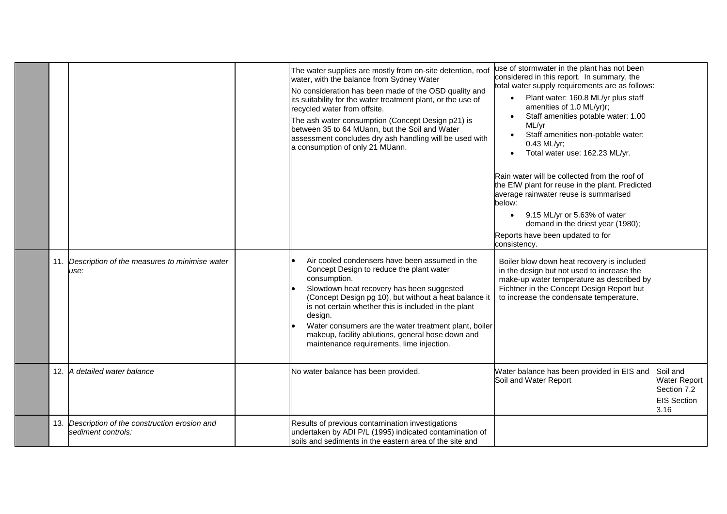|  |                                                                       | The water supplies are mostly from on-site detention, roof<br>water, with the balance from Sydney Water<br>No consideration has been made of the OSD quality and<br>its suitability for the water treatment plant, or the use of<br>recycled water from offsite.<br>The ash water consumption (Concept Design p21) is<br>between 35 to 64 MUann, but the Soil and Water<br>assessment concludes dry ash handling will be used with<br>a consumption of only 21 MUann. | use of stormwater in the plant has not been<br>considered in this report. In summary, the<br>total water supply requirements are as follows:<br>Plant water: 160.8 ML/yr plus staff<br>amenities of 1.0 ML/yr)r;<br>Staff amenities potable water: 1.00<br>ML/yr<br>Staff amenities non-potable water:<br>$\bullet$<br>0.43 ML/yr;<br>Total water use: 162.23 ML/yr.<br>Rain water will be collected from the roof of<br>the EfW plant for reuse in the plant. Predicted<br>average rainwater reuse is summarised<br>below:<br>9.15 ML/yr or 5.63% of water<br>demand in the driest year (1980);<br>Reports have been updated to for<br>consistency. |                                                                              |
|--|-----------------------------------------------------------------------|-----------------------------------------------------------------------------------------------------------------------------------------------------------------------------------------------------------------------------------------------------------------------------------------------------------------------------------------------------------------------------------------------------------------------------------------------------------------------|------------------------------------------------------------------------------------------------------------------------------------------------------------------------------------------------------------------------------------------------------------------------------------------------------------------------------------------------------------------------------------------------------------------------------------------------------------------------------------------------------------------------------------------------------------------------------------------------------------------------------------------------------|------------------------------------------------------------------------------|
|  | 11. Description of the measures to minimise water<br>use:             | Air cooled condensers have been assumed in the<br>Concept Design to reduce the plant water<br>consumption.<br>Slowdown heat recovery has been suggested<br>(Concept Design pg 10), but without a heat balance it<br>is not certain whether this is included in the plant<br>design.<br>Water consumers are the water treatment plant, boiler<br>makeup, facility ablutions, general hose down and<br>maintenance requirements, lime injection.                        | Boiler blow down heat recovery is included<br>in the design but not used to increase the<br>make-up water temperature as described by<br>Fichtner in the Concept Design Report but<br>to increase the condensate temperature.                                                                                                                                                                                                                                                                                                                                                                                                                        |                                                                              |
|  | 12. A detailed water balance                                          | No water balance has been provided.                                                                                                                                                                                                                                                                                                                                                                                                                                   | Water balance has been provided in EIS and<br>Soil and Water Report                                                                                                                                                                                                                                                                                                                                                                                                                                                                                                                                                                                  | Soil and<br><b>Water Report</b><br>Section 7.2<br><b>EIS Section</b><br>3.16 |
|  | 13. Description of the construction erosion and<br>sediment controls: | Results of previous contamination investigations<br>undertaken by ADI P/L (1995) indicated contamination of<br>soils and sediments in the eastern area of the site and                                                                                                                                                                                                                                                                                                |                                                                                                                                                                                                                                                                                                                                                                                                                                                                                                                                                                                                                                                      |                                                                              |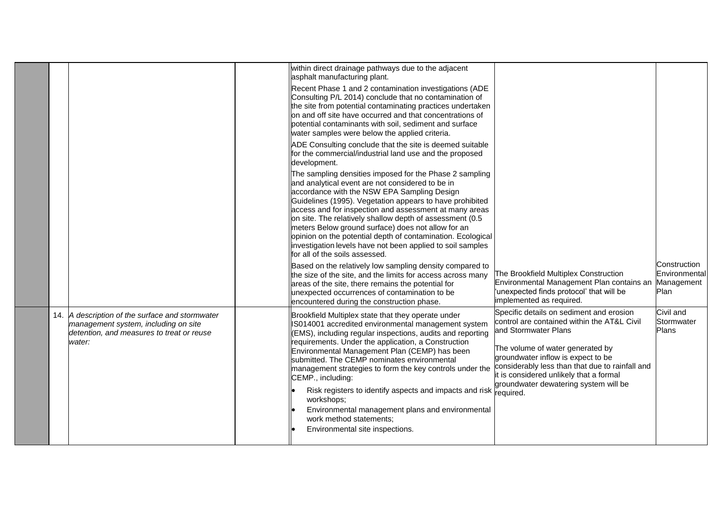|     |                                                                                                                                            | within direct drainage pathways due to the adjacent<br>asphalt manufacturing plant.<br>Recent Phase 1 and 2 contamination investigations (ADE<br>Consulting P/L 2014) conclude that no contamination of<br>the site from potential contaminating practices undertaken<br>on and off site have occurred and that concentrations of<br>potential contaminants with soil, sediment and surface<br>water samples were below the applied criteria.<br>ADE Consulting conclude that the site is deemed suitable<br>for the commercial/industrial land use and the proposed<br>development.<br>The sampling densities imposed for the Phase 2 sampling<br>and analytical event are not considered to be in<br>accordance with the NSW EPA Sampling Design<br>Guidelines (1995). Vegetation appears to have prohibited<br>access and for inspection and assessment at many areas<br>on site. The relatively shallow depth of assessment (0.5)<br>meters Below ground surface) does not allow for an<br>opinion on the potential depth of contamination. Ecological<br>investigation levels have not been applied to soil samples<br>for all of the soils assessed. |                                                                                                                                                                                                                                                                                                                                               |                                                     |
|-----|--------------------------------------------------------------------------------------------------------------------------------------------|------------------------------------------------------------------------------------------------------------------------------------------------------------------------------------------------------------------------------------------------------------------------------------------------------------------------------------------------------------------------------------------------------------------------------------------------------------------------------------------------------------------------------------------------------------------------------------------------------------------------------------------------------------------------------------------------------------------------------------------------------------------------------------------------------------------------------------------------------------------------------------------------------------------------------------------------------------------------------------------------------------------------------------------------------------------------------------------------------------------------------------------------------------|-----------------------------------------------------------------------------------------------------------------------------------------------------------------------------------------------------------------------------------------------------------------------------------------------------------------------------------------------|-----------------------------------------------------|
|     |                                                                                                                                            | Based on the relatively low sampling density compared to<br>the size of the site, and the limits for access across many<br>areas of the site, there remains the potential for<br>unexpected occurrences of contamination to be<br>encountered during the construction phase.                                                                                                                                                                                                                                                                                                                                                                                                                                                                                                                                                                                                                                                                                                                                                                                                                                                                               | The Brookfield Multiplex Construction<br>Environmental Management Plan contains an<br>'unexpected finds protocol' that will be<br>implemented as required.                                                                                                                                                                                    | Construction<br>Environmental<br>Management<br>Plan |
| 14. | A description of the surface and stormwater<br>management system, including on site<br>detention, and measures to treat or reuse<br>water: | Brookfield Multiplex state that they operate under<br>IS014001 accredited environmental management system<br>(EMS), including regular inspections, audits and reporting<br>requirements. Under the application, a Construction<br>Environmental Management Plan (CEMP) has been<br>submitted. The CEMP nominates environmental<br>management strategies to form the key controls under the<br>CEMP., including:<br>Risk registers to identify aspects and impacts and risk<br>workshops;<br>Environmental management plans and environmental<br>work method statements;<br>Environmental site inspections.                                                                                                                                                                                                                                                                                                                                                                                                                                                                                                                                                 | Specific details on sediment and erosion<br>control are contained within the AT&L Civil<br>and Stormwater Plans<br>The volume of water generated by<br>groundwater inflow is expect to be<br>considerably less than that due to rainfall and<br>it is considered unlikely that a formal<br>groundwater dewatering system will be<br>required. | Civil and<br>Stormwater<br>Plans                    |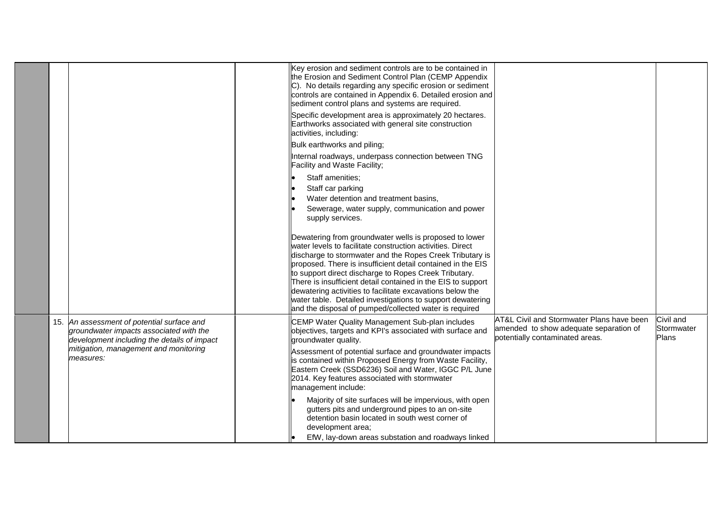|  |                                                                                                                                      | Key erosion and sediment controls are to be contained in<br>the Erosion and Sediment Control Plan (CEMP Appendix<br>C). No details regarding any specific erosion or sediment<br>controls are contained in Appendix 6. Detailed erosion and<br>sediment control plans and systems are required. |                                                                                                                        |                                  |
|--|--------------------------------------------------------------------------------------------------------------------------------------|-------------------------------------------------------------------------------------------------------------------------------------------------------------------------------------------------------------------------------------------------------------------------------------------------|------------------------------------------------------------------------------------------------------------------------|----------------------------------|
|  |                                                                                                                                      | Specific development area is approximately 20 hectares.<br>Earthworks associated with general site construction<br>activities, including:                                                                                                                                                       |                                                                                                                        |                                  |
|  |                                                                                                                                      | Bulk earthworks and piling;                                                                                                                                                                                                                                                                     |                                                                                                                        |                                  |
|  |                                                                                                                                      | Internal roadways, underpass connection between TNG<br>Facility and Waste Facility;                                                                                                                                                                                                             |                                                                                                                        |                                  |
|  |                                                                                                                                      | Staff amenities;                                                                                                                                                                                                                                                                                |                                                                                                                        |                                  |
|  |                                                                                                                                      | Staff car parking                                                                                                                                                                                                                                                                               |                                                                                                                        |                                  |
|  |                                                                                                                                      | Water detention and treatment basins,                                                                                                                                                                                                                                                           |                                                                                                                        |                                  |
|  |                                                                                                                                      | Sewerage, water supply, communication and power<br>supply services.                                                                                                                                                                                                                             |                                                                                                                        |                                  |
|  |                                                                                                                                      | Dewatering from groundwater wells is proposed to lower<br>water levels to facilitate construction activities. Direct                                                                                                                                                                            |                                                                                                                        |                                  |
|  |                                                                                                                                      | discharge to stormwater and the Ropes Creek Tributary is<br>proposed. There is insufficient detail contained in the EIS                                                                                                                                                                         |                                                                                                                        |                                  |
|  |                                                                                                                                      | to support direct discharge to Ropes Creek Tributary.                                                                                                                                                                                                                                           |                                                                                                                        |                                  |
|  |                                                                                                                                      | There is insufficient detail contained in the EIS to support                                                                                                                                                                                                                                    |                                                                                                                        |                                  |
|  |                                                                                                                                      | dewatering activities to facilitate excavations below the<br>water table. Detailed investigations to support dewatering                                                                                                                                                                         |                                                                                                                        |                                  |
|  |                                                                                                                                      | and the disposal of pumped/collected water is required                                                                                                                                                                                                                                          |                                                                                                                        |                                  |
|  | 15. An assessment of potential surface and<br>groundwater impacts associated with the<br>development including the details of impact | CEMP Water Quality Management Sub-plan includes<br>objectives, targets and KPI's associated with surface and<br>groundwater quality.                                                                                                                                                            | AT&L Civil and Stormwater Plans have been<br>amended to show adequate separation of<br>potentially contaminated areas. | Civil and<br>Stormwater<br>Plans |
|  | mitigation, management and monitoring<br>measures:                                                                                   | Assessment of potential surface and groundwater impacts<br>is contained within Proposed Energy from Waste Facility,<br>Eastern Creek (SSD6236) Soil and Water, IGGC P/L June<br>2014. Key features associated with stormwater<br>management include:                                            |                                                                                                                        |                                  |
|  |                                                                                                                                      | Majority of site surfaces will be impervious, with open<br>gutters pits and underground pipes to an on-site<br>detention basin located in south west corner of<br>development area;                                                                                                             |                                                                                                                        |                                  |
|  |                                                                                                                                      | EfW, lay-down areas substation and roadways linked                                                                                                                                                                                                                                              |                                                                                                                        |                                  |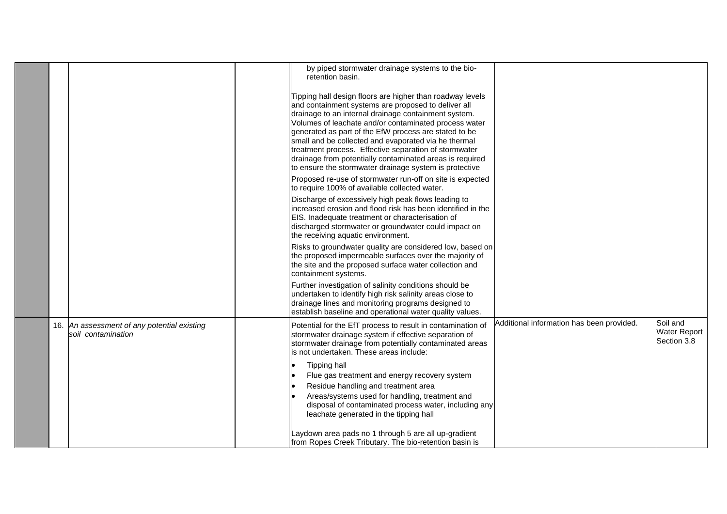|     |                                                               | by piped stormwater drainage systems to the bio-<br>retention basin.                                                                                                                                                                                                                                                                                                                                                                                                                                                              |                                           |                                                |
|-----|---------------------------------------------------------------|-----------------------------------------------------------------------------------------------------------------------------------------------------------------------------------------------------------------------------------------------------------------------------------------------------------------------------------------------------------------------------------------------------------------------------------------------------------------------------------------------------------------------------------|-------------------------------------------|------------------------------------------------|
|     |                                                               | Tipping hall design floors are higher than roadway levels<br>and containment systems are proposed to deliver all<br>drainage to an internal drainage containment system.<br>Volumes of leachate and/or contaminated process water<br>generated as part of the EfW process are stated to be<br>small and be collected and evaporated via he thermal<br>treatment process. Effective separation of stormwater<br>drainage from potentially contaminated areas is required<br>to ensure the stormwater drainage system is protective |                                           |                                                |
|     |                                                               | Proposed re-use of stormwater run-off on site is expected<br>to require 100% of available collected water.                                                                                                                                                                                                                                                                                                                                                                                                                        |                                           |                                                |
|     |                                                               | Discharge of excessively high peak flows leading to<br>increased erosion and flood risk has been identified in the<br>EIS. Inadequate treatment or characterisation of<br>discharged stormwater or groundwater could impact on<br>the receiving aquatic environment.                                                                                                                                                                                                                                                              |                                           |                                                |
|     |                                                               | Risks to groundwater quality are considered low, based on<br>the proposed impermeable surfaces over the majority of<br>the site and the proposed surface water collection and<br>containment systems.                                                                                                                                                                                                                                                                                                                             |                                           |                                                |
|     |                                                               | Further investigation of salinity conditions should be<br>undertaken to identify high risk salinity areas close to<br>drainage lines and monitoring programs designed to<br>establish baseline and operational water quality values.                                                                                                                                                                                                                                                                                              |                                           |                                                |
| 16. | An assessment of any potential existing<br>soil contamination | Potential for the EfT process to result in contamination of<br>stormwater drainage system if effective separation of<br>stormwater drainage from potentially contaminated areas<br>is not undertaken. These areas include:                                                                                                                                                                                                                                                                                                        | Additional information has been provided. | Soil and<br><b>Water Report</b><br>Section 3.8 |
|     |                                                               | <b>Tipping hall</b><br>Flue gas treatment and energy recovery system                                                                                                                                                                                                                                                                                                                                                                                                                                                              |                                           |                                                |
|     |                                                               | Residue handling and treatment area                                                                                                                                                                                                                                                                                                                                                                                                                                                                                               |                                           |                                                |
|     |                                                               | Areas/systems used for handling, treatment and<br>disposal of contaminated process water, including any<br>leachate generated in the tipping hall                                                                                                                                                                                                                                                                                                                                                                                 |                                           |                                                |
|     |                                                               | Laydown area pads no 1 through 5 are all up-gradient<br>from Ropes Creek Tributary. The bio-retention basin is                                                                                                                                                                                                                                                                                                                                                                                                                    |                                           |                                                |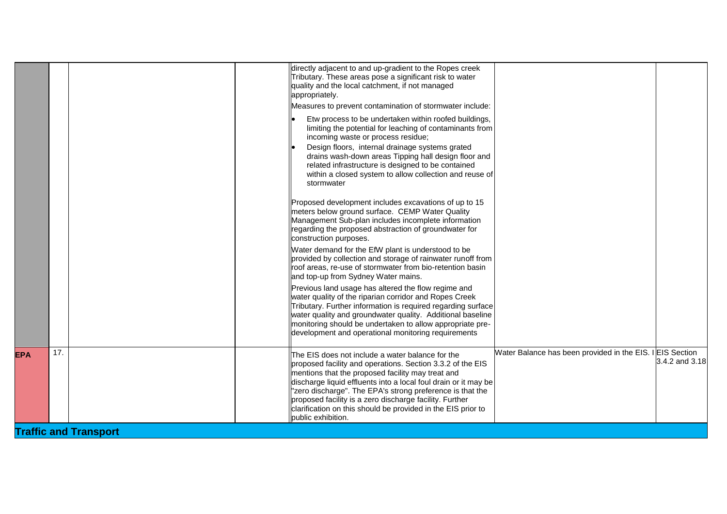|                   | directly adjacent to and up-gradient to the Ropes creek<br>Tributary. These areas pose a significant risk to water<br>quality and the local catchment, if not managed<br>appropriately.<br>Measures to prevent contamination of stormwater include:                                                                                                                                                                                                  |                                                           |                |
|-------------------|------------------------------------------------------------------------------------------------------------------------------------------------------------------------------------------------------------------------------------------------------------------------------------------------------------------------------------------------------------------------------------------------------------------------------------------------------|-----------------------------------------------------------|----------------|
|                   | Etw process to be undertaken within roofed buildings,<br>limiting the potential for leaching of contaminants from<br>incoming waste or process residue;<br>Design floors, internal drainage systems grated<br>drains wash-down areas Tipping hall design floor and<br>related infrastructure is designed to be contained<br>within a closed system to allow collection and reuse of<br>stormwater                                                    |                                                           |                |
|                   | Proposed development includes excavations of up to 15<br>meters below ground surface. CEMP Water Quality<br>Management Sub-plan includes incomplete information<br>regarding the proposed abstraction of groundwater for<br>construction purposes.                                                                                                                                                                                                   |                                                           |                |
|                   | Water demand for the EfW plant is understood to be<br>provided by collection and storage of rainwater runoff from<br>roof areas, re-use of stormwater from bio-retention basin<br>and top-up from Sydney Water mains.                                                                                                                                                                                                                                |                                                           |                |
|                   | Previous land usage has altered the flow regime and<br>water quality of the riparian corridor and Ropes Creek<br>Tributary. Further information is required regarding surface<br>water quality and groundwater quality. Additional baseline<br>monitoring should be undertaken to allow appropriate pre-<br>development and operational monitoring requirements                                                                                      |                                                           |                |
| 17.<br><b>EPA</b> | The EIS does not include a water balance for the<br>proposed facility and operations. Section 3.3.2 of the EIS<br>mentions that the proposed facility may treat and<br>discharge liquid effluents into a local foul drain or it may be<br>"zero discharge". The EPA's strong preference is that the<br>proposed facility is a zero discharge facility. Further<br>clarification on this should be provided in the EIS prior to<br>public exhibition. | Water Balance has been provided in the EIS. I EIS Section | 3.4.2 and 3.18 |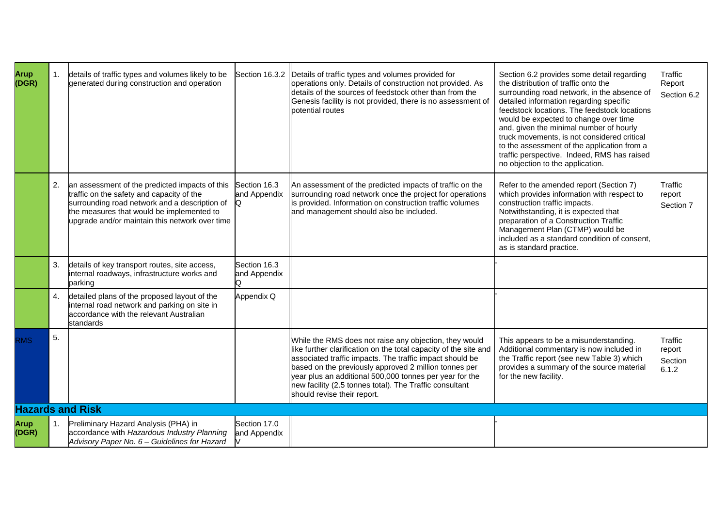| <b>Arup</b><br>(DGR) | $\mathbf{1}$ . | details of traffic types and volumes likely to be<br>generated during construction and operation                                                                                                                                            |                                   | Section 16.3.2  Details of traffic types and volumes provided for<br>operations only. Details of construction not provided. As<br>details of the sources of feedstock other than from the<br>Genesis facility is not provided, there is no assessment of<br>potential routes                                                                                                                         | Section 6.2 provides some detail regarding<br>the distribution of traffic onto the<br>surrounding road network, in the absence of<br>detailed information regarding specific<br>feedstock locations. The feedstock locations<br>would be expected to change over time<br>and, given the minimal number of hourly<br>truck movements, is not considered critical<br>to the assessment of the application from a<br>traffic perspective. Indeed, RMS has raised<br>no objection to the application. | Traffic<br>Report<br>Section 6.2      |
|----------------------|----------------|---------------------------------------------------------------------------------------------------------------------------------------------------------------------------------------------------------------------------------------------|-----------------------------------|------------------------------------------------------------------------------------------------------------------------------------------------------------------------------------------------------------------------------------------------------------------------------------------------------------------------------------------------------------------------------------------------------|---------------------------------------------------------------------------------------------------------------------------------------------------------------------------------------------------------------------------------------------------------------------------------------------------------------------------------------------------------------------------------------------------------------------------------------------------------------------------------------------------|---------------------------------------|
|                      | 2.             | an assessment of the predicted impacts of this<br>traffic on the safety and capacity of the<br>surrounding road network and a description of<br>the measures that would be implemented to<br>upgrade and/or maintain this network over time | Section 16.3<br>and Appendix<br>Q | An assessment of the predicted impacts of traffic on the<br>surrounding road network once the project for operations<br>is provided. Information on construction traffic volumes<br>and management should also be included.                                                                                                                                                                          | Refer to the amended report (Section 7)<br>which provides information with respect to<br>construction traffic impacts.<br>Notwithstanding, it is expected that<br>preparation of a Construction Traffic<br>Management Plan (CTMP) would be<br>included as a standard condition of consent.<br>as is standard practice.                                                                                                                                                                            | <b>Traffic</b><br>report<br>Section 7 |
|                      | 3.             | details of key transport routes, site access,<br>internal roadways, infrastructure works and<br>parking                                                                                                                                     | Section 16.3<br>and Appendix      |                                                                                                                                                                                                                                                                                                                                                                                                      |                                                                                                                                                                                                                                                                                                                                                                                                                                                                                                   |                                       |
|                      | $\mathbf{4}$ . | detailed plans of the proposed layout of the<br>internal road network and parking on site in<br>accordance with the relevant Australian<br>standards                                                                                        | Appendix Q                        |                                                                                                                                                                                                                                                                                                                                                                                                      |                                                                                                                                                                                                                                                                                                                                                                                                                                                                                                   |                                       |
| <b>RMS</b>           | 5.             |                                                                                                                                                                                                                                             |                                   | While the RMS does not raise any objection, they would<br>like further clarification on the total capacity of the site and<br>associated traffic impacts. The traffic impact should be<br>based on the previously approved 2 million tonnes per<br>year plus an additional 500,000 tonnes per year for the<br>new facility (2.5 tonnes total). The Traffic consultant<br>should revise their report. | This appears to be a misunderstanding.<br>Additional commentary is now included in<br>the Traffic report (see new Table 3) which<br>provides a summary of the source material<br>for the new facility.                                                                                                                                                                                                                                                                                            | Traffic<br>report<br>Section<br>6.1.2 |
|                      |                | <b>Hazards and Risk</b>                                                                                                                                                                                                                     |                                   |                                                                                                                                                                                                                                                                                                                                                                                                      |                                                                                                                                                                                                                                                                                                                                                                                                                                                                                                   |                                       |
| Arup<br>(DGR)        | 1.             | Preliminary Hazard Analysis (PHA) in<br>accordance with Hazardous Industry Planning<br>Advisory Paper No. 6 - Guidelines for Hazard                                                                                                         | Section 17.0<br>and Appendix      |                                                                                                                                                                                                                                                                                                                                                                                                      |                                                                                                                                                                                                                                                                                                                                                                                                                                                                                                   |                                       |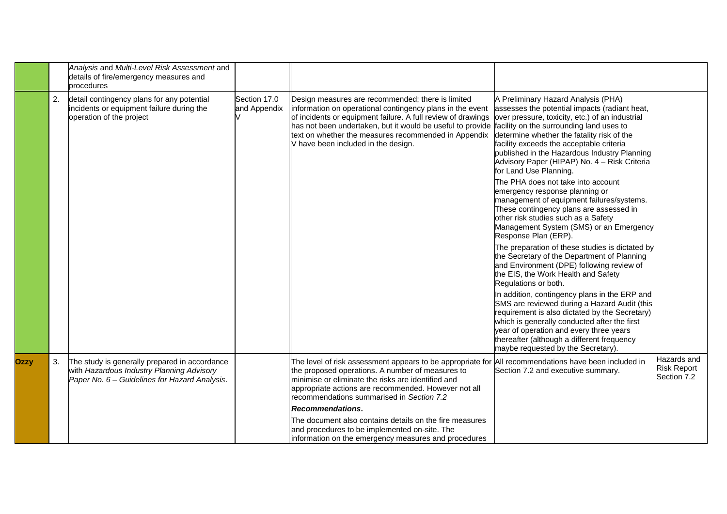|             |    | Analysis and Multi-Level Risk Assessment and<br>details of fire/emergency measures and<br>procedures                                        |                              |                                                                                                                                                                                                                                                                                                                                                                                      |                                                                                                                                                                                                                                                                                                                                                                                                                                                                                                                                                                                                                                                                                                                                                                                                                                                                                                                                                      |                                                  |
|-------------|----|---------------------------------------------------------------------------------------------------------------------------------------------|------------------------------|--------------------------------------------------------------------------------------------------------------------------------------------------------------------------------------------------------------------------------------------------------------------------------------------------------------------------------------------------------------------------------------|------------------------------------------------------------------------------------------------------------------------------------------------------------------------------------------------------------------------------------------------------------------------------------------------------------------------------------------------------------------------------------------------------------------------------------------------------------------------------------------------------------------------------------------------------------------------------------------------------------------------------------------------------------------------------------------------------------------------------------------------------------------------------------------------------------------------------------------------------------------------------------------------------------------------------------------------------|--------------------------------------------------|
|             | 2. | detail contingency plans for any potential<br>incidents or equipment failure during the<br>operation of the project                         | Section 17.0<br>and Appendix | Design measures are recommended; there is limited<br>information on operational contingency plans in the event<br>of incidents or equipment failure. A full review of drawings<br>has not been undertaken, but it would be useful to provide facility on the surrounding land uses to<br>text on whether the measures recommended in Appendix<br>V have been included in the design. | A Preliminary Hazard Analysis (PHA)<br>assesses the potential impacts (radiant heat,<br>over pressure, toxicity, etc.) of an industrial<br>determine whether the fatality risk of the<br>facility exceeds the acceptable criteria<br>published in the Hazardous Industry Planning<br>Advisory Paper (HIPAP) No. 4 - Risk Criteria<br>for Land Use Planning.<br>The PHA does not take into account<br>emergency response planning or<br>management of equipment failures/systems.<br>These contingency plans are assessed in<br>other risk studies such as a Safety<br>Management System (SMS) or an Emergency<br>Response Plan (ERP).<br>The preparation of these studies is dictated by<br>the Secretary of the Department of Planning<br>and Environment (DPE) following review of<br>the EIS, the Work Health and Safety<br>Regulations or both.<br>In addition, contingency plans in the ERP and<br>SMS are reviewed during a Hazard Audit (this |                                                  |
|             |    |                                                                                                                                             |                              |                                                                                                                                                                                                                                                                                                                                                                                      | requirement is also dictated by the Secretary)<br>which is generally conducted after the first<br>year of operation and every three years<br>thereafter (although a different frequency<br>maybe requested by the Secretary).                                                                                                                                                                                                                                                                                                                                                                                                                                                                                                                                                                                                                                                                                                                        |                                                  |
| <b>Ozzy</b> | 3. | The study is generally prepared in accordance<br>with Hazardous Industry Planning Advisory<br>Paper No. 6 - Guidelines for Hazard Analysis. |                              | The level of risk assessment appears to be appropriate for All recommendations have been included in<br>the proposed operations. A number of measures to<br>minimise or eliminate the risks are identified and<br>appropriate actions are recommended. However not all<br>recommendations summarised in Section 7.2<br><b>Recommendations.</b>                                       | Section 7.2 and executive summary.                                                                                                                                                                                                                                                                                                                                                                                                                                                                                                                                                                                                                                                                                                                                                                                                                                                                                                                   | Hazards and<br><b>Risk Report</b><br>Section 7.2 |
|             |    |                                                                                                                                             |                              | The document also contains details on the fire measures<br>and procedures to be implemented on-site. The<br>linformation on the emergency measures and procedures                                                                                                                                                                                                                    |                                                                                                                                                                                                                                                                                                                                                                                                                                                                                                                                                                                                                                                                                                                                                                                                                                                                                                                                                      |                                                  |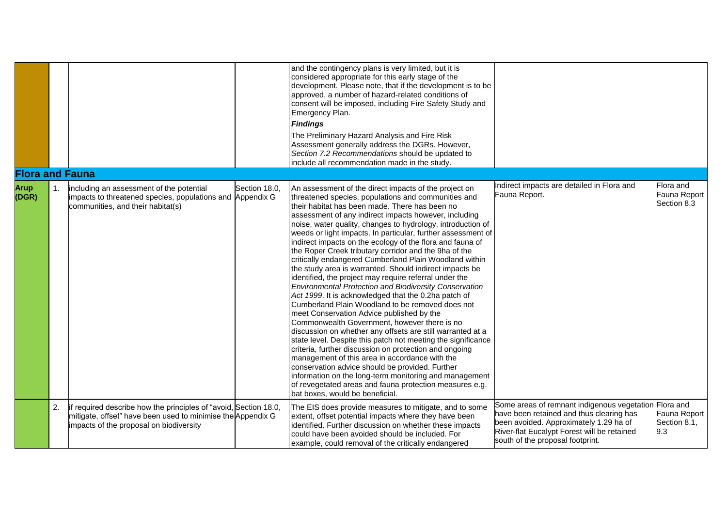|                        |                |                                                                                                                                                                            |               | and the contingency plans is very limited, but it is<br>considered appropriate for this early stage of the<br>development. Please note, that if the development is to be<br>approved, a number of hazard-related conditions of<br>consent will be imposed, including Fire Safety Study and<br>Emergency Plan.<br><b>Findings</b><br>The Preliminary Hazard Analysis and Fire Risk<br>Assessment generally address the DGRs. However,<br>Section 7.2 Recommendations should be updated to<br>include all recommendation made in the study.                                                                                                                                                                                                                                                                                                                                                                                                                                                                                                                                                                                                                                                                                                                                                                                                                                                  |                                                                                                                                                                                                                                |                                          |
|------------------------|----------------|----------------------------------------------------------------------------------------------------------------------------------------------------------------------------|---------------|--------------------------------------------------------------------------------------------------------------------------------------------------------------------------------------------------------------------------------------------------------------------------------------------------------------------------------------------------------------------------------------------------------------------------------------------------------------------------------------------------------------------------------------------------------------------------------------------------------------------------------------------------------------------------------------------------------------------------------------------------------------------------------------------------------------------------------------------------------------------------------------------------------------------------------------------------------------------------------------------------------------------------------------------------------------------------------------------------------------------------------------------------------------------------------------------------------------------------------------------------------------------------------------------------------------------------------------------------------------------------------------------|--------------------------------------------------------------------------------------------------------------------------------------------------------------------------------------------------------------------------------|------------------------------------------|
| <b>Flora and Fauna</b> |                |                                                                                                                                                                            |               |                                                                                                                                                                                                                                                                                                                                                                                                                                                                                                                                                                                                                                                                                                                                                                                                                                                                                                                                                                                                                                                                                                                                                                                                                                                                                                                                                                                            |                                                                                                                                                                                                                                |                                          |
| <b>Arup</b><br>(DGR)   | $\mathbf{1}$ . | including an assessment of the potential<br>impacts to threatened species, populations and Appendix G<br>communities, and their habitat(s)                                 | Section 18.0, | An assessment of the direct impacts of the project on<br>threatened species, populations and communities and<br>their habitat has been made. There has been no<br>assessment of any indirect impacts however, including<br>noise, water quality, changes to hydrology, introduction of<br>weeds or light impacts. In particular, further assessment of<br>indirect impacts on the ecology of the flora and fauna of<br>the Roper Creek tributary corridor and the 9ha of the<br>critically endangered Cumberland Plain Woodland within<br>the study area is warranted. Should indirect impacts be<br>identified, the project may require referral under the<br><b>Environmental Protection and Biodiversity Conservation</b><br>Act 1999. It is acknowledged that the 0.2ha patch of<br>Cumberland Plain Woodland to be removed does not<br>meet Conservation Advice published by the<br>Commonwealth Government, however there is no<br>discussion on whether any offsets are still warranted at a<br>state level. Despite this patch not meeting the significance<br>criteria, further discussion on protection and ongoing<br>management of this area in accordance with the<br>conservation advice should be provided. Further<br>information on the long-term monitoring and management<br>of revegetated areas and fauna protection measures e.g.<br>bat boxes, would be beneficial. | Indirect impacts are detailed in Flora and<br>Fauna Report.                                                                                                                                                                    | Flora and<br>Fauna Report<br>Section 8.3 |
|                        | 2.             | if required describe how the principles of "avoid, Section 18.0,<br>mitigate, offset" have been used to minimise the Appendix G<br>impacts of the proposal on biodiversity |               | The EIS does provide measures to mitigate, and to some<br>extent, offset potential impacts where they have been<br>identified. Further discussion on whether these impacts<br>could have been avoided should be included. For<br>example, could removal of the critically endangered                                                                                                                                                                                                                                                                                                                                                                                                                                                                                                                                                                                                                                                                                                                                                                                                                                                                                                                                                                                                                                                                                                       | Some areas of remnant indigenous vegetation Flora and<br>have been retained and thus clearing has<br>been avoided. Approximately 1.29 ha of<br>River-flat Eucalypt Forest will be retained<br>south of the proposal footprint. | Fauna Report<br>Section 8.1,<br>9.3      |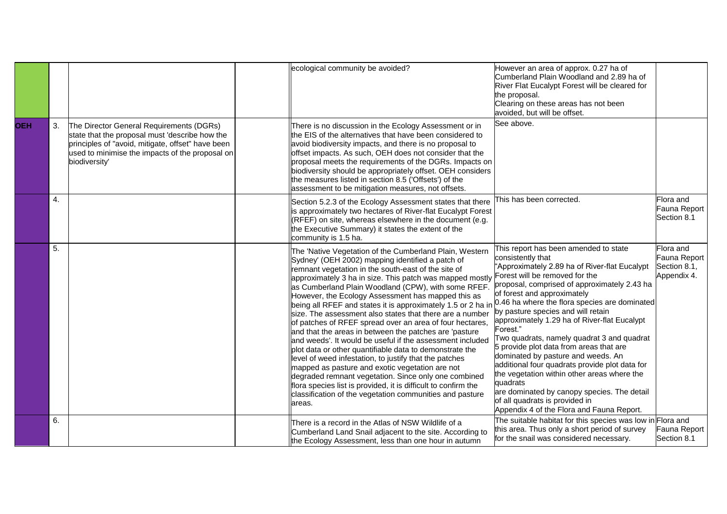|            |    |                                                                                                                                                                                                                     | ecological community be avoided?                                                                                                                                                                                                                                                                                                                                                                                                                                                                                                                                                                                                                                                                                                                                                                                                                                                                                                                                                                                                                                                   | However an area of approx. 0.27 ha of<br>Cumberland Plain Woodland and 2.89 ha of<br>River Flat Eucalypt Forest will be cleared for<br>the proposal.<br>Clearing on these areas has not been<br>avoided, but will be offset.                                                                                                                                                                                                                                                                                                                                                                                                                                                                             |                                                          |
|------------|----|---------------------------------------------------------------------------------------------------------------------------------------------------------------------------------------------------------------------|------------------------------------------------------------------------------------------------------------------------------------------------------------------------------------------------------------------------------------------------------------------------------------------------------------------------------------------------------------------------------------------------------------------------------------------------------------------------------------------------------------------------------------------------------------------------------------------------------------------------------------------------------------------------------------------------------------------------------------------------------------------------------------------------------------------------------------------------------------------------------------------------------------------------------------------------------------------------------------------------------------------------------------------------------------------------------------|----------------------------------------------------------------------------------------------------------------------------------------------------------------------------------------------------------------------------------------------------------------------------------------------------------------------------------------------------------------------------------------------------------------------------------------------------------------------------------------------------------------------------------------------------------------------------------------------------------------------------------------------------------------------------------------------------------|----------------------------------------------------------|
| <b>OEH</b> | 3. | The Director General Requirements (DGRs)<br>state that the proposal must 'describe how the<br>principles of "avoid, mitigate, offset" have been<br>used to minimise the impacts of the proposal on<br>biodiversity' | There is no discussion in the Ecology Assessment or in<br>the EIS of the alternatives that have been considered to<br>avoid biodiversity impacts, and there is no proposal to<br>offset impacts. As such, OEH does not consider that the<br>proposal meets the requirements of the DGRs. Impacts on<br>biodiversity should be appropriately offset. OEH considers<br>the measures listed in section 8.5 ('Offsets') of the<br>assessment to be mitigation measures, not offsets.                                                                                                                                                                                                                                                                                                                                                                                                                                                                                                                                                                                                   | See above.                                                                                                                                                                                                                                                                                                                                                                                                                                                                                                                                                                                                                                                                                               |                                                          |
|            | 4. |                                                                                                                                                                                                                     | Section 5.2.3 of the Ecology Assessment states that there<br>is approximately two hectares of River-flat Eucalypt Forest<br>(RFEF) on site, whereas elsewhere in the document (e.g.<br>the Executive Summary) it states the extent of the<br>community is 1.5 ha.                                                                                                                                                                                                                                                                                                                                                                                                                                                                                                                                                                                                                                                                                                                                                                                                                  | This has been corrected.                                                                                                                                                                                                                                                                                                                                                                                                                                                                                                                                                                                                                                                                                 | Flora and<br>Fauna Report<br>Section 8.1                 |
|            | 5. |                                                                                                                                                                                                                     | The 'Native Vegetation of the Cumberland Plain, Western<br>Sydney' (OEH 2002) mapping identified a patch of<br>remnant vegetation in the south-east of the site of<br>approximately 3 ha in size. This patch was mapped mostly<br>as Cumberland Plain Woodland (CPW), with some RFEF.<br>However, the Ecology Assessment has mapped this as<br>being all RFEF and states it is approximately 1.5 or 2 ha in $0.46$ ha where the flora species are dominated<br>size. The assessment also states that there are a number<br>of patches of RFEF spread over an area of four hectares,<br>and that the areas in between the patches are 'pasture<br>and weeds'. It would be useful if the assessment included<br>plot data or other quantifiable data to demonstrate the<br>level of weed infestation, to justify that the patches<br>mapped as pasture and exotic vegetation are not<br>degraded remnant vegetation. Since only one combined<br>flora species list is provided, it is difficult to confirm the<br>classification of the vegetation communities and pasture<br>areas. | This report has been amended to state<br>consistently that<br>"Approximately 2.89 ha of River-flat Eucalypt<br>Forest will be removed for the<br>proposal, comprised of approximately 2.43 ha<br>of forest and approximately<br>by pasture species and will retain<br>approximately 1.29 ha of River-flat Eucalypt<br>Forest."<br>Two quadrats, namely quadrat 3 and quadrat<br>5 provide plot data from areas that are<br>dominated by pasture and weeds. An<br>additional four quadrats provide plot data for<br>the vegetation within other areas where the<br>quadrats<br>are dominated by canopy species. The detail<br>of all quadrats is provided in<br>Appendix 4 of the Flora and Fauna Report. | Flora and<br>Fauna Report<br>Section 8.1,<br>Appendix 4. |
|            | 6. |                                                                                                                                                                                                                     | There is a record in the Atlas of NSW Wildlife of a<br>Cumberland Land Snail adjacent to the site. According to<br>the Ecology Assessment, less than one hour in autumn                                                                                                                                                                                                                                                                                                                                                                                                                                                                                                                                                                                                                                                                                                                                                                                                                                                                                                            | The suitable habitat for this species was low in Flora and<br>this area. Thus only a short period of survey<br>for the snail was considered necessary.                                                                                                                                                                                                                                                                                                                                                                                                                                                                                                                                                   | Fauna Report<br>Section 8.1                              |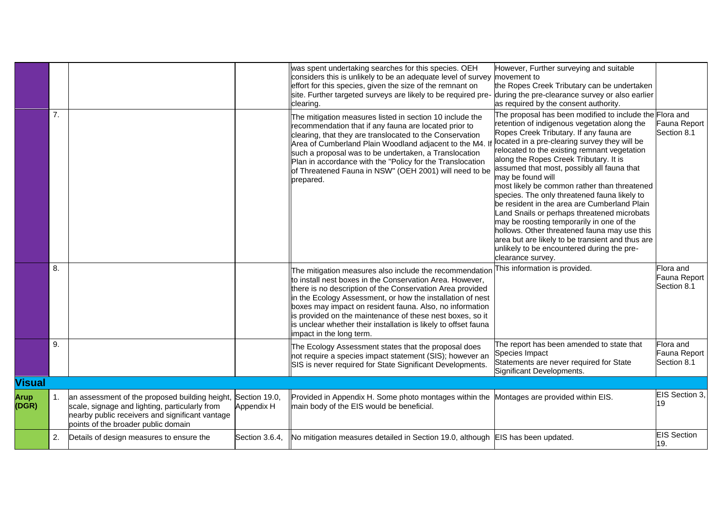|                      |    |                                                                                                                                                                                            |                             | was spent undertaking searches for this species. OEH<br>considers this is unlikely to be an adequate level of survey movement to<br>effort for this species, given the size of the remnant on<br>site. Further targeted surveys are likely to be required pre-<br>clearing.                                                                                                                                                                                            | However, Further surveying and suitable<br>the Ropes Creek Tributary can be undertaken<br>during the pre-clearance survey or also earlier<br>as required by the consent authority.                                                                                                                                                                                                                                                                                                                                                                                                                                                                                                                                                                                                 |                                          |
|----------------------|----|--------------------------------------------------------------------------------------------------------------------------------------------------------------------------------------------|-----------------------------|------------------------------------------------------------------------------------------------------------------------------------------------------------------------------------------------------------------------------------------------------------------------------------------------------------------------------------------------------------------------------------------------------------------------------------------------------------------------|------------------------------------------------------------------------------------------------------------------------------------------------------------------------------------------------------------------------------------------------------------------------------------------------------------------------------------------------------------------------------------------------------------------------------------------------------------------------------------------------------------------------------------------------------------------------------------------------------------------------------------------------------------------------------------------------------------------------------------------------------------------------------------|------------------------------------------|
|                      | 7. |                                                                                                                                                                                            |                             | The mitigation measures listed in section 10 include the<br>recommendation that if any fauna are located prior to<br>clearing, that they are translocated to the Conservation<br>Area of Cumberland Plain Woodland adjacent to the M4. I<br>such a proposal was to be undertaken, a Translocation<br>Plan in accordance with the "Policy for the Translocation<br>of Threatened Fauna in NSW" (OEH 2001) will need to be<br>prepared.                                  | The proposal has been modified to include the Flora and<br>retention of indigenous vegetation along the<br>Ropes Creek Tributary. If any fauna are<br>located in a pre-clearing survey they will be<br>relocated to the existing remnant vegetation<br>along the Ropes Creek Tributary. It is<br>assumed that most, possibly all fauna that<br>may be found will<br>most likely be common rather than threatened<br>species. The only threatened fauna likely to<br>be resident in the area are Cumberland Plain<br>and Snails or perhaps threatened microbats<br>may be roosting temporarily in one of the<br>hollows. Other threatened fauna may use this<br>area but are likely to be transient and thus are<br>unlikely to be encountered during the pre-<br>clearance survey. | Fauna Report<br>Section 8.1              |
|                      | 8. |                                                                                                                                                                                            |                             | The mitigation measures also include the recommendatior<br>to install nest boxes in the Conservation Area. However,<br>there is no description of the Conservation Area provided<br>in the Ecology Assessment, or how the installation of nest<br>boxes may impact on resident fauna. Also, no information<br>is provided on the maintenance of these nest boxes, so it<br>is unclear whether their installation is likely to offset fauna<br>impact in the long term. | This information is provided.                                                                                                                                                                                                                                                                                                                                                                                                                                                                                                                                                                                                                                                                                                                                                      | Flora and<br>Fauna Report<br>Section 8.1 |
|                      | 9. |                                                                                                                                                                                            |                             | The Ecology Assessment states that the proposal does<br>not require a species impact statement (SIS); however an<br>SIS is never required for State Significant Developments.                                                                                                                                                                                                                                                                                          | The report has been amended to state that<br>Species Impact<br>Statements are never required for State<br>Significant Developments.                                                                                                                                                                                                                                                                                                                                                                                                                                                                                                                                                                                                                                                | Flora and<br>Fauna Report<br>Section 8.1 |
| <b>Visual</b>        |    |                                                                                                                                                                                            |                             |                                                                                                                                                                                                                                                                                                                                                                                                                                                                        |                                                                                                                                                                                                                                                                                                                                                                                                                                                                                                                                                                                                                                                                                                                                                                                    |                                          |
| <b>Arup</b><br>(DGR) | 1. | an assessment of the proposed building height,<br>scale, signage and lighting, particularly from<br>nearby public receivers and significant vantage<br>points of the broader public domain | Section 19.0,<br>Appendix H | Provided in Appendix H. Some photo montages within the<br>main body of the EIS would be beneficial.                                                                                                                                                                                                                                                                                                                                                                    | Montages are provided within EIS.                                                                                                                                                                                                                                                                                                                                                                                                                                                                                                                                                                                                                                                                                                                                                  | EIS Section 3,<br>19                     |
|                      | 2. | Details of design measures to ensure the                                                                                                                                                   | Section 3.6.4,              | No mitigation measures detailed in Section 19.0, although EIS has been updated.                                                                                                                                                                                                                                                                                                                                                                                        |                                                                                                                                                                                                                                                                                                                                                                                                                                                                                                                                                                                                                                                                                                                                                                                    | <b>EIS Section</b><br>19.                |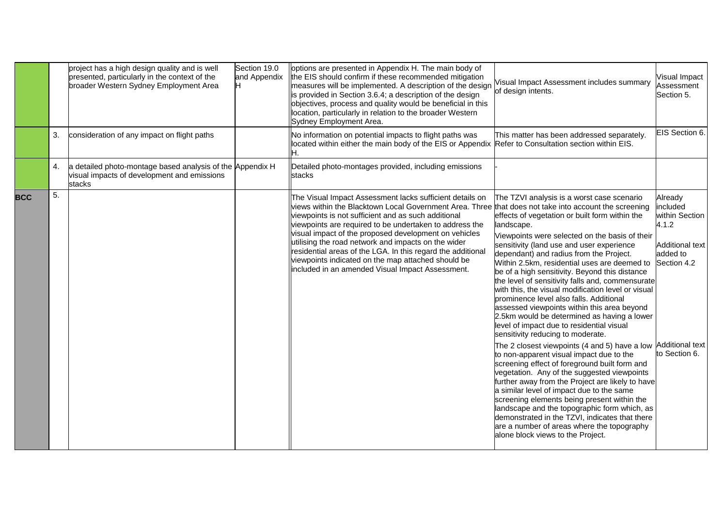|            |    | project has a high design quality and is well<br>presented, particularly in the context of the<br>broader Western Sydney Employment Area | Section 19.0<br>and Appendix | options are presented in Appendix H. The main body of<br>the EIS should confirm if these recommended mitigation<br>measures will be implemented. A description of the design<br>is provided in Section 3.6.4; a description of the design<br>objectives, process and quality would be beneficial in this<br>location, particularly in relation to the broader Western<br>Sydney Employment Area.                                                                                                                               | Visual Impact Assessment includes summary<br>of design intents.                                                                                                                                                                                                                                                                                                                                                                                                                                                                                                                                                                                                                                                                                                                                                                                           | <b>Visual Impact</b><br>Assessment<br>Section 5.                                                                     |
|------------|----|------------------------------------------------------------------------------------------------------------------------------------------|------------------------------|--------------------------------------------------------------------------------------------------------------------------------------------------------------------------------------------------------------------------------------------------------------------------------------------------------------------------------------------------------------------------------------------------------------------------------------------------------------------------------------------------------------------------------|-----------------------------------------------------------------------------------------------------------------------------------------------------------------------------------------------------------------------------------------------------------------------------------------------------------------------------------------------------------------------------------------------------------------------------------------------------------------------------------------------------------------------------------------------------------------------------------------------------------------------------------------------------------------------------------------------------------------------------------------------------------------------------------------------------------------------------------------------------------|----------------------------------------------------------------------------------------------------------------------|
|            | 3. | consideration of any impact on flight paths                                                                                              |                              | No information on potential impacts to flight paths was<br>located within either the main body of the EIS or Appendix Refer to Consultation section within EIS.<br>Н.                                                                                                                                                                                                                                                                                                                                                          | This matter has been addressed separately.                                                                                                                                                                                                                                                                                                                                                                                                                                                                                                                                                                                                                                                                                                                                                                                                                | EIS Section 6.                                                                                                       |
|            | 4. | a detailed photo-montage based analysis of the Appendix H<br>visual impacts of development and emissions<br>stacks                       |                              | Detailed photo-montages provided, including emissions<br>stacks                                                                                                                                                                                                                                                                                                                                                                                                                                                                |                                                                                                                                                                                                                                                                                                                                                                                                                                                                                                                                                                                                                                                                                                                                                                                                                                                           |                                                                                                                      |
| <b>BCC</b> | 5. |                                                                                                                                          |                              | The Visual Impact Assessment lacks sufficient details on<br>views within the Blacktown Local Government Area. Three<br>viewpoints is not sufficient and as such additional<br>viewpoints are required to be undertaken to address the<br>visual impact of the proposed development on vehicles<br>utilising the road network and impacts on the wider<br>residential areas of the LGA. In this regard the additional<br>viewpoints indicated on the map attached should be<br>included in an amended Visual Impact Assessment. | The TZVI analysis is a worst case scenario<br>that does not take into account the screening<br>effects of vegetation or built form within the<br>landscape.<br>Viewpoints were selected on the basis of their<br>sensitivity (land use and user experience<br>dependant) and radius from the Project.<br>Within 2.5km, residential uses are deemed to<br>be of a high sensitivity. Beyond this distance<br>the level of sensitivity falls and, commensurate<br>with this, the visual modification level or visual<br>prominence level also falls. Additional<br>assessed viewpoints within this area beyond<br>2.5km would be determined as having a lower<br>level of impact due to residential visual<br>sensitivity reducing to moderate.<br>The 2 closest viewpoints (4 and 5) have a low Additional text<br>to non-apparent visual impact due to the | Already<br>included<br>within Section<br>4.1.2<br><b>Additional text</b><br>added to<br>Section 4.2<br>to Section 6. |
|            |    |                                                                                                                                          |                              |                                                                                                                                                                                                                                                                                                                                                                                                                                                                                                                                | screening effect of foreground built form and<br>vegetation. Any of the suggested viewpoints<br>further away from the Project are likely to have<br>a similar level of impact due to the same<br>screening elements being present within the<br>landscape and the topographic form which, as<br>demonstrated in the TZVI, indicates that there<br>are a number of areas where the topography<br>alone block views to the Project.                                                                                                                                                                                                                                                                                                                                                                                                                         |                                                                                                                      |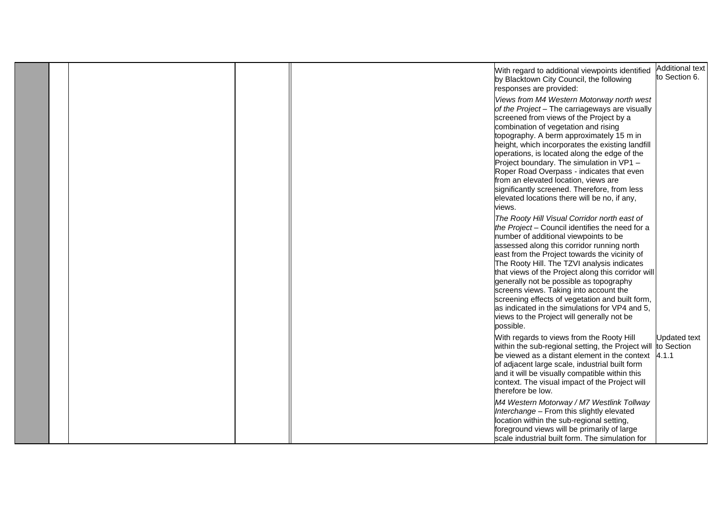|  |  |                                                                                                                                                                                                                                                                                                                                                                                                                                                                                                                                                                                                   | <b>Additional text</b>            |
|--|--|---------------------------------------------------------------------------------------------------------------------------------------------------------------------------------------------------------------------------------------------------------------------------------------------------------------------------------------------------------------------------------------------------------------------------------------------------------------------------------------------------------------------------------------------------------------------------------------------------|-----------------------------------|
|  |  | With regard to additional viewpoints identified<br>by Blacktown City Council, the following<br>responses are provided:                                                                                                                                                                                                                                                                                                                                                                                                                                                                            | to Section 6.                     |
|  |  | Views from M4 Western Motorway north west<br>of the Project - The carriageways are visually<br>screened from views of the Project by a<br>combination of vegetation and rising<br>topography. A berm approximately 15 m in<br>height, which incorporates the existing landfill<br>operations, is located along the edge of the<br>Project boundary. The simulation in VP1 -<br>Roper Road Overpass - indicates that even<br>from an elevated location, views are<br>significantly screened. Therefore, from less<br>elevated locations there will be no, if any,                                  |                                   |
|  |  | views.                                                                                                                                                                                                                                                                                                                                                                                                                                                                                                                                                                                            |                                   |
|  |  | The Rooty Hill Visual Corridor north east of<br>the Project - Council identifies the need for a<br>number of additional viewpoints to be<br>assessed along this corridor running north<br>east from the Project towards the vicinity of<br>The Rooty Hill. The TZVI analysis indicates<br>that views of the Project along this corridor will<br>generally not be possible as topography<br>screens views. Taking into account the<br>screening effects of vegetation and built form,<br>as indicated in the simulations for VP4 and 5,<br>views to the Project will generally not be<br>possible. |                                   |
|  |  | With regards to views from the Rooty Hill<br>within the sub-regional setting, the Project will<br>be viewed as a distant element in the context $\,$ 4.1.1<br>of adjacent large scale, industrial built form<br>and it will be visually compatible within this<br>context. The visual impact of the Project will<br>therefore be low.                                                                                                                                                                                                                                                             | <b>Updated text</b><br>to Section |
|  |  | M4 Western Motorway / M7 Westlink Tollway<br>Interchange - From this slightly elevated<br>location within the sub-regional setting,<br>foreground views will be primarily of large<br>scale industrial built form. The simulation for                                                                                                                                                                                                                                                                                                                                                             |                                   |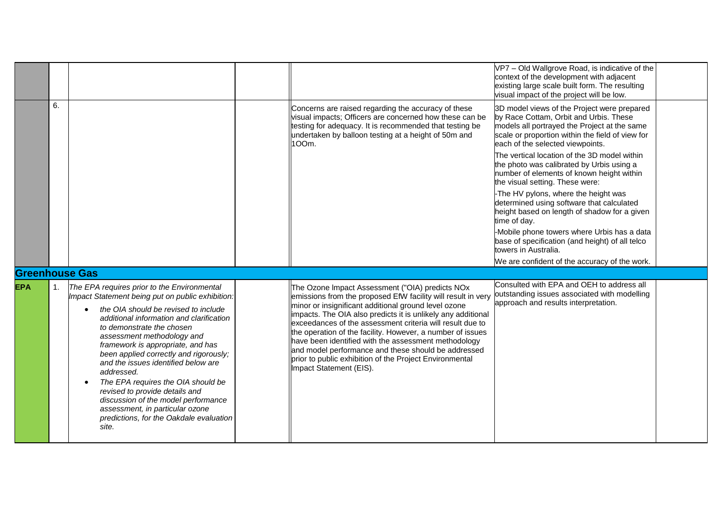|                                     |                |                                                                                                                                                                                                                                                                                                                                                                                                                                                                                                                                                                                                       |                                                                                                                                                                                                                                                                                                                                                                                                                                                                                                                                                                         | VP7 - Old Wallgrove Road, is indicative of the<br>context of the development with adjacent<br>existing large scale built form. The resulting<br>visual impact of the project will be low.                                                                                                                                                                                                                  |  |
|-------------------------------------|----------------|-------------------------------------------------------------------------------------------------------------------------------------------------------------------------------------------------------------------------------------------------------------------------------------------------------------------------------------------------------------------------------------------------------------------------------------------------------------------------------------------------------------------------------------------------------------------------------------------------------|-------------------------------------------------------------------------------------------------------------------------------------------------------------------------------------------------------------------------------------------------------------------------------------------------------------------------------------------------------------------------------------------------------------------------------------------------------------------------------------------------------------------------------------------------------------------------|------------------------------------------------------------------------------------------------------------------------------------------------------------------------------------------------------------------------------------------------------------------------------------------------------------------------------------------------------------------------------------------------------------|--|
|                                     | 6.             |                                                                                                                                                                                                                                                                                                                                                                                                                                                                                                                                                                                                       | Concerns are raised regarding the accuracy of these<br>visual impacts; Officers are concerned how these can be<br>testing for adequacy. It is recommended that testing be<br>undertaken by balloon testing at a height of 50m and<br>100m.                                                                                                                                                                                                                                                                                                                              | 3D model views of the Project were prepared<br>by Race Cottam, Orbit and Urbis. These<br>models all portrayed the Project at the same<br>scale or proportion within the field of view for<br>each of the selected viewpoints.<br>The vertical location of the 3D model within<br>the photo was calibrated by Urbis using a<br>number of elements of known height within<br>the visual setting. These were: |  |
|                                     |                |                                                                                                                                                                                                                                                                                                                                                                                                                                                                                                                                                                                                       |                                                                                                                                                                                                                                                                                                                                                                                                                                                                                                                                                                         | -The HV pylons, where the height was<br>determined using software that calculated<br>height based on length of shadow for a given<br>time of day.                                                                                                                                                                                                                                                          |  |
|                                     |                |                                                                                                                                                                                                                                                                                                                                                                                                                                                                                                                                                                                                       |                                                                                                                                                                                                                                                                                                                                                                                                                                                                                                                                                                         | -Mobile phone towers where Urbis has a data<br>base of specification (and height) of all telco<br>towers in Australia.                                                                                                                                                                                                                                                                                     |  |
|                                     |                |                                                                                                                                                                                                                                                                                                                                                                                                                                                                                                                                                                                                       |                                                                                                                                                                                                                                                                                                                                                                                                                                                                                                                                                                         | We are confident of the accuracy of the work.                                                                                                                                                                                                                                                                                                                                                              |  |
| <b>Greenhouse Gas</b><br><b>EPA</b> | $\mathbf{1}$ . | The EPA requires prior to the Environmental<br>Impact Statement being put on public exhibition:<br>the OIA should be revised to include<br>additional information and clarification<br>to demonstrate the chosen<br>assessment methodology and<br>framework is appropriate, and has<br>been applied correctly and rigorously;<br>and the issues identified below are<br>addressed.<br>The EPA requires the OIA should be<br>$\bullet$<br>revised to provide details and<br>discussion of the model performance<br>assessment, in particular ozone<br>predictions, for the Oakdale evaluation<br>site. | The Ozone Impact Assessment ("OIA) predicts NOx<br>emissions from the proposed EfW facility will result in very<br>minor or insignificant additional ground level ozone<br>impacts. The OIA also predicts it is unlikely any additional<br>exceedances of the assessment criteria will result due to<br>the operation of the facility. However, a number of issues<br>have been identified with the assessment methodology<br>and model performance and these should be addressed<br>prior to public exhibition of the Project Environmental<br>Impact Statement (EIS). | Consulted with EPA and OEH to address all<br>outstanding issues associated with modelling<br>approach and results interpretation.                                                                                                                                                                                                                                                                          |  |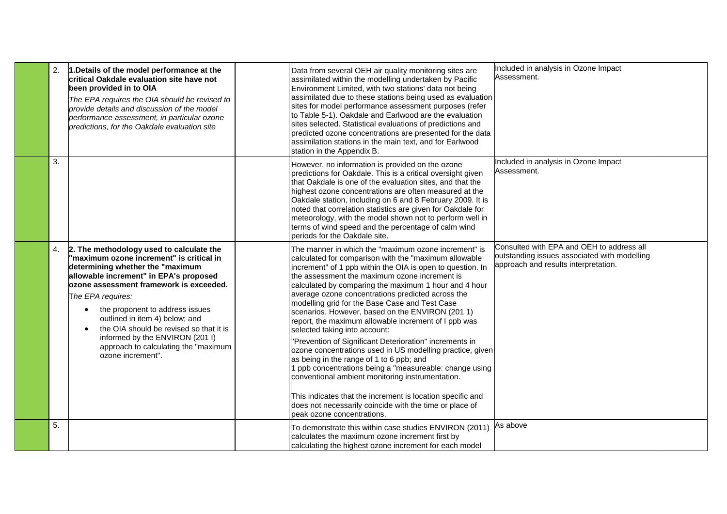| 2. | 1. Details of the model performance at the<br>critical Oakdale evaluation site have not<br>been provided in to OIA<br>The EPA requires the OIA should be revised to<br>provide details and discussion of the model<br>performance assessment, in particular ozone<br>predictions, for the Oakdale evaluation site                                                                                                                                  | Data from several OEH air quality monitoring sites are<br>assimilated within the modelling undertaken by Pacific<br>Environment Limited, with two stations' data not being<br>assimilated due to these stations being used as evaluation<br>sites for model performance assessment purposes (refer<br>to Table 5-1). Oakdale and Earlwood are the evaluation<br>sites selected. Statistical evaluations of predictions and<br>predicted ozone concentrations are presented for the data<br>assimilation stations in the main text, and for Earlwood<br>station in the Appendix B.                                                                                                                                                                                                                                                                                                                                                                                                   | Included in analysis in Ozone Impact<br>Assessment.                                                                               |  |
|----|----------------------------------------------------------------------------------------------------------------------------------------------------------------------------------------------------------------------------------------------------------------------------------------------------------------------------------------------------------------------------------------------------------------------------------------------------|-------------------------------------------------------------------------------------------------------------------------------------------------------------------------------------------------------------------------------------------------------------------------------------------------------------------------------------------------------------------------------------------------------------------------------------------------------------------------------------------------------------------------------------------------------------------------------------------------------------------------------------------------------------------------------------------------------------------------------------------------------------------------------------------------------------------------------------------------------------------------------------------------------------------------------------------------------------------------------------|-----------------------------------------------------------------------------------------------------------------------------------|--|
| 3. |                                                                                                                                                                                                                                                                                                                                                                                                                                                    | However, no information is provided on the ozone<br>predictions for Oakdale. This is a critical oversight given<br>that Oakdale is one of the evaluation sites, and that the<br>highest ozone concentrations are often measured at the<br>Oakdale station, including on 6 and 8 February 2009. It is<br>noted that correlation statistics are given for Oakdale for<br>meteorology, with the model shown not to perform well in<br>terms of wind speed and the percentage of calm wind<br>periods for the Oakdale site.                                                                                                                                                                                                                                                                                                                                                                                                                                                             | Included in analysis in Ozone Impact<br>Assessment.                                                                               |  |
| 4. | 2. The methodology used to calculate the<br>"maximum ozone increment" is critical in<br>determining whether the "maximum<br>allowable increment" in EPA's proposed<br>ozone assessment framework is exceeded.<br>The EPA requires:<br>the proponent to address issues<br>outlined in item 4) below; and<br>the OIA should be revised so that it is<br>informed by the ENVIRON (201 I)<br>approach to calculating the "maximum<br>ozone increment". | The manner in which the "maximum ozone increment" is<br>calculated for comparison with the "maximum allowable<br>increment" of 1 ppb within the OIA is open to question. In<br>the assessment the maximum ozone increment is<br>calculated by comparing the maximum 1 hour and 4 hour<br>average ozone concentrations predicted across the<br>modelling grid for the Base Case and Test Case<br>scenarios. However, based on the ENVIRON (201 1)<br>report, the maximum allowable increment of I ppb was<br>selected taking into account:<br>"Prevention of Significant Deterioration" increments in<br>ozone concentrations used in US modelling practice, given<br>as being in the range of 1 to 6 ppb; and<br>1 ppb concentrations being a "measureable: change using<br>conventional ambient monitoring instrumentation.<br>This indicates that the increment is location specific and<br>does not necessarily coincide with the time or place of<br>beak ozone concentrations. | Consulted with EPA and OEH to address all<br>outstanding issues associated with modelling<br>approach and results interpretation. |  |
| 5. |                                                                                                                                                                                                                                                                                                                                                                                                                                                    | To demonstrate this within case studies ENVIRON (2011)<br>calculates the maximum ozone increment first by<br>calculating the highest ozone increment for each model                                                                                                                                                                                                                                                                                                                                                                                                                                                                                                                                                                                                                                                                                                                                                                                                                 | As above                                                                                                                          |  |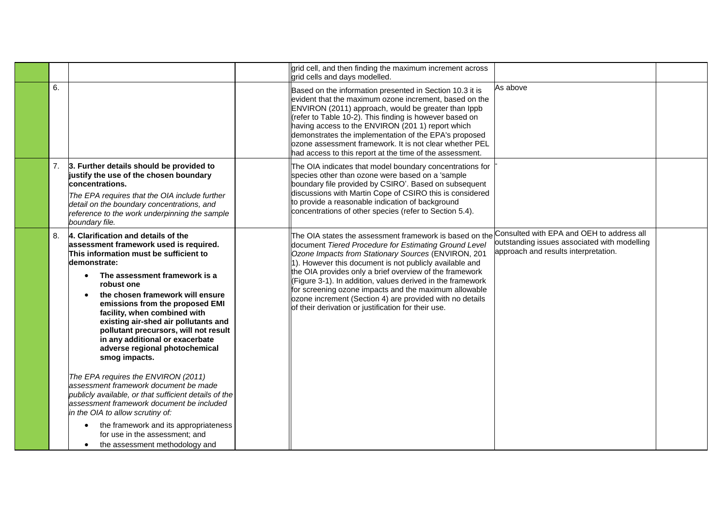|    |                                                                                                                                                                                                                                                                                                                                                                                                                                                                      | grid cell, and then finding the maximum increment across<br>grid cells and days modelled.                                                                                                                                                                                                                                                                                                                                                                                                                                                       |                                                                                                                                   |  |
|----|----------------------------------------------------------------------------------------------------------------------------------------------------------------------------------------------------------------------------------------------------------------------------------------------------------------------------------------------------------------------------------------------------------------------------------------------------------------------|-------------------------------------------------------------------------------------------------------------------------------------------------------------------------------------------------------------------------------------------------------------------------------------------------------------------------------------------------------------------------------------------------------------------------------------------------------------------------------------------------------------------------------------------------|-----------------------------------------------------------------------------------------------------------------------------------|--|
| 6. |                                                                                                                                                                                                                                                                                                                                                                                                                                                                      | Based on the information presented in Section 10.3 it is<br>evident that the maximum ozone increment, based on the<br>ENVIRON (2011) approach, would be greater than Ippb<br>(refer to Table 10-2). This finding is however based on<br>having access to the ENVIRON (201 1) report which<br>demonstrates the implementation of the EPA's proposed<br>ozone assessment framework. It is not clear whether PEL<br>had access to this report at the time of the assessment.                                                                       | As above                                                                                                                          |  |
| 7. | 3. Further details should be provided to<br>justify the use of the chosen boundary<br>concentrations.<br>The EPA requires that the OIA include further<br>detail on the boundary concentrations, and<br>reference to the work underpinning the sample<br>boundary file.                                                                                                                                                                                              | The OIA indicates that model boundary concentrations for<br>species other than ozone were based on a 'sample'<br>boundary file provided by CSIRO'. Based on subsequent<br>discussions with Martin Cope of CSIRO this is considered<br>to provide a reasonable indication of background<br>concentrations of other species (refer to Section 5.4).                                                                                                                                                                                               |                                                                                                                                   |  |
| 8. | 4. Clarification and details of the<br>assessment framework used is required.<br>This information must be sufficient to<br>demonstrate:<br>The assessment framework is a<br>robust one<br>the chosen framework will ensure<br>emissions from the proposed EMI<br>facility, when combined with<br>existing air-shed air pollutants and<br>pollutant precursors, will not result<br>in any additional or exacerbate<br>adverse regional photochemical<br>smog impacts. | The OIA states the assessment framework is based on the<br>document Tiered Procedure for Estimating Ground Level<br>Ozone Impacts from Stationary Sources (ENVIRON, 201<br>$\vert$ 1). However this document is not publicly available and<br>the OIA provides only a brief overview of the framework<br>(Figure 3-1). In addition, values derived in the framework<br>for screening ozone impacts and the maximum allowable<br>ozone increment (Section 4) are provided with no details<br>of their derivation or justification for their use. | Consulted with EPA and OEH to address all<br>outstanding issues associated with modelling<br>approach and results interpretation. |  |
|    | The EPA requires the ENVIRON (2011)<br>assessment framework document be made<br>publicly available, or that sufficient details of the<br>lassessment framework document be included<br>in the OIA to allow scrutiny of:<br>the framework and its appropriateness<br>$\bullet$<br>for use in the assessment; and<br>the assessment methodology and                                                                                                                    |                                                                                                                                                                                                                                                                                                                                                                                                                                                                                                                                                 |                                                                                                                                   |  |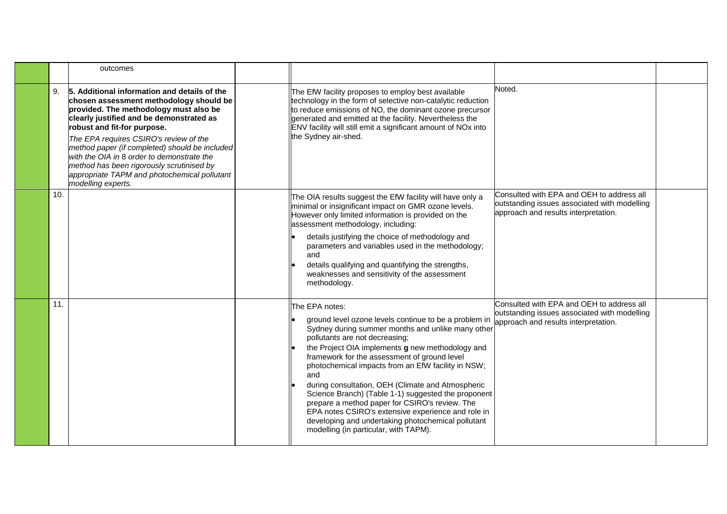|    |     | outcomes                                                                                                                                                                                                                                                                                                                                                                                                                                                                  |                                                                                                                                                                                                                                                                                                                                                                                                                                                                                                                                                                                                                                                    |                                                                                                                                   |  |
|----|-----|---------------------------------------------------------------------------------------------------------------------------------------------------------------------------------------------------------------------------------------------------------------------------------------------------------------------------------------------------------------------------------------------------------------------------------------------------------------------------|----------------------------------------------------------------------------------------------------------------------------------------------------------------------------------------------------------------------------------------------------------------------------------------------------------------------------------------------------------------------------------------------------------------------------------------------------------------------------------------------------------------------------------------------------------------------------------------------------------------------------------------------------|-----------------------------------------------------------------------------------------------------------------------------------|--|
| 9. |     | 5. Additional information and details of the<br>chosen assessment methodology should be<br>provided. The methodology must also be<br>clearly justified and be demonstrated as<br>robust and fit-for purpose.<br>The EPA requires CSIRO's review of the<br>method paper (if completed) should be included<br>with the OIA in 8 order to demonstrate the<br>method has been rigorously scrutinised by<br>appropriate TAPM and photochemical pollutant<br>modelling experts. | The EfW facility proposes to employ best available<br>technology in the form of selective non-catalytic reduction<br>to reduce emissions of NO, the dominant ozone precursor<br>generated and emitted at the facility. Nevertheless the<br>ENV facility will still emit a significant amount of NO <sub>x</sub> into<br>the Sydney air-shed.                                                                                                                                                                                                                                                                                                       | Noted.                                                                                                                            |  |
|    | 10. |                                                                                                                                                                                                                                                                                                                                                                                                                                                                           | The OIA results suggest the EfW facility will have only a<br>minimal or insignificant impact on GMR ozone levels.<br>However only limited information is provided on the<br>assessment methodology, including:<br>details justifying the choice of methodology and<br>parameters and variables used in the methodology;<br>and<br>details qualifying and quantifying the strengths,<br>weaknesses and sensitivity of the assessment<br>methodology.                                                                                                                                                                                                | Consulted with EPA and OEH to address all<br>outstanding issues associated with modelling<br>approach and results interpretation. |  |
|    | 11. |                                                                                                                                                                                                                                                                                                                                                                                                                                                                           | The EPA notes:<br>ground level ozone levels continue to be a problem in<br>Sydney during summer months and unlike many other<br>pollutants are not decreasing;<br>the Project OIA implements g new methodology and<br>framework for the assessment of ground level<br>photochemical impacts from an EfW facility in NSW;<br>and<br>during consultation, OEH (Climate and Atmospheric<br>Science Branch) (Table 1-1) suggested the proponent<br>prepare a method paper for CSIRO's review. The<br>EPA notes CSIRO's extensive experience and role in<br>developing and undertaking photochemical pollutant<br>modelling (in particular, with TAPM). | Consulted with EPA and OEH to address all<br>outstanding issues associated with modelling<br>approach and results interpretation. |  |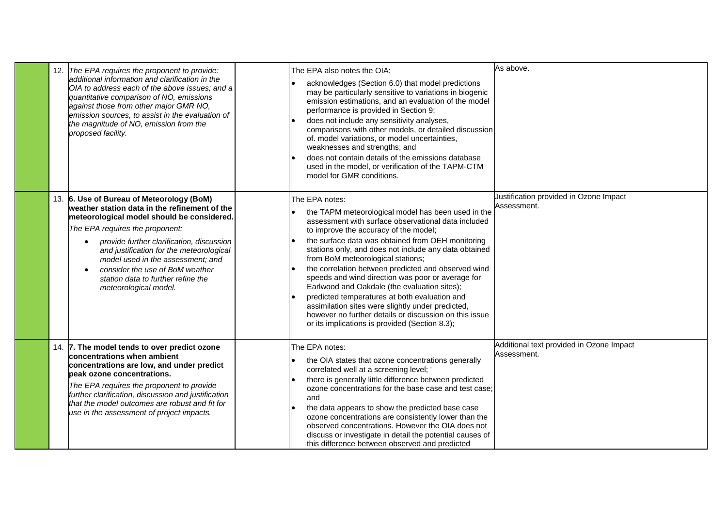| 12. The EPA requires the proponent to provide:<br>additional information and clarification in the<br>OIA to address each of the above issues; and a<br>quantitative comparison of NO, emissions<br>against those from other major GMR NO,<br>emission sources, to assist in the evaluation of<br>the magnitude of NO, emission from the<br>proposed facility.                                               | As above.<br>The EPA also notes the OIA:<br>acknowledges (Section 6.0) that model predictions<br>may be particularly sensitive to variations in biogenic<br>emission estimations, and an evaluation of the model<br>performance is provided in Section 9;<br>does not include any sensitivity analyses,<br>comparisons with other models, or detailed discussion<br>of. model variations, or model uncertainties,<br>weaknesses and strengths; and<br>does not contain details of the emissions database<br>used in the model, or verification of the TAPM-CTM<br>model for GMR conditions.                                                                                                                                                                            |  |
|-------------------------------------------------------------------------------------------------------------------------------------------------------------------------------------------------------------------------------------------------------------------------------------------------------------------------------------------------------------------------------------------------------------|------------------------------------------------------------------------------------------------------------------------------------------------------------------------------------------------------------------------------------------------------------------------------------------------------------------------------------------------------------------------------------------------------------------------------------------------------------------------------------------------------------------------------------------------------------------------------------------------------------------------------------------------------------------------------------------------------------------------------------------------------------------------|--|
| 13. 6. Use of Bureau of Meteorology (BoM)<br>weather station data in the refinement of the<br>meteorological model should be considered.<br>The EPA requires the proponent:<br>provide further clarification, discussion<br>and justification for the meteorological<br>model used in the assessment; and<br>consider the use of BoM weather<br>station data to further refine the<br>meteorological model. | Justification provided in Ozone Impact<br><b>IThe EPA notes:</b><br>Assessment.<br>the TAPM meteorological model has been used in the<br>assessment with surface observational data included<br>to improve the accuracy of the model;<br>the surface data was obtained from OEH monitoring<br>stations only, and does not include any data obtained<br>from BoM meteorological stations;<br>the correlation between predicted and observed wind<br>speeds and wind direction was poor or average for<br>Earlwood and Oakdale (the evaluation sites);<br>predicted temperatures at both evaluation and<br>assimilation sites were slightly under predicted,<br>however no further details or discussion on this issue<br>or its implications is provided (Section 8.3); |  |
| 14. 7. The model tends to over predict ozone<br>concentrations when ambient<br>concentrations are low, and under predict<br>beak ozone concentrations.<br>The EPA requires the proponent to provide<br>further clarification, discussion and justification<br>that the model outcomes are robust and fit for<br>use in the assessment of project impacts.                                                   | Additional text provided in Ozone Impact<br>The EPA notes:<br>Assessment.<br>the OIA states that ozone concentrations generally<br>correlated well at a screening level; '<br>there is generally little difference between predicted<br>ozone concentrations for the base case and test case;<br>and<br>the data appears to show the predicted base case<br>ozone concentrations are consistently lower than the<br>observed concentrations. However the OIA does not<br>discuss or investigate in detail the potential causes of<br>this difference between observed and predicted                                                                                                                                                                                    |  |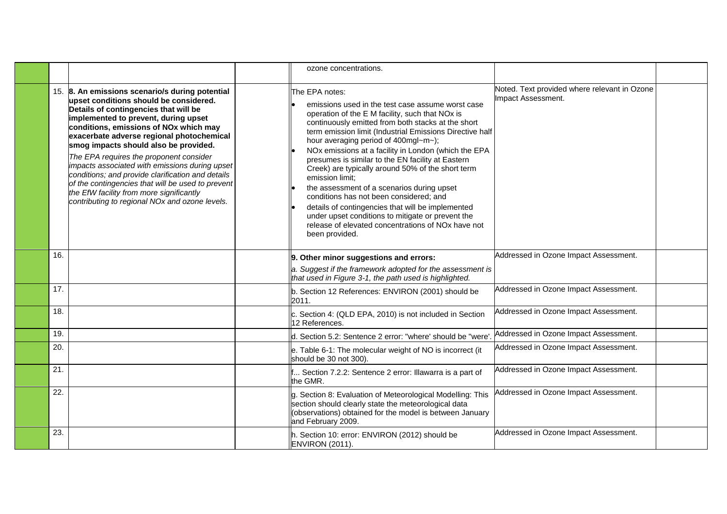|     |                                                                                                                                                                                                                                                                                                                                                                                                                                                                                                                                                                                                                 | ozone concentrations.                                                                                                                                                                                                                                                                                                                                                                                                                                                                                                                                                                                                                                                                                                                                        |                                                                    |  |
|-----|-----------------------------------------------------------------------------------------------------------------------------------------------------------------------------------------------------------------------------------------------------------------------------------------------------------------------------------------------------------------------------------------------------------------------------------------------------------------------------------------------------------------------------------------------------------------------------------------------------------------|--------------------------------------------------------------------------------------------------------------------------------------------------------------------------------------------------------------------------------------------------------------------------------------------------------------------------------------------------------------------------------------------------------------------------------------------------------------------------------------------------------------------------------------------------------------------------------------------------------------------------------------------------------------------------------------------------------------------------------------------------------------|--------------------------------------------------------------------|--|
|     | 15. 8. An emissions scenario/s during potential<br>upset conditions should be considered.<br>Details of contingencies that will be<br>implemented to prevent, during upset<br>conditions, emissions of NOx which may<br>exacerbate adverse regional photochemical<br>smog impacts should also be provided.<br>The EPA requires the proponent consider<br>impacts associated with emissions during upset<br>conditions; and provide clarification and details<br>of the contingencies that will be used to prevent<br>the EfW facility from more significantly<br>contributing to regional NOx and ozone levels. | The EPA notes:<br>emissions used in the test case assume worst case<br>operation of the E M facility, such that NOx is<br>continuously emitted from both stacks at the short<br>term emission limit (Industrial Emissions Directive half<br>hour averaging period of 400mgl~m~);<br>NOx emissions at a facility in London (which the EPA<br>presumes is similar to the EN facility at Eastern<br>Creek) are typically around 50% of the short term<br>emission limit:<br>the assessment of a scenarios during upset<br>conditions has not been considered; and<br>details of contingencies that will be implemented<br>under upset conditions to mitigate or prevent the<br>release of elevated concentrations of NO <sub>x</sub> have not<br>been provided. | Noted. Text provided where relevant in Ozone<br>Impact Assessment. |  |
| 16. |                                                                                                                                                                                                                                                                                                                                                                                                                                                                                                                                                                                                                 | 9. Other minor suggestions and errors:                                                                                                                                                                                                                                                                                                                                                                                                                                                                                                                                                                                                                                                                                                                       | Addressed in Ozone Impact Assessment.                              |  |
|     |                                                                                                                                                                                                                                                                                                                                                                                                                                                                                                                                                                                                                 | a. Suggest if the framework adopted for the assessment is<br>that used in Figure 3-1, the path used is highlighted.                                                                                                                                                                                                                                                                                                                                                                                                                                                                                                                                                                                                                                          |                                                                    |  |
| 17. |                                                                                                                                                                                                                                                                                                                                                                                                                                                                                                                                                                                                                 | b. Section 12 References: ENVIRON (2001) should be<br>2011.                                                                                                                                                                                                                                                                                                                                                                                                                                                                                                                                                                                                                                                                                                  | Addressed in Ozone Impact Assessment.                              |  |
| 18. |                                                                                                                                                                                                                                                                                                                                                                                                                                                                                                                                                                                                                 | c. Section 4: (QLD EPA, 2010) is not included in Section<br>12 References.                                                                                                                                                                                                                                                                                                                                                                                                                                                                                                                                                                                                                                                                                   | Addressed in Ozone Impact Assessment.                              |  |
| 19. |                                                                                                                                                                                                                                                                                                                                                                                                                                                                                                                                                                                                                 | d. Section 5.2: Sentence 2 error: "where' should be "were'                                                                                                                                                                                                                                                                                                                                                                                                                                                                                                                                                                                                                                                                                                   | Addressed in Ozone Impact Assessment.                              |  |
| 20. |                                                                                                                                                                                                                                                                                                                                                                                                                                                                                                                                                                                                                 | e. Table 6-1: The molecular weight of NO is incorrect (it<br>should be 30 not 300).                                                                                                                                                                                                                                                                                                                                                                                                                                                                                                                                                                                                                                                                          | Addressed in Ozone Impact Assessment.                              |  |
| 21. |                                                                                                                                                                                                                                                                                                                                                                                                                                                                                                                                                                                                                 | f Section 7.2.2: Sentence 2 error: Illawarra is a part of<br>the GMR.                                                                                                                                                                                                                                                                                                                                                                                                                                                                                                                                                                                                                                                                                        | Addressed in Ozone Impact Assessment.                              |  |
| 22. |                                                                                                                                                                                                                                                                                                                                                                                                                                                                                                                                                                                                                 | g. Section 8: Evaluation of Meteorological Modelling: This<br>section should clearly state the meteorological data<br>(observations) obtained for the model is between January<br>and February 2009.                                                                                                                                                                                                                                                                                                                                                                                                                                                                                                                                                         | Addressed in Ozone Impact Assessment.                              |  |
| 23. |                                                                                                                                                                                                                                                                                                                                                                                                                                                                                                                                                                                                                 | h. Section 10: error: ENVIRON (2012) should be<br>ENVIRON (2011).                                                                                                                                                                                                                                                                                                                                                                                                                                                                                                                                                                                                                                                                                            | Addressed in Ozone Impact Assessment.                              |  |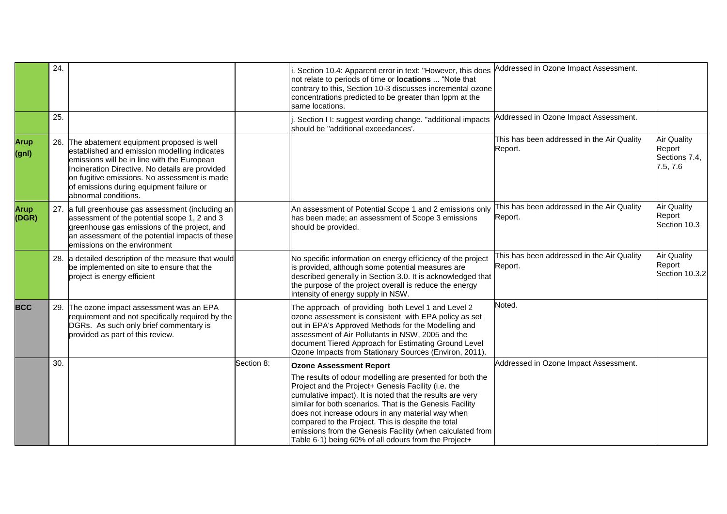|                      | 24. |                                                                                                                                                                                                                                                                                                                    |            | Section 10.4: Apparent error in text: "However, this does<br>not relate to periods of time or <b>locations</b> "Note that<br>contrary to this, Section 10-3 discusses incremental ozone<br>concentrations predicted to be greater than Ippm at the<br>same locations.                                                                                                                                                                                                     | Addressed in Ozone Impact Assessment.                 |                                                           |
|----------------------|-----|--------------------------------------------------------------------------------------------------------------------------------------------------------------------------------------------------------------------------------------------------------------------------------------------------------------------|------------|---------------------------------------------------------------------------------------------------------------------------------------------------------------------------------------------------------------------------------------------------------------------------------------------------------------------------------------------------------------------------------------------------------------------------------------------------------------------------|-------------------------------------------------------|-----------------------------------------------------------|
|                      | 25. |                                                                                                                                                                                                                                                                                                                    |            | Section I I: suggest wording change. "additional impacts<br>should be "additional exceedances'.                                                                                                                                                                                                                                                                                                                                                                           | Addressed in Ozone Impact Assessment.                 |                                                           |
| <b>Arup</b><br>(gnl) |     | 26. The abatement equipment proposed is well<br>established and emission modelling indicates<br>emissions will be in line with the European<br>Incineration Directive. No details are provided<br>on fugitive emissions. No assessment is made<br>of emissions during equipment failure or<br>abnormal conditions. |            |                                                                                                                                                                                                                                                                                                                                                                                                                                                                           | This has been addressed in the Air Quality<br>Report. | <b>Air Quality</b><br>Report<br>Sections 7.4,<br>7.5, 7.6 |
| Arup<br>(DGR)        |     | 27. a full greenhouse gas assessment (including an<br>assessment of the potential scope 1, 2 and 3<br>greenhouse gas emissions of the project, and<br>an assessment of the potential impacts of these<br>emissions on the environment                                                                              |            | An assessment of Potential Scope 1 and 2 emissions only<br>has been made; an assessment of Scope 3 emissions<br>should be provided.                                                                                                                                                                                                                                                                                                                                       | This has been addressed in the Air Quality<br>Report. | <b>Air Quality</b><br>Report<br>Section 10.3              |
|                      |     | 28. a detailed description of the measure that would<br>be implemented on site to ensure that the<br>project is energy efficient                                                                                                                                                                                   |            | No specific information on energy efficiency of the project<br>is provided, although some potential measures are<br>described generally in Section 3.0. It is acknowledged that<br>the purpose of the project overall is reduce the energy<br>intensity of energy supply in NSW.                                                                                                                                                                                          | This has been addressed in the Air Quality<br>Report. | <b>Air Quality</b><br>Report<br>Section 10.3.2            |
| <b>BCC</b>           |     | 29. The ozone impact assessment was an EPA<br>requirement and not specifically required by the<br>DGRs. As such only brief commentary is<br>provided as part of this review.                                                                                                                                       |            | The approach of providing both Level 1 and Level 2<br>ozone assessment is consistent with EPA policy as set<br>out in EPA's Approved Methods for the Modelling and<br>assessment of Air Pollutants in NSW, 2005 and the<br>document Tiered Approach for Estimating Ground Level<br>Ozone Impacts from Stationary Sources (Environ, 2011).                                                                                                                                 | Noted.                                                |                                                           |
|                      | 30. |                                                                                                                                                                                                                                                                                                                    | Section 8: | <b>Ozone Assessment Report</b>                                                                                                                                                                                                                                                                                                                                                                                                                                            | Addressed in Ozone Impact Assessment.                 |                                                           |
|                      |     |                                                                                                                                                                                                                                                                                                                    |            | The results of odour modelling are presented for both the<br>Project and the Project+ Genesis Facility (i.e. the<br>cumulative impact). It is noted that the results are very<br>similar for both scenarios. That is the Genesis Facility<br>does not increase odours in any material way when<br>compared to the Project. This is despite the total<br>emissions from the Genesis Facility (when calculated from<br>Table 6.1) being 60% of all odours from the Project+ |                                                       |                                                           |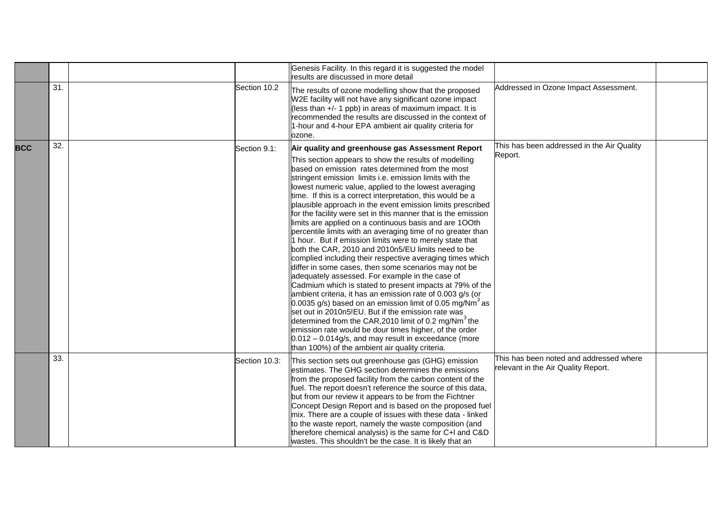|            |     |               | Genesis Facility. In this regard it is suggested the model<br>results are discussed in more detail                                                                                                                                                                                                                                                                                                                                                                                                                                                                                                                                                                                                                                                                                                                                                                                                                                                                                                                                                                                                                                                                                                                                                                                                                                                                                                       |                                                                                |  |
|------------|-----|---------------|----------------------------------------------------------------------------------------------------------------------------------------------------------------------------------------------------------------------------------------------------------------------------------------------------------------------------------------------------------------------------------------------------------------------------------------------------------------------------------------------------------------------------------------------------------------------------------------------------------------------------------------------------------------------------------------------------------------------------------------------------------------------------------------------------------------------------------------------------------------------------------------------------------------------------------------------------------------------------------------------------------------------------------------------------------------------------------------------------------------------------------------------------------------------------------------------------------------------------------------------------------------------------------------------------------------------------------------------------------------------------------------------------------|--------------------------------------------------------------------------------|--|
|            | 31. | Section 10.2  | The results of ozone modelling show that the proposed<br>W2E facility will not have any significant ozone impact<br>(less than +/- 1 ppb) in areas of maximum impact. It is<br>recommended the results are discussed in the context of<br>1-hour and 4-hour EPA ambient air quality criteria for<br>ozone.                                                                                                                                                                                                                                                                                                                                                                                                                                                                                                                                                                                                                                                                                                                                                                                                                                                                                                                                                                                                                                                                                               | Addressed in Ozone Impact Assessment.                                          |  |
| <b>BCC</b> | 32. | Section 9.1:  | Air quality and greenhouse gas Assessment Report<br>This section appears to show the results of modelling<br>based on emission rates determined from the most<br>stringent emission limits i.e. emission limits with the<br>lowest numeric value, applied to the lowest averaging<br>time. If this is a correct interpretation, this would be a<br>plausible approach in the event emission limits prescribed<br>for the facility were set in this manner that is the emission<br>limits are applied on a continuous basis and are 100th<br>percentile limits with an averaging time of no greater than<br>1 hour. But if emission limits were to merely state that<br>both the CAR, 2010 and 2010n5/EU limits need to be<br>complied including their respective averaging times which<br>differ in some cases, then some scenarios may not be<br>adequately assessed. For example in the case of<br>Cadmium which is stated to present impacts at 79% of the<br>ambient criteria, it has an emission rate of 0.003 g/s (or<br>$0.0035$ g/s) based on an emission limit of 0.05 mg/Nm <sup>3</sup> as<br>set out in 2010n5!EU. But if the emission rate was<br>determined from the CAR, 2010 limit of 0.2 mg/Nm <sup>3</sup> the<br>emission rate would be dour times higher, of the order<br>$0.012 - 0.014g/s$ , and may result in exceedance (more<br>than 100%) of the ambient air quality criteria. | This has been addressed in the Air Quality<br>Report.                          |  |
|            | 33. | Section 10.3: | This section sets out greenhouse gas (GHG) emission<br>estimates. The GHG section determines the emissions<br>from the proposed facility from the carbon content of the<br>fuel. The report doesn't reference the source of this data,<br>but from our review it appears to be from the Fichtner<br>Concept Design Report and is based on the proposed fuel<br>mix. There are a couple of issues with these data - linked<br>to the waste report, namely the waste composition (and<br>therefore chemical analysis) is the same for C+I and C&D<br>wastes. This shouldn't be the case. It is likely that an                                                                                                                                                                                                                                                                                                                                                                                                                                                                                                                                                                                                                                                                                                                                                                                              | This has been noted and addressed where<br>relevant in the Air Quality Report. |  |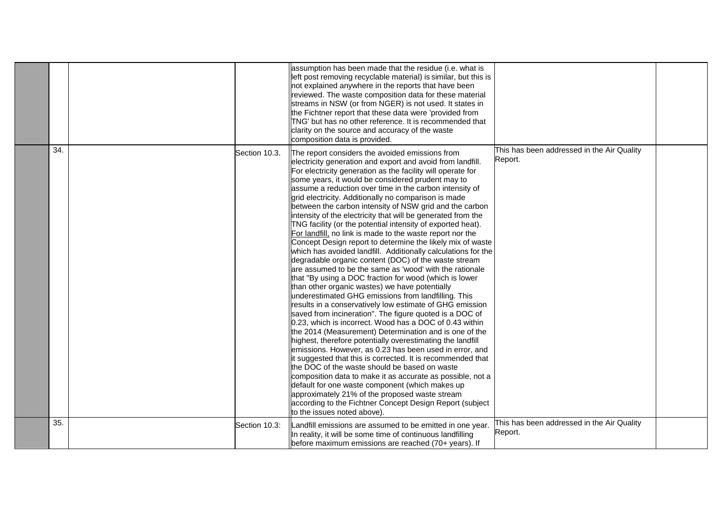|     |               | assumption has been made that the residue (i.e. what is<br>left post removing recyclable material) is similar, but this is<br>not explained anywhere in the reports that have been<br>reviewed. The waste composition data for these material<br>streams in NSW (or from NGER) is not used. It states in<br>the Fichtner report that these data were 'provided from<br>TNG' but has no other reference. It is recommended that<br>clarity on the source and accuracy of the waste<br>composition data is provided.                                                                                                                                                                                                                                                                                                                                                                                                                                                                                                                                                                                                                                                                                                                                                                                                                                                                                                                                                                                                                                                                                                                                                                                                                                                                  |                                                       |  |
|-----|---------------|-------------------------------------------------------------------------------------------------------------------------------------------------------------------------------------------------------------------------------------------------------------------------------------------------------------------------------------------------------------------------------------------------------------------------------------------------------------------------------------------------------------------------------------------------------------------------------------------------------------------------------------------------------------------------------------------------------------------------------------------------------------------------------------------------------------------------------------------------------------------------------------------------------------------------------------------------------------------------------------------------------------------------------------------------------------------------------------------------------------------------------------------------------------------------------------------------------------------------------------------------------------------------------------------------------------------------------------------------------------------------------------------------------------------------------------------------------------------------------------------------------------------------------------------------------------------------------------------------------------------------------------------------------------------------------------------------------------------------------------------------------------------------------------|-------------------------------------------------------|--|
| 34. | Section 10.3. | The report considers the avoided emissions from<br>electricity generation and export and avoid from landfill.<br>For electricity generation as the facility will operate for<br>some years, it would be considered prudent may to<br>assume a reduction over time in the carbon intensity of<br>grid electricity. Additionally no comparison is made<br>between the carbon intensity of NSW grid and the carbon<br>intensity of the electricity that will be generated from the<br>TNG facility (or the potential intensity of exported heat).<br>For landfill, no link is made to the waste report nor the<br>Concept Design report to determine the likely mix of waste<br>which has avoided landfill. Additionally calculations for the<br>degradable organic content (DOC) of the waste stream<br>are assumed to be the same as 'wood' with the rationale<br>that "By using a DOC fraction for wood (which is lower<br>than other organic wastes) we have potentially<br>underestimated GHG emissions from landfilling. This<br>results in a conservatively low estimate of GHG emission<br>saved from incineration". The figure quoted is a DOC of<br>0.23, which is incorrect. Wood has a DOC of 0.43 within<br>the 2014 (Measurement) Determination and is one of the<br>highest, therefore potentially overestimating the landfill<br>emissions. However, as 0.23 has been used in error, and<br>it suggested that this is corrected. It is recommended that<br>the DOC of the waste should be based on waste<br>composition data to make it as accurate as possible, not a<br>default for one waste component (which makes up<br>approximately 21% of the proposed waste stream<br>according to the Fichtner Concept Design Report (subject<br>to the issues noted above). | This has been addressed in the Air Quality<br>Report. |  |
| 35. | Section 10.3: | Landfill emissions are assumed to be emitted in one year.<br>In reality, it will be some time of continuous landfilling<br>before maximum emissions are reached (70+ years). If                                                                                                                                                                                                                                                                                                                                                                                                                                                                                                                                                                                                                                                                                                                                                                                                                                                                                                                                                                                                                                                                                                                                                                                                                                                                                                                                                                                                                                                                                                                                                                                                     | This has been addressed in the Air Quality<br>Report. |  |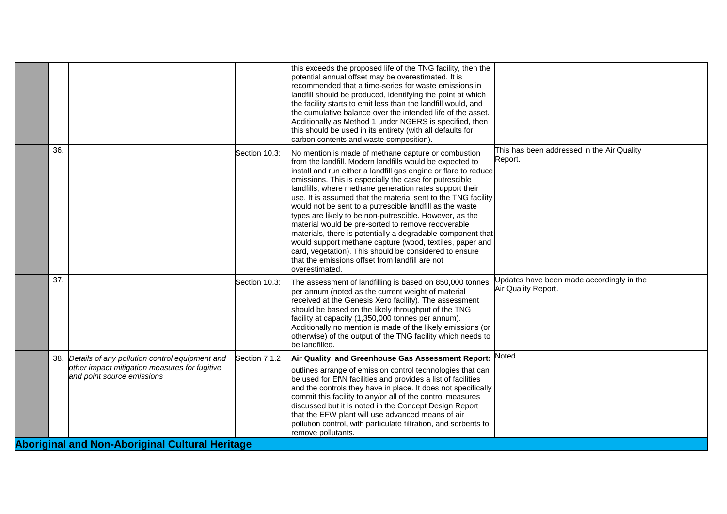| 36.<br>This has been addressed in the Air Quality<br>Section 10.3:<br>No mention is made of methane capture or combustion<br>Report.<br>from the landfill. Modern landfills would be expected to<br>install and run either a landfill gas engine or flare to reduce<br>emissions. This is especially the case for putrescible<br>landfills, where methane generation rates support their<br>use. It is assumed that the material sent to the TNG facility<br>would not be sent to a putrescible landfill as the waste<br>types are likely to be non-putrescible. However, as the<br>material would be pre-sorted to remove recoverable<br>materials, there is potentially a degradable component that<br>would support methane capture (wood, textiles, paper and<br>card, vegetation). This should be considered to ensure<br>that the emissions offset from landfill are not<br>overestimated. |
|--------------------------------------------------------------------------------------------------------------------------------------------------------------------------------------------------------------------------------------------------------------------------------------------------------------------------------------------------------------------------------------------------------------------------------------------------------------------------------------------------------------------------------------------------------------------------------------------------------------------------------------------------------------------------------------------------------------------------------------------------------------------------------------------------------------------------------------------------------------------------------------------------|
| 37.<br>Updates have been made accordingly in the<br>Section 10.3:<br>The assessment of landfilling is based on 850,000 tonnes<br>Air Quality Report.<br>per annum (noted as the current weight of material<br>received at the Genesis Xero facility). The assessment<br>should be based on the likely throughput of the TNG<br>facility at capacity (1,350,000 tonnes per annum).<br>Additionally no mention is made of the likely emissions (or<br>otherwise) of the output of the TNG facility which needs to<br>be landfilled.                                                                                                                                                                                                                                                                                                                                                                |
| Noted.<br>Air Quality and Greenhouse Gas Assessment Report:<br>38. Details of any pollution control equipment and<br>Section 7.1.2<br>other impact mitigation measures for fugitive<br>outlines arrange of emission control technologies that can<br>and point source emissions<br>be used for Ef\N facilities and provides a list of facilities<br>and the controls they have in place. It does not specifically<br>commit this facility to any/or all of the control measures<br>discussed but it is noted in the Concept Design Report<br>that the EFW plant will use advanced means of air<br>pollution control, with particulate filtration, and sorbents to<br>remove pollutants.<br><b>Aboriginal and Non-Aboriginal Cultural Heritage</b>                                                                                                                                                |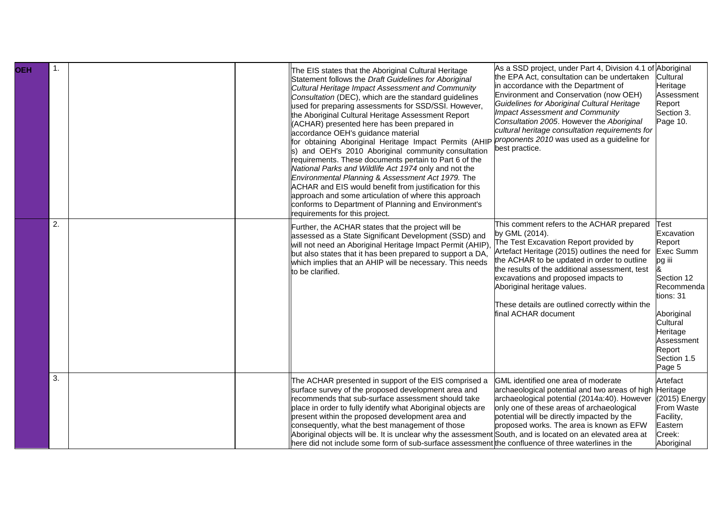| <b>OEH</b> | $\mathbf{1}$ . |  | The EIS states that the Aboriginal Cultural Heritage<br>Statement follows the Draft Guidelines for Aboriginal<br>Cultural Heritage Impact Assessment and Community<br>Consultation (DEC), which are the standard guidelines<br>used for preparing assessments for SSD/SSI. However,<br>the Aboriginal Cultural Heritage Assessment Report<br>(ACHAR) presented here has been prepared in<br>accordance OEH's guidance material<br>for obtaining Aboriginal Heritage Impact Permits (AHIP<br>s) and OEH's 2010 Aboriginal community consultation<br>requirements. These documents pertain to Part 6 of the<br>National Parks and Wildlife Act 1974 only and not the<br>Environmental Planning & Assessment Act 1979. The<br>ACHAR and EIS would benefit from justification for this<br>approach and some articulation of where this approach<br>conforms to Department of Planning and Environment's<br>requirements for this project. | As a SSD project, under Part 4, Division 4.1 of Aboriginal<br>the EPA Act, consultation can be undertaken<br>in accordance with the Department of<br>Environment and Conservation (now OEH)<br>Guidelines for Aboriginal Cultural Heritage<br><b>Impact Assessment and Community</b><br>Consultation 2005. However the Aboriginal<br>cultural heritage consultation requirements for<br>proponents 2010 was used as a guideline for<br>best practice. | Cultural<br>Heritage<br>Assessment<br>Report<br>Section 3.<br>Page 10.                                                                                                                            |
|------------|----------------|--|---------------------------------------------------------------------------------------------------------------------------------------------------------------------------------------------------------------------------------------------------------------------------------------------------------------------------------------------------------------------------------------------------------------------------------------------------------------------------------------------------------------------------------------------------------------------------------------------------------------------------------------------------------------------------------------------------------------------------------------------------------------------------------------------------------------------------------------------------------------------------------------------------------------------------------------|-------------------------------------------------------------------------------------------------------------------------------------------------------------------------------------------------------------------------------------------------------------------------------------------------------------------------------------------------------------------------------------------------------------------------------------------------------|---------------------------------------------------------------------------------------------------------------------------------------------------------------------------------------------------|
|            | 2.             |  | Further, the ACHAR states that the project will be<br>assessed as a State Significant Development (SSD) and<br>will not need an Aboriginal Heritage Impact Permit (AHIP),<br>but also states that it has been prepared to support a DA,<br>which implies that an AHIP will be necessary. This needs<br>to be clarified.                                                                                                                                                                                                                                                                                                                                                                                                                                                                                                                                                                                                               | This comment refers to the ACHAR prepared<br>by GML (2014).<br>The Test Excavation Report provided by<br>Artefact Heritage (2015) outlines the need for<br>the ACHAR to be updated in order to outline<br>the results of the additional assessment, test<br>excavations and proposed impacts to<br>Aboriginal heritage values.<br>These details are outlined correctly within the<br>final ACHAR document                                             | <b>Test</b><br>Excavation<br>Report<br><b>Exec Summ</b><br>pg iii<br>Section 12<br>Recommenda<br>tions: 31<br>Aboriginal<br>Cultural<br>Heritage<br>Assessment<br>Report<br>Section 1.5<br>Page 5 |
|            | 3.             |  | The ACHAR presented in support of the EIS comprised a<br>surface survey of the proposed development area and<br>recommends that sub-surface assessment should take<br>place in order to fully identify what Aboriginal objects are<br>present within the proposed development area and<br>consequently, what the best management of those<br>Aboriginal objects will be. It is unclear why the assessment South, and is located on an elevated area at<br>here did not include some form of sub-surface assessment the confluence of three waterlines in the                                                                                                                                                                                                                                                                                                                                                                          | GML identified one area of moderate<br>archaeological potential and two areas of high Heritage<br>archaeological potential (2014a:40). However<br>only one of these areas of archaeological<br>potential will be directly impacted by the<br>proposed works. The area is known as EFW                                                                                                                                                                 | Artefact<br>(2015) Energy<br>From Waste<br>Facility,<br>Eastern<br>Creek:<br>Aboriginal                                                                                                           |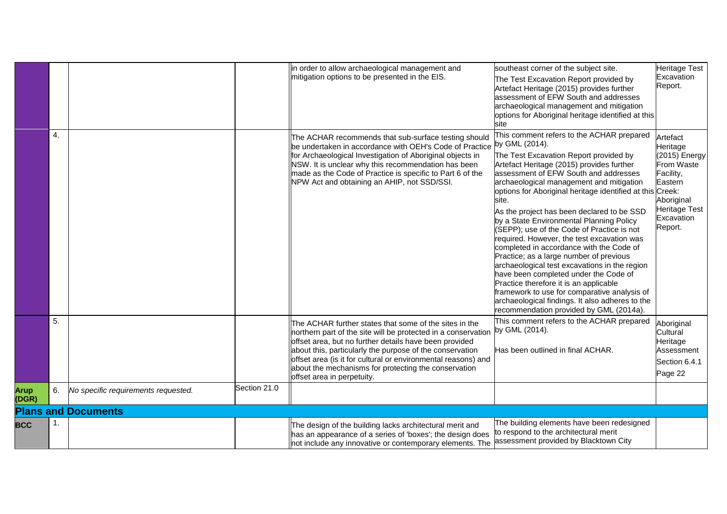|                      |    |                                     |              | in order to allow archaeological management and<br>mitigation options to be presented in the EIS.                                                                                                                                                                                                                                                                                                    | southeast corner of the subject site.<br>The Test Excavation Report provided by<br>Artefact Heritage (2015) provides further<br>assessment of EFW South and addresses<br>archaeological management and mitigation<br>options for Aboriginal heritage identified at this<br>site                                                                                                                                                                                                                                                                                                                                                                                                                                                                                                                                                                                              | <b>Heritage Test</b><br>Excavation<br>Report.                                                                                       |
|----------------------|----|-------------------------------------|--------------|------------------------------------------------------------------------------------------------------------------------------------------------------------------------------------------------------------------------------------------------------------------------------------------------------------------------------------------------------------------------------------------------------|------------------------------------------------------------------------------------------------------------------------------------------------------------------------------------------------------------------------------------------------------------------------------------------------------------------------------------------------------------------------------------------------------------------------------------------------------------------------------------------------------------------------------------------------------------------------------------------------------------------------------------------------------------------------------------------------------------------------------------------------------------------------------------------------------------------------------------------------------------------------------|-------------------------------------------------------------------------------------------------------------------------------------|
|                      | 4. |                                     |              | The ACHAR recommends that sub-surface testing should<br>be undertaken in accordance with OEH's Code of Practice<br>for Archaeological Investigation of Aboriginal objects in<br>NSW. It is unclear why this recommendation has been<br>made as the Code of Practice is specific to Part 6 of the<br>NPW Act and obtaining an AHIP, not SSD/SSI.                                                      | This comment refers to the ACHAR prepared<br>by GML (2014).<br>The Test Excavation Report provided by<br>Artefact Heritage (2015) provides further<br>assessment of EFW South and addresses<br>archaeological management and mitigation<br>options for Aboriginal heritage identified at this Creek:<br>site.<br>As the project has been declared to be SSD<br>by a State Environmental Planning Policy<br>(SEPP); use of the Code of Practice is not<br>required. However, the test excavation was<br>completed in accordance with the Code of<br>Practice; as a large number of previous<br>archaeological test excavations in the region<br>have been completed under the Code of<br>Practice therefore it is an applicable<br>framework to use for comparative analysis of<br>archaeological findings. It also adheres to the<br>recommendation provided by GML (2014a). | Artefact<br>Heritage<br>(2015) Energy<br>From Waste<br>Facility,<br>Eastern<br>Aboriginal<br>Heritage Test<br>Excavation<br>Report. |
|                      | 5. |                                     |              | The ACHAR further states that some of the sites in the<br>northern part of the site will be protected in a conservation<br>offset area, but no further details have been provided<br>about this, particularly the purpose of the conservation<br>offset area (is it for cultural or environmental reasons) and<br>about the mechanisms for protecting the conservation<br>offset area in perpetuity. | This comment refers to the ACHAR prepared<br>by GML (2014).<br>Has been outlined in final ACHAR.                                                                                                                                                                                                                                                                                                                                                                                                                                                                                                                                                                                                                                                                                                                                                                             | Aboriginal<br>Cultural<br>Heritage<br>Assessment<br>Section 6.4.1<br>Page 22                                                        |
| <b>Arup</b><br>(DGR) | 6. | No specific requirements requested. | Section 21.0 |                                                                                                                                                                                                                                                                                                                                                                                                      |                                                                                                                                                                                                                                                                                                                                                                                                                                                                                                                                                                                                                                                                                                                                                                                                                                                                              |                                                                                                                                     |
|                      |    | <b>Plans and Documents</b>          |              |                                                                                                                                                                                                                                                                                                                                                                                                      |                                                                                                                                                                                                                                                                                                                                                                                                                                                                                                                                                                                                                                                                                                                                                                                                                                                                              |                                                                                                                                     |
| <b>BCC</b>           | 1. |                                     |              | The design of the building lacks architectural merit and<br>has an appearance of a series of 'boxes'; the design does<br>not include any innovative or contemporary elements. The                                                                                                                                                                                                                    | The building elements have been redesigned<br>to respond to the architectural merit<br>assessment provided by Blacktown City                                                                                                                                                                                                                                                                                                                                                                                                                                                                                                                                                                                                                                                                                                                                                 |                                                                                                                                     |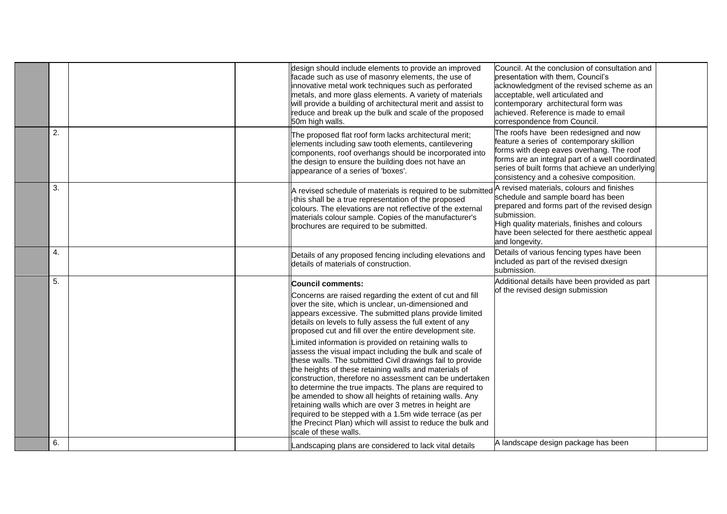|    |  | design should include elements to provide an improved<br>facade such as use of masonry elements, the use of<br>innovative metal work techniques such as perforated<br>metals, and more glass elements. A variety of materials<br>will provide a building of architectural merit and assist to<br>reduce and break up the bulk and scale of the proposed<br>50m high walls.                                                                                                                                                                                                                                                                                                                                                                                                                                                                                                                                                                                    | Council. At the conclusion of consultation and<br>presentation with them, Council's<br>acknowledgment of the revised scheme as an<br>acceptable, well articulated and<br>contemporary architectural form was<br>achieved. Reference is made to email<br>correspondence from Council. |  |
|----|--|---------------------------------------------------------------------------------------------------------------------------------------------------------------------------------------------------------------------------------------------------------------------------------------------------------------------------------------------------------------------------------------------------------------------------------------------------------------------------------------------------------------------------------------------------------------------------------------------------------------------------------------------------------------------------------------------------------------------------------------------------------------------------------------------------------------------------------------------------------------------------------------------------------------------------------------------------------------|--------------------------------------------------------------------------------------------------------------------------------------------------------------------------------------------------------------------------------------------------------------------------------------|--|
| 2. |  | The proposed flat roof form lacks architectural merit;<br>elements including saw tooth elements, cantilevering<br>components, roof overhangs should be incorporated into<br>the design to ensure the building does not have an<br>appearance of a series of 'boxes'.                                                                                                                                                                                                                                                                                                                                                                                                                                                                                                                                                                                                                                                                                          | The roofs have been redesigned and now<br>feature a series of contemporary skillion<br>forms with deep eaves overhang. The roof<br>forms are an integral part of a well coordinated<br>series of built forms that achieve an underlying<br>consistency and a cohesive composition.   |  |
| 3. |  | A revised schedule of materials is required to be submitted<br>-this shall be a true representation of the proposed<br>colours. The elevations are not reflective of the external<br>materials colour sample. Copies of the manufacturer's<br>brochures are required to be submitted.                                                                                                                                                                                                                                                                                                                                                                                                                                                                                                                                                                                                                                                                         | A revised materials, colours and finishes<br>schedule and sample board has been<br>prepared and forms part of the revised design<br>submission.<br>High quality materials, finishes and colours<br>have been selected for there aesthetic appeal<br>and longevity.                   |  |
| 4. |  | Details of any proposed fencing including elevations and<br>details of materials of construction.                                                                                                                                                                                                                                                                                                                                                                                                                                                                                                                                                                                                                                                                                                                                                                                                                                                             | Details of various fencing types have been<br>included as part of the revised dxesign<br>submission.                                                                                                                                                                                 |  |
| 5. |  | Council comments:<br>Concerns are raised regarding the extent of cut and fill<br>over the site, which is unclear, un-dimensioned and<br>appears excessive. The submitted plans provide limited<br>details on levels to fully assess the full extent of any<br>proposed cut and fill over the entire development site.<br>Limited information is provided on retaining walls to<br>assess the visual impact including the bulk and scale of<br>these walls. The submitted Civil drawings fail to provide<br>the heights of these retaining walls and materials of<br>construction, therefore no assessment can be undertaken<br>to determine the true impacts. The plans are required to<br>be amended to show all heights of retaining walls. Any<br>retaining walls which are over 3 metres in height are<br>required to be stepped with a 1.5m wide terrace (as per<br>the Precinct Plan) which will assist to reduce the bulk and<br>scale of these walls. | Additional details have been provided as part<br>of the revised design submission                                                                                                                                                                                                    |  |
| 6. |  | Landscaping plans are considered to lack vital details                                                                                                                                                                                                                                                                                                                                                                                                                                                                                                                                                                                                                                                                                                                                                                                                                                                                                                        | A landscape design package has been                                                                                                                                                                                                                                                  |  |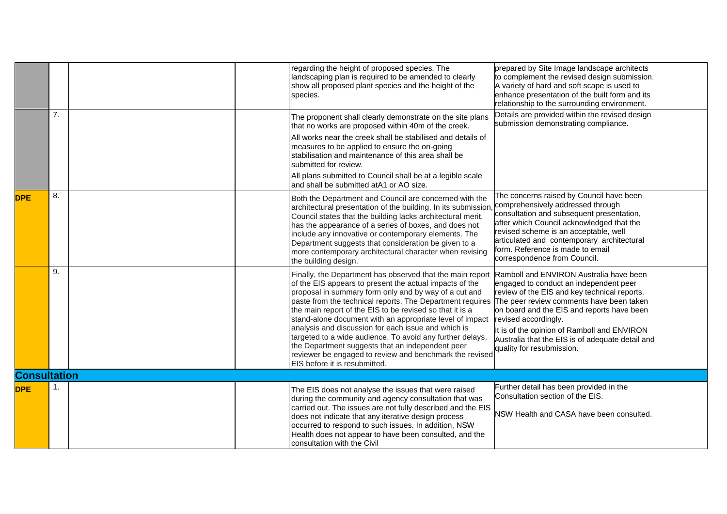|                     |    | regarding the height of proposed species. The<br>prepared by Site Image landscape architects<br>landscaping plan is required to be amended to clearly<br>to complement the revised design submission.<br>A variety of hard and soft scape is used to<br>show all proposed plant species and the height of the<br>enhance presentation of the built form and its<br>species.<br>relationship to the surrounding environment.                                                                                                                                                                                                                                                                                                                                                                                                                                                                                                                                                                                                   |  |
|---------------------|----|-------------------------------------------------------------------------------------------------------------------------------------------------------------------------------------------------------------------------------------------------------------------------------------------------------------------------------------------------------------------------------------------------------------------------------------------------------------------------------------------------------------------------------------------------------------------------------------------------------------------------------------------------------------------------------------------------------------------------------------------------------------------------------------------------------------------------------------------------------------------------------------------------------------------------------------------------------------------------------------------------------------------------------|--|
|                     | 7. | Details are provided within the revised design<br>The proponent shall clearly demonstrate on the site plans<br>submission demonstrating compliance.<br>that no works are proposed within 40m of the creek.<br>All works near the creek shall be stabilised and details of<br>measures to be applied to ensure the on-going<br>stabilisation and maintenance of this area shall be<br>submitted for review.<br>All plans submitted to Council shall be at a legible scale<br>and shall be submitted atA1 or AO size.                                                                                                                                                                                                                                                                                                                                                                                                                                                                                                           |  |
| <b>DPE</b>          | 8. | The concerns raised by Council have been<br>Both the Department and Council are concerned with the<br>comprehensively addressed through<br>architectural presentation of the building. In its submission,<br>consultation and subsequent presentation,<br>Council states that the building lacks architectural merit,<br>after which Council acknowledged that the<br>has the appearance of a series of boxes, and does not<br>revised scheme is an acceptable, well<br>include any innovative or contemporary elements. The<br>articulated and contemporary architectural<br>Department suggests that consideration be given to a<br>form. Reference is made to email<br>more contemporary architectural character when revising<br>correspondence from Council.<br>the building design.                                                                                                                                                                                                                                     |  |
|                     | 9. | Finally, the Department has observed that the main report<br>Ramboll and ENVIRON Australia have been<br>of the EIS appears to present the actual impacts of the<br>engaged to conduct an independent peer<br>proposal in summary form only and by way of a cut and<br>review of the EIS and key technical reports.<br>paste from the technical reports. The Department requires<br>The peer review comments have been taken<br>the main report of the EIS to be revised so that it is a<br>on board and the EIS and reports have been<br>stand-alone document with an appropriate level of impact<br>revised accordingly.<br>analysis and discussion for each issue and which is<br>It is of the opinion of Ramboll and ENVIRON<br>targeted to a wide audience. To avoid any further delays,<br>Australia that the EIS is of adequate detail and<br>the Department suggests that an independent peer<br>quality for resubmission.<br>reviewer be engaged to review and benchmark the revised<br>EIS before it is resubmitted. |  |
| <b>Consultation</b> |    |                                                                                                                                                                                                                                                                                                                                                                                                                                                                                                                                                                                                                                                                                                                                                                                                                                                                                                                                                                                                                               |  |
| <b>DPE</b>          | 1. | Further detail has been provided in the<br>The EIS does not analyse the issues that were raised<br>Consultation section of the EIS.<br>during the community and agency consultation that was<br>carried out. The issues are not fully described and the EIS<br>NSW Health and CASA have been consulted.<br>does not indicate that any iterative design process<br>occurred to respond to such issues. In addition, NSW<br>Health does not appear to have been consulted, and the<br>consultation with the Civil                                                                                                                                                                                                                                                                                                                                                                                                                                                                                                               |  |